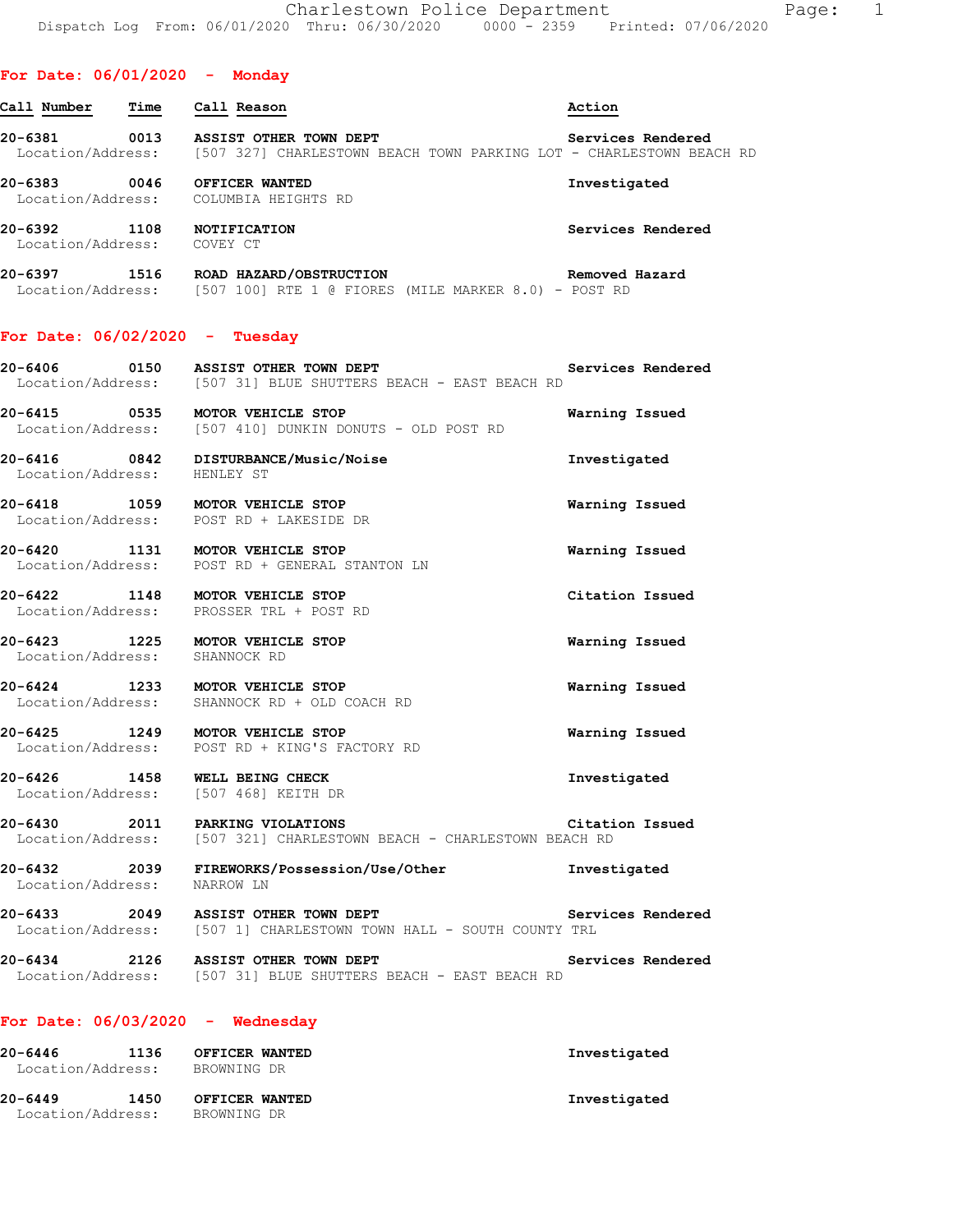#### **For Date: 06/01/2020 - Monday**

| Call Number<br>Time                  | Call Reason                                                                                   | Action            |
|--------------------------------------|-----------------------------------------------------------------------------------------------|-------------------|
| 20-6381<br>0013<br>Location/Address: | ASSIST OTHER TOWN DEPT<br>[507 327] CHARLESTOWN BEACH TOWN PARKING LOT - CHARLESTOWN BEACH RD | Services Rendered |
| 20-6383<br>0046<br>Location/Address: | OFFICER WANTED<br>COLUMBIA HEIGHTS RD                                                         | Investigated      |
| 20-6392<br>1108<br>Location/Address: | <b>NOTIFICATION</b><br>COVEY CT                                                               | Services Rendered |
| 20-6397<br>1516<br>Location/Address: | ROAD HAZARD/OBSTRUCTION<br>[507 100] RTE 1 @ FIORES (MILE MARKER 8.0) - POST RD               | Removed Hazard    |

### **For Date: 06/02/2020 - Tuesday**

| 20-6406           | 0150 |  | ASSIST OTHER TOWN DEPT                       |  |  | Services Rendered |  |
|-------------------|------|--|----------------------------------------------|--|--|-------------------|--|
| Location/Address: |      |  | [507 31] BLUE SHUTTERS BEACH - EAST BEACH RD |  |  |                   |  |

**20-6415 0535 MOTOR VEHICLE STOP Warning Issued**  Location/Address: [507 410] DUNKIN DONUTS - OLD POST RD

**20-6416 0842 DISTURBANCE/Music/Noise Investigated**  Location/Address: HENLEY ST

**20-6418 1059 MOTOR VEHICLE STOP Warning Issued**  Location/Address: POST RD + LAKESIDE DR

**20-6420 1131 MOTOR VEHICLE STOP Warning Issued**  Location/Address: POST RD + GENERAL STANTON LN

**20-6422 1148 MOTOR VEHICLE STOP Citation Issued**  Location/Address: PROSSER TRL + POST RD

**20-6423 1225 MOTOR VEHICLE STOP Warning Issued**  Location/Address:

**20-6424 1233 MOTOR VEHICLE STOP Warning Issued**  Location/Address: SHANNOCK RD + OLD COACH RD

**20-6425 1249 MOTOR VEHICLE STOP Warning Issued**  Location/Address: POST RD + KING'S FACTORY RD

**20-6426 1458 WELL BEING CHECK Investigated**  Location/Address:

**20-6430 2011 PARKING VIOLATIONS Citation Issued**  Location/Address: [507 321] CHARLESTOWN BEACH - CHARLESTOWN BEACH RD

**20-6432 2039 FIREWORKS/Possession/Use/Other Investigated**  Location/Address: NARROW LN

**20-6433 2049 ASSIST OTHER TOWN DEPT Services Rendered**  Location/Address: [507 1] CHARLESTOWN TOWN HALL - SOUTH COUNTY TRL

**20-6434 2126 ASSIST OTHER TOWN DEPT Services Rendered**  Location/Address: [507 31] BLUE SHUTTERS BEACH - EAST BEACH RD

#### **For Date: 06/03/2020 - Wednesday**

| 20-6446<br>Location/Address: | 1136 | OFFICER WANTED<br>BROWNING DR | Investigated |
|------------------------------|------|-------------------------------|--------------|
| 20-6449                      | 1450 | OFFICER WANTED                | Investigated |
| Location/Address:            |      | BROWNING DR                   |              |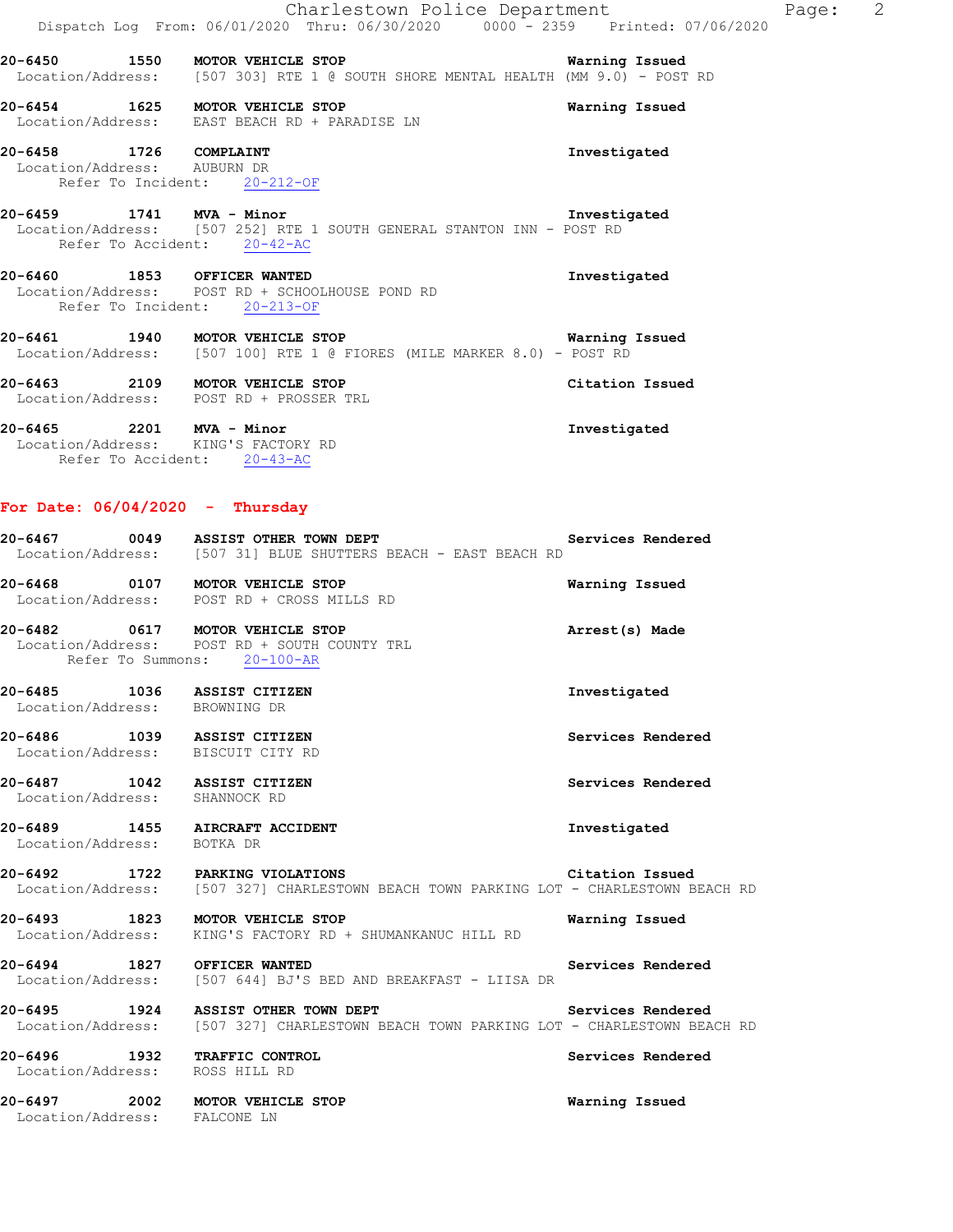|                                                       | Charlestown Police Department<br>Dispatch Log From: 06/01/2020 Thru: 06/30/2020 0000 - 2359 Printed: 07/06/2020              | $\overline{\phantom{0}}$ 2<br>Page: |
|-------------------------------------------------------|------------------------------------------------------------------------------------------------------------------------------|-------------------------------------|
|                                                       | 20-6450 1550 MOTOR VEHICLE STOP<br>Location/Address: [507 303] RTE 1 @ SOUTH SHORE MENTAL HEALTH (MM 9.0) - POST RD          | Warning Issued                      |
|                                                       | 20-6454 1625 MOTOR VEHICLE STOP<br>Location/Address: EAST BEACH RD + PARADISE LN                                             | Warning Issued                      |
| 20-6458 1726 COMPLAINT<br>Location/Address: AUBURN DR | Refer To Incident: 20-212-OF                                                                                                 | Investigated                        |
| 20-6459 1741 MVA - Minor                              | Location/Address: [507 252] RTE 1 SOUTH GENERAL STANTON INN - POST RD<br>Refer To Accident: 20-42-AC                         | Investigated                        |
|                                                       | 20-6460 1853 OFFICER WANTED<br>Location/Address: POST RD + SCHOOLHOUSE POND RD<br>Refer To Incident: 20-213-OF               | Investigated                        |
|                                                       | 20-6461 1940 MOTOR VEHICLE STOP Warning<br>Location/Address: [507 100] RTE 1 @ FIORES (MILE MARKER 8.0) - POST RD            | Warning Issued                      |
|                                                       | 20-6463 2109 MOTOR VEHICLE STOP<br>Location/Address: POST RD + PROSSER TRL                                                   | Citation Issued                     |
|                                                       | 20-6465 2201 MVA - Minor<br>Location/Address: KING'S FACTORY RD<br>Refer To Accident: 20-43-AC                               | Investigated                        |
|                                                       | For Date: $06/04/2020 -$ Thursday                                                                                            |                                     |
|                                                       | 20-6467 0049 ASSIST OTHER TOWN DEPT<br>Location/Address: [507 31] BLUE SHUTTERS BEACH - EAST BEACH RD                        | Services Rendered                   |
|                                                       | 20-6468 0107 MOTOR VEHICLE STOP<br>Location/Address: POST RD + CROSS MILLS RD                                                | Warning Issued                      |
|                                                       | 20-6482 0617 MOTOR VEHICLE STOP<br>Location/Address: POST RD + SOUTH COUNTY TRL<br>Refer To Summons: 20-100-AR               | Arrest(s) Made                      |
| $20 - 6485$<br>Location/Address: BROWNING DR          | 1036 ASSIST CITIZEN                                                                                                          | Investigated                        |
|                                                       | 20-6486 1039 ASSIST CITIZEN<br>Location/Address: BISCUIT CITY RD                                                             | Services Rendered                   |
| Location/Address: SHANNOCK RD                         | 20-6487 1042 ASSIST CITIZEN                                                                                                  | Services Rendered                   |
| Location/Address: BOTKA DR                            | 20-6489 1455 AIRCRAFT ACCIDENT                                                                                               | Investigated                        |
|                                                       | 20-6492 1722 PARKING VIOLATIONS<br>Location/Address: [507 327] CHARLESTOWN BEACH TOWN PARKING LOT - CHARLESTOWN BEACH RD     | Citation Issued                     |
|                                                       | 20-6493 1823 MOTOR VEHICLE STOP<br>Location/Address: KING'S FACTORY RD + SHUMANKANUC HILL RD                                 | Warning Issued                      |
|                                                       | 20-6494 1827 OFFICER WANTED<br>Location/Address: [507 644] BJ'S BED AND BREAKFAST - LIISA DR                                 | Services Rendered                   |
|                                                       | 20-6495 1924 ASSIST OTHER TOWN DEPT<br>Location/Address: [507 327] CHARLESTOWN BEACH TOWN PARKING LOT - CHARLESTOWN BEACH RD | Services Rendered                   |
| Location/Address: ROSS HILL RD                        | 20-6496 1932 TRAFFIC CONTROL                                                                                                 | Services Rendered                   |
| Location/Address: FALCONE LN                          | 20-6497 2002 MOTOR VEHICLE STOP                                                                                              | Warning Issued                      |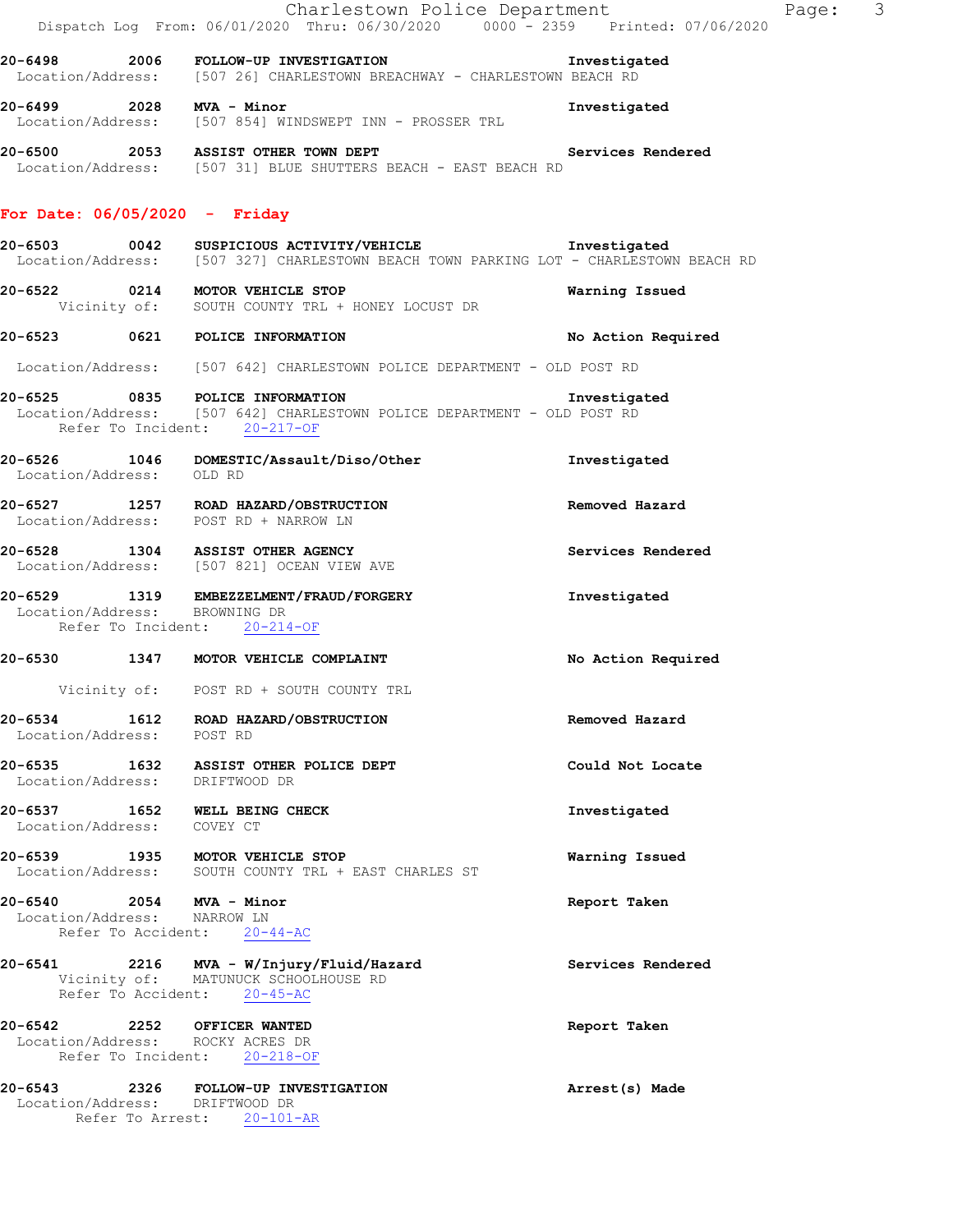|                                                         | Charlestown Police Department<br>Dispatch Log From: 06/01/2020 Thru: 06/30/2020 0000 - 2359 Printed: 07/06/2020                                      |                    | Page: 3 |  |
|---------------------------------------------------------|------------------------------------------------------------------------------------------------------------------------------------------------------|--------------------|---------|--|
|                                                         | 20-6498 2006 FOLLOW-UP INVESTIGATION 20-6498 Investigated<br>Location/Address: [507 26] CHARLESTOWN BREACHWAY - CHARLESTOWN BEACH RD                 |                    |         |  |
|                                                         | 20-6499  2028  NVA - Minor<br>Location/Address: [507 854] WINDSWEPT INN - PROSSER TRL                                                                | Investigated       |         |  |
|                                                         | 20-6500 2053 ASSIST OTHER TOWN DEPT Services Rendered<br>Location/Address: [507 31] BLUE SHUTTERS BEACH - EAST BEACH RD                              |                    |         |  |
| For Date: $06/05/2020 -$ Friday                         |                                                                                                                                                      |                    |         |  |
|                                                         | Location/Address: [507 327] CHARLESTOWN BEACH TOWN PARKING LOT - CHARLESTOWN BEACH RD                                                                |                    |         |  |
|                                                         | 20-6522 0214 MOTOR VEHICLE STOP<br>Vicinity of: SOUTH COUNTY TRL + HONEY LOCUST DR                                                                   | Warning Issued     |         |  |
|                                                         | 20-6523 0621 POLICE INFORMATION                                                                                                                      | No Action Required |         |  |
|                                                         | Location/Address: [507 642] CHARLESTOWN POLICE DEPARTMENT - OLD POST RD                                                                              |                    |         |  |
|                                                         | 20-6525 0835 POLICE INFORMATION Investiga<br>Location/Address: [507 642] CHARLESTOWN POLICE DEPARTMENT - OLD POST RD<br>Refer To Incident: 20-217-OF | Investigated       |         |  |
| Location/Address: OLD RD                                | 20-6526 1046 DOMESTIC/Assault/Diso/Other Threstigated                                                                                                |                    |         |  |
|                                                         | 20-6527 1257 ROAD HAZARD/OBSTRUCTION<br>Location/Address: POST RD + NARROW LN                                                                        | Removed Hazard     |         |  |
|                                                         | 20-6528 1304 ASSIST OTHER AGENCY<br>Location/Address: [507 821] OCEAN VIEW AVE                                                                       | Services Rendered  |         |  |
| Location/Address: BROWNING DR                           | 20-6529 1319 EMBEZZELMENT/FRAUD/FORGERY<br>Refer To Incident: 20-214-OF                                                                              | Investigated       |         |  |
|                                                         | 20-6530 1347 MOTOR VEHICLE COMPLAINT                                                                                                                 | No Action Required |         |  |
|                                                         | Vicinity of: POST RD + SOUTH COUNTY TRL                                                                                                              |                    |         |  |
| Location/Address: POST RD                               | 20-6534 1612 ROAD HAZARD/OBSTRUCTION                                                                                                                 | Removed Hazard     |         |  |
| Location/Address: DRIFTWOOD DR                          | 20-6535 1632 ASSIST OTHER POLICE DEPT                                                                                                                | Could Not Locate   |         |  |
| Location/Address: COVEY CT                              | 20-6537 1652 WELL BEING CHECK                                                                                                                        | Investigated       |         |  |
|                                                         | 20-6539 1935 MOTOR VEHICLE STOP<br>Location/Address: SOUTH COUNTY TRL + EAST CHARLES ST                                                              | Warning Issued     |         |  |
| 20-6540 2054 MVA - Minor<br>Location/Address: NARROW LN | Refer To Accident: 20-44-AC                                                                                                                          | Report Taken       |         |  |
|                                                         | 20-6541 2216 MVA - W/Injury/Fluid/Hazard<br>Vicinity of: MATUNUCK SCHOOLHOUSE RD<br>Refer To Accident: 20-45-AC                                      | Services Rendered  |         |  |
| 20-6542 2252 OFFICER WANTED                             | Location/Address: ROCKY ACRES DR<br>Refer To Incident: 20-218-OF                                                                                     | Report Taken       |         |  |
| Location/Address: DRIFTWOOD DR                          | 20-6543 2326 FOLLOW-UP INVESTIGATION<br>Refer To Arrest: 20-101-AR                                                                                   | Arrest(s) Made     |         |  |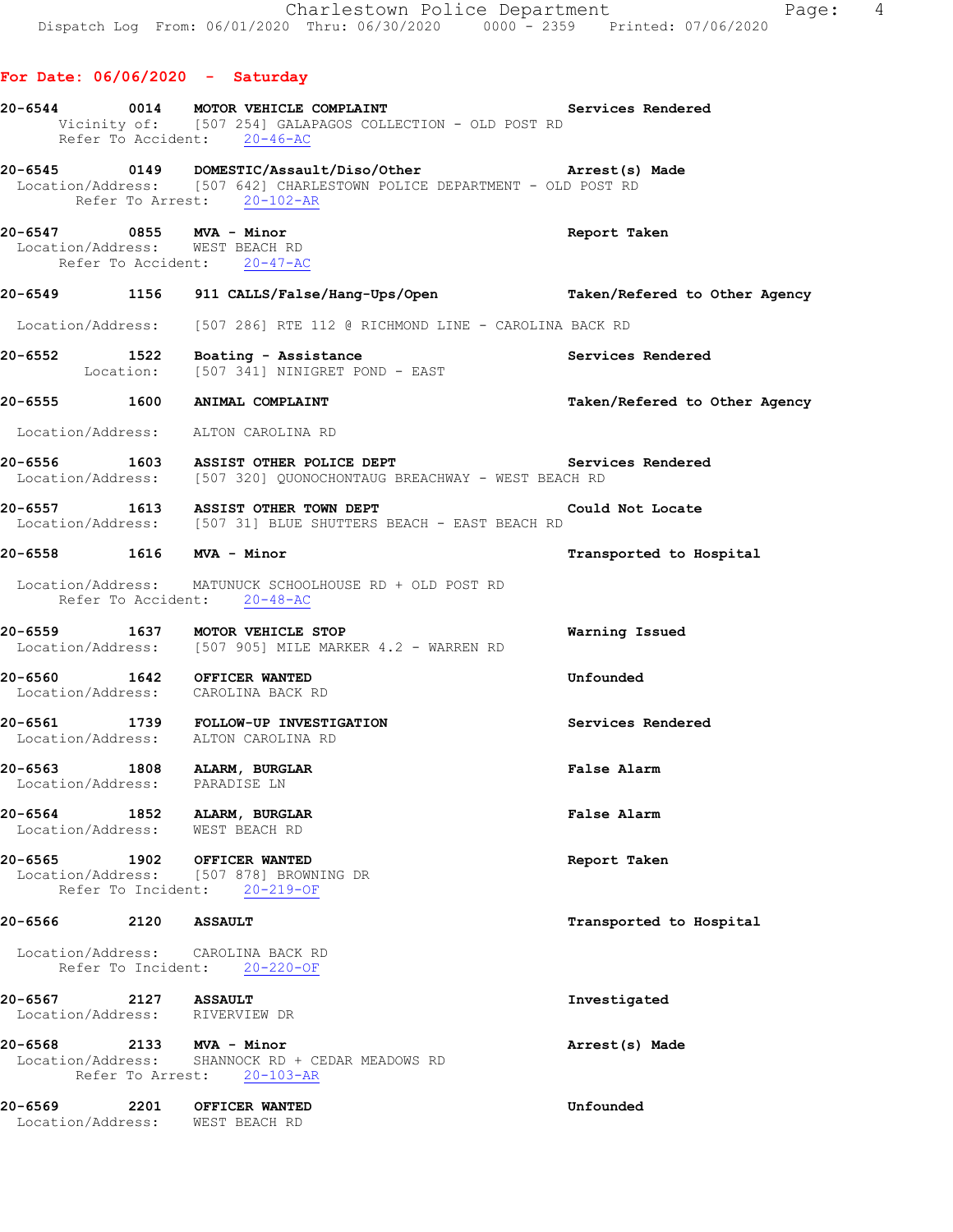|                      |      | 20-6544 0014 MOTOR VEHICLE COMPLAINT Services Rendered<br>Vicinity of: [507 254] GALAPAGOS COLLECTION - OLD POST RD<br>Refer To Accident: 20-46-AC               |                               |
|----------------------|------|------------------------------------------------------------------------------------------------------------------------------------------------------------------|-------------------------------|
|                      |      | 20-6545 0149 DOMESTIC/Assault/Diso/Other Arrest(s) Made<br>Location/Address: [507 642] CHARLESTOWN POLICE DEPARTMENT - OLD POST RD<br>Refer To Arrest: 20-102-AR |                               |
|                      |      | 20-6547 0855 MVA - Minor<br>Location/Address: WEST BEACH RD<br>Refer To Accident: 20-47-AC                                                                       | Report Taken                  |
|                      |      | 20-6549 1156 911 CALLS/False/Hang-Ups/Open Taken/Refered to Other Agency                                                                                         |                               |
|                      |      | Location/Address: [507 286] RTE 112 @ RICHMOND LINE - CAROLINA BACK RD                                                                                           |                               |
|                      |      | 20-6552 1522 Boating - Assistance Services Rendered Location: [507 341] NINIGRET POND - EAST                                                                     |                               |
|                      |      | 20-6555 1600 ANIMAL COMPLAINT                                                                                                                                    | Taken/Refered to Other Agency |
|                      |      | Location/Address: ALTON CAROLINA RD                                                                                                                              |                               |
|                      |      | 20-6556 1603 ASSIST OTHER POLICE DEPT<br>Location/Address: [507 320] QUONOCHONTAUG BREACHWAY - WEST BEACH RD                                                     | Services Rendered             |
|                      |      | 20-6557 1613 ASSIST OTHER TOWN DEPT Could Not Locate<br>Location/Address: [507 31] BLUE SHUTTERS BEACH - EAST BEACH RD                                           |                               |
|                      |      | 20-6558 1616 MVA - Minor                                                                                                                                         | Transported to Hospital       |
|                      |      | Location/Address: MATUNUCK SCHOOLHOUSE RD + OLD POST RD<br>Refer To Accident: 20-48-AC                                                                           |                               |
|                      |      | 20-6559 1637 MOTOR VEHICLE STOP<br>Location/Address: [507 905] MILE MARKER 4.2 - WARREN RD                                                                       | Warning Issued                |
|                      |      | 20-6560 1642 OFFICER WANTED<br>Location/Address: CAROLINA BACK RD                                                                                                | Unfounded                     |
|                      |      | 20-6561 1739 FOLLOW-UP INVESTIGATION<br>Location/Address: ALTON CAROLINA RD                                                                                      | Services Rendered             |
|                      |      | 20-6563 1808 ALARM, BURGLAR<br>Location/Address: PARADISE LN                                                                                                     | False Alarm                   |
|                      |      | 20-6564 1852 ALARM, BURGLAR<br>Location/Address: WEST BEACH RD                                                                                                   | False Alarm                   |
|                      |      | 20-6565 1902 OFFICER WANTED<br>Location/Address: [507 878] BROWNING DR<br>Refer To Incident: 20-219-OF                                                           | Report Taken                  |
| 20-6566 2120 ASSAULT |      |                                                                                                                                                                  | Transported to Hospital       |
|                      |      | Location/Address: CAROLINA BACK RD<br>Refer To Incident: 20-220-OF                                                                                               |                               |
|                      |      | Location/Address: RIVERVIEW DR                                                                                                                                   | Investigated                  |
|                      |      | 20-6568 2133 MVA - Minor<br>Location/Address: SHANNOCK RD + CEDAR MEADOWS RD<br>Refer To Arrest: 20-103-AR                                                       | Arrest(s) Made                |
| 20-6569 2014         | 2201 | OFFICER WANTED<br>Location/Address: WEST BEACH RD                                                                                                                | Unfounded                     |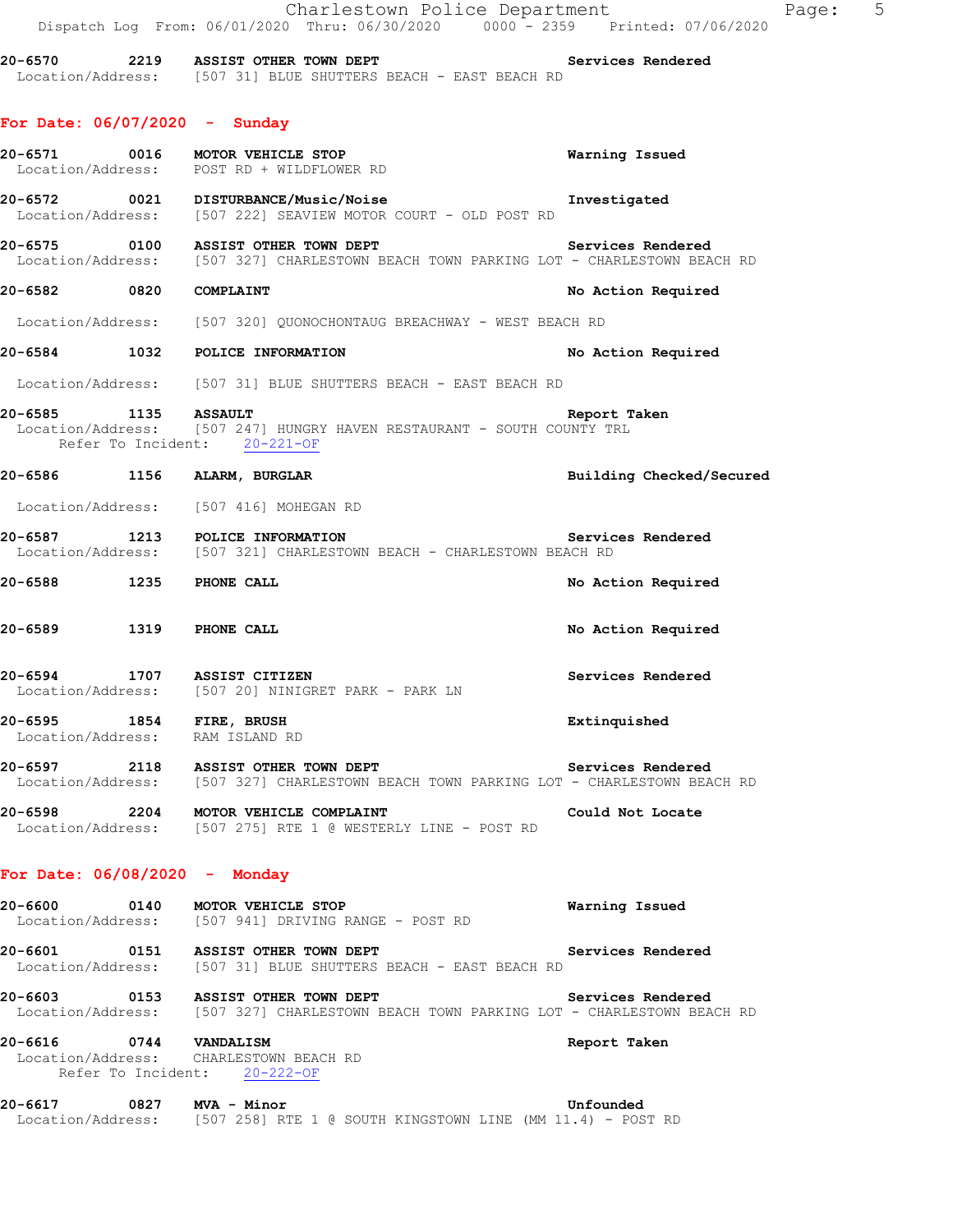|                                                             | Charlestown Police Department<br>Dispatch Log From: 06/01/2020 Thru: 06/30/2020 0000 - 2359 Printed: 07/06/2020                                       | Page: 5                  |
|-------------------------------------------------------------|-------------------------------------------------------------------------------------------------------------------------------------------------------|--------------------------|
|                                                             | 20-6570 2219 ASSIST OTHER TOWN DEPT Number of Services Rendered<br>Location/Address: [507 31] BLUE SHUTTERS BEACH - EAST BEACH RD                     |                          |
| For Date: $06/07/2020 -$ Sunday                             |                                                                                                                                                       |                          |
|                                                             | 20-6571 0016 MOTOR VEHICLE STOP<br>Location/Address: POST RD + WILDFLOWER RD                                                                          | Warning Issued           |
|                                                             | 20-6572   0021   DISTURBANCE/Music/Noise<br>Location/Address: [507 222] SEAVIEW MOTOR COURT - OLD POST RD                                             | Investigated             |
|                                                             | 20-6575 0100 ASSIST OTHER TOWN DEPT Services Rendered<br>Location/Address: [507 327] CHARLESTOWN BEACH TOWN PARKING LOT - CHARLESTOWN BEACH RD        |                          |
| 20-6582 0820 COMPLAINT                                      |                                                                                                                                                       | No Action Required       |
|                                                             | Location/Address: [507 320] QUONOCHONTAUG BREACHWAY - WEST BEACH RD                                                                                   |                          |
|                                                             | 20-6584 1032 POLICE INFORMATION                                                                                                                       | No Action Required       |
|                                                             | Location/Address: [507 31] BLUE SHUTTERS BEACH - EAST BEACH RD                                                                                        |                          |
|                                                             | Refer To Incident: 20-221-OF                                                                                                                          | Report Taken             |
|                                                             | 20-6586 1156 ALARM, BURGLAR                                                                                                                           | Building Checked/Secured |
|                                                             | Location/Address: [507 416] MOHEGAN RD                                                                                                                |                          |
|                                                             | 20-6587 1213 POLICE INFORMATION<br>Location/Address: [507 321] CHARLESTOWN BEACH - CHARLESTOWN BEACH RD                                               | Services Rendered        |
| 20-6588 1235 PHONE CALL                                     |                                                                                                                                                       | No Action Required       |
| 20-6589 1319 PHONE CALL                                     |                                                                                                                                                       | No Action Required       |
|                                                             | 20-6594 1707 ASSIST CITIZEN<br>Location/Address: [507 20] NINIGRET PARK - PARK LN                                                                     | Services Rendered        |
| 20-6595 1854 FIRE, BRUSH<br>Location/Address: RAM ISLAND RD |                                                                                                                                                       | Extinquished             |
|                                                             | 20-6597 2118 ASSIST OTHER TOWN DEPT <b>Services Rendered</b><br>Location/Address: [507 327] CHARLESTOWN BEACH TOWN PARKING LOT - CHARLESTOWN BEACH RD |                          |
|                                                             | 20-6598 2204 MOTOR VEHICLE COMPLAINT<br>Location/Address: [507 275] RTE 1 @ WESTERLY LINE - POST RD                                                   | Could Not Locate         |
| For Date: $06/08/2020 -$ Monday                             |                                                                                                                                                       |                          |
|                                                             | 20-6600 0140 MOTOR VEHICLE STOP<br>Location/Address: [507 941] DRIVING RANGE - POST RD                                                                | Warning Issued           |
|                                                             | 20-6601 0151 ASSIST OTHER TOWN DEPT<br>Location/Address: [507 31] BLUE SHUTTERS BEACH - EAST BEACH RD                                                 | Services Rendered        |
|                                                             | 20-6603 0153 ASSIST OTHER TOWN DEPT<br>Location/Address: [507 327] CHARLESTOWN BEACH TOWN PARKING LOT - CHARLESTOWN BEACH RD                          | Services Rendered        |
|                                                             | 20-6616 0744 VANDALISM<br>Location/Address: CHARLESTOWN BEACH RD<br>Refer To Incident: 20-222-OF                                                      | Report Taken             |
| 20-6617 0827 MVA - Minor                                    | Location/Address: [507 258] RTE 1 @ SOUTH KINGSTOWN LINE (MM 11.4) - POST RD                                                                          | Unfounded                |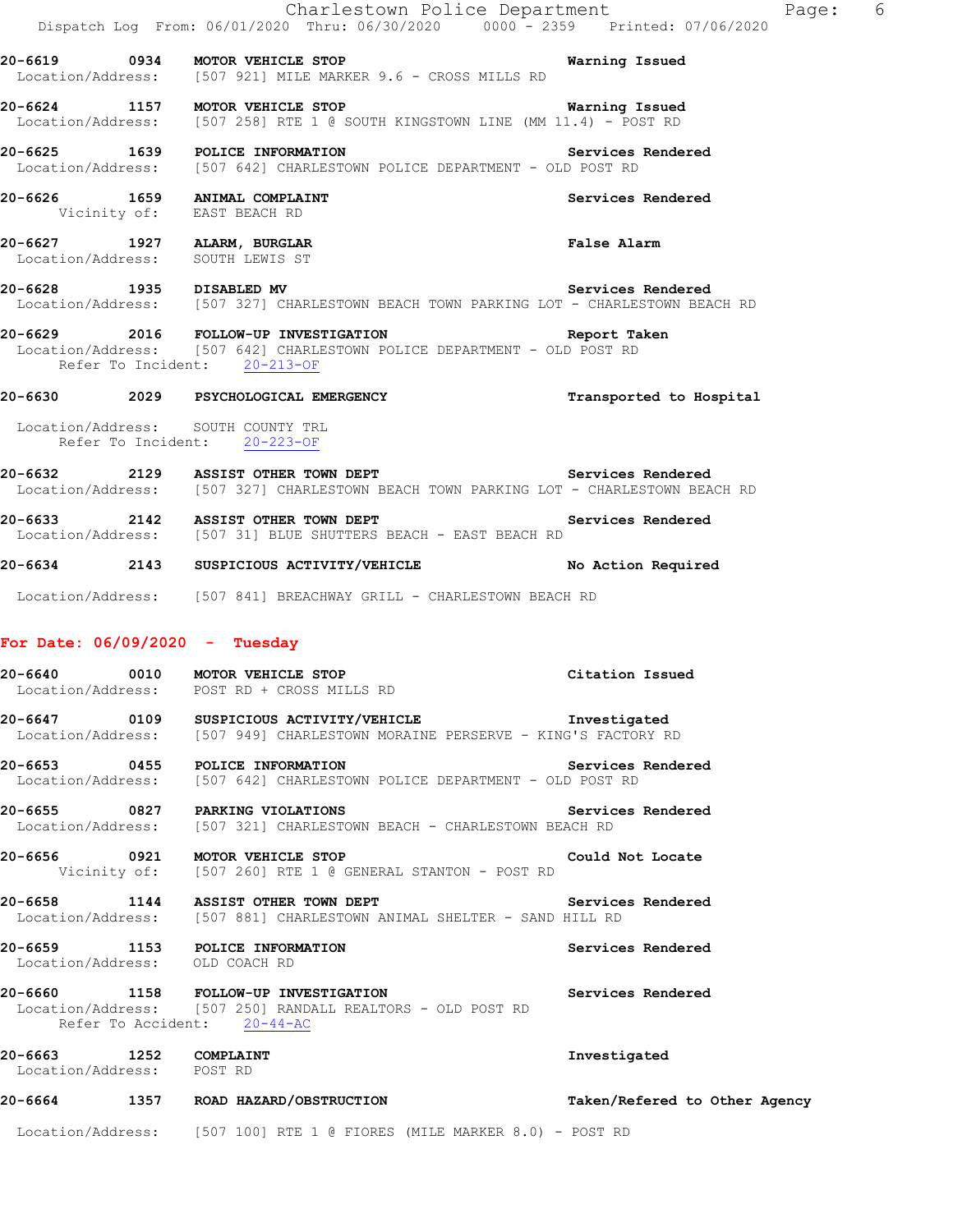|                                                     |                                                                     | Charlestown Police Department<br>Dispatch Log From: 06/01/2020 Thru: 06/30/2020 0000 - 2359 Printed: 07/06/2020<br>20-6619 0934 MOTOR VEHICLE STOP CONTROL TO Marning Issued<br>Location/Address: [507 921] MILE MARKER 9.6 - CROSS MILLS RD<br>20-6624 1157 MOTOR VEHICLE STOP <b>120-6624</b> Warning Issued |                               | Page: 6 |
|-----------------------------------------------------|---------------------------------------------------------------------|----------------------------------------------------------------------------------------------------------------------------------------------------------------------------------------------------------------------------------------------------------------------------------------------------------------|-------------------------------|---------|
|                                                     |                                                                     | Location/Address: [507 258] RTE 1 @ SOUTH KINGSTOWN LINE (MM 11.4) - POST RD<br>20-6625 1639 POLICE INFORMATION 20-6625 Services Rendered<br>Location/Address: [507 642] CHARLESTOWN POLICE DEPARTMENT - OLD POST RD                                                                                           |                               |         |
|                                                     | 20-6626 1659 ANIMAL COMPLAINT<br>Vicinity of: EAST BEACH RD         |                                                                                                                                                                                                                                                                                                                | Services Rendered             |         |
|                                                     | 20-6627 1927 ALARM, BURGLAR<br>Location/Address: SOUTH LEWIS ST     |                                                                                                                                                                                                                                                                                                                | False Alarm                   |         |
|                                                     |                                                                     | 20-6628 1935 DISABLED MV Services Rendered<br>Location/Address: [507 327] CHARLESTOWN BEACH TOWN PARKING LOT - CHARLESTOWN BEACH RD                                                                                                                                                                            |                               |         |
|                                                     | Refer To Incident: 20-213-OF                                        | 20-6629 2016 FOLLOW-UP INVESTIGATION Report Taken<br>Location/Address: [507 642] CHARLESTOWN POLICE DEPARTMENT - OLD POST RD                                                                                                                                                                                   |                               |         |
|                                                     |                                                                     | 20-6630 2029 PSYCHOLOGICAL EMERGENCY                                                                                                                                                                                                                                                                           | Transported to Hospital       |         |
|                                                     | Location/Address: SOUTH COUNTY TRL<br>Refer To Incident: 20-223-OF  |                                                                                                                                                                                                                                                                                                                |                               |         |
|                                                     |                                                                     | 20-6632 2129 ASSIST OTHER TOWN DEPT<br>Location/Address: [507 327] CHARLESTOWN BEACH TOWN PARKING LOT - CHARLESTOWN BEACH RD                                                                                                                                                                                   | Services Rendered             |         |
|                                                     |                                                                     | 20-6633 2142 ASSIST OTHER TOWN DEPT Services Rendered Location/Address: [507 31] BLUE SHUTTERS BEACH - EAST BEACH RD                                                                                                                                                                                           |                               |         |
|                                                     |                                                                     | 20-6634 2143 SUSPICIOUS ACTIVITY/VEHICLE No Action Required                                                                                                                                                                                                                                                    |                               |         |
|                                                     | For Date: $06/09/2020 - Tuesday$<br>20-6640 0010 MOTOR VEHICLE STOP | Location/Address: [507 841] BREACHWAY GRILL - CHARLESTOWN BEACH RD                                                                                                                                                                                                                                             | Citation Issued               |         |
|                                                     | Location/Address: POST RD + CROSS MILLS RD                          | 20-6647 		 0109 SUSPICIOUS ACTIVITY/VEHICLE 			 Investigated<br>Location/Address: [507 949] CHARLESTOWN MORAINE PERSERVE - KING'S FACTORY RD                                                                                                                                                                   |                               |         |
|                                                     | 20-6653 0455 POLICE INFORMATION                                     | Location/Address: [507 642] CHARLESTOWN POLICE DEPARTMENT - OLD POST RD                                                                                                                                                                                                                                        | Services Rendered             |         |
|                                                     |                                                                     | 20-6655 0827 PARKING VIOLATIONS Servic<br>Location/Address: [507 321] CHARLESTOWN BEACH - CHARLESTOWN BEACH RD                                                                                                                                                                                                 | Services Rendered             |         |
|                                                     |                                                                     | 20-6656 0921 MOTOR VEHICLE STOP<br>Vicinity of: [507 260] RTE 1 @ GENERAL STANTON - POST RD                                                                                                                                                                                                                    | Could Not Locate              |         |
|                                                     |                                                                     | 20-6658 1144 ASSIST OTHER TOWN DEPT<br>Location/Address: [507 881] CHARLESTOWN ANIMAL SHELTER - SAND HILL RD                                                                                                                                                                                                   | Services Rendered             |         |
|                                                     | 20-6659 1153 POLICE INFORMATION<br>Location/Address: OLD COACH RD   |                                                                                                                                                                                                                                                                                                                | Services Rendered             |         |
|                                                     | Refer To Accident: 20-44-AC                                         | 20-6660 1158 FOLLOW-UP INVESTIGATION<br>Location/Address: [507 250] RANDALL REALTORS - OLD POST RD                                                                                                                                                                                                             | Services Rendered             |         |
| 20-6663 1252 COMPLAINT<br>Location/Address: POST RD |                                                                     |                                                                                                                                                                                                                                                                                                                | Investigated                  |         |
|                                                     |                                                                     | 20-6664 1357 ROAD HAZARD/OBSTRUCTION                                                                                                                                                                                                                                                                           | Taken/Refered to Other Agency |         |
|                                                     |                                                                     | Location/Address: [507 100] RTE 1 @ FIORES (MILE MARKER 8.0) - POST RD                                                                                                                                                                                                                                         |                               |         |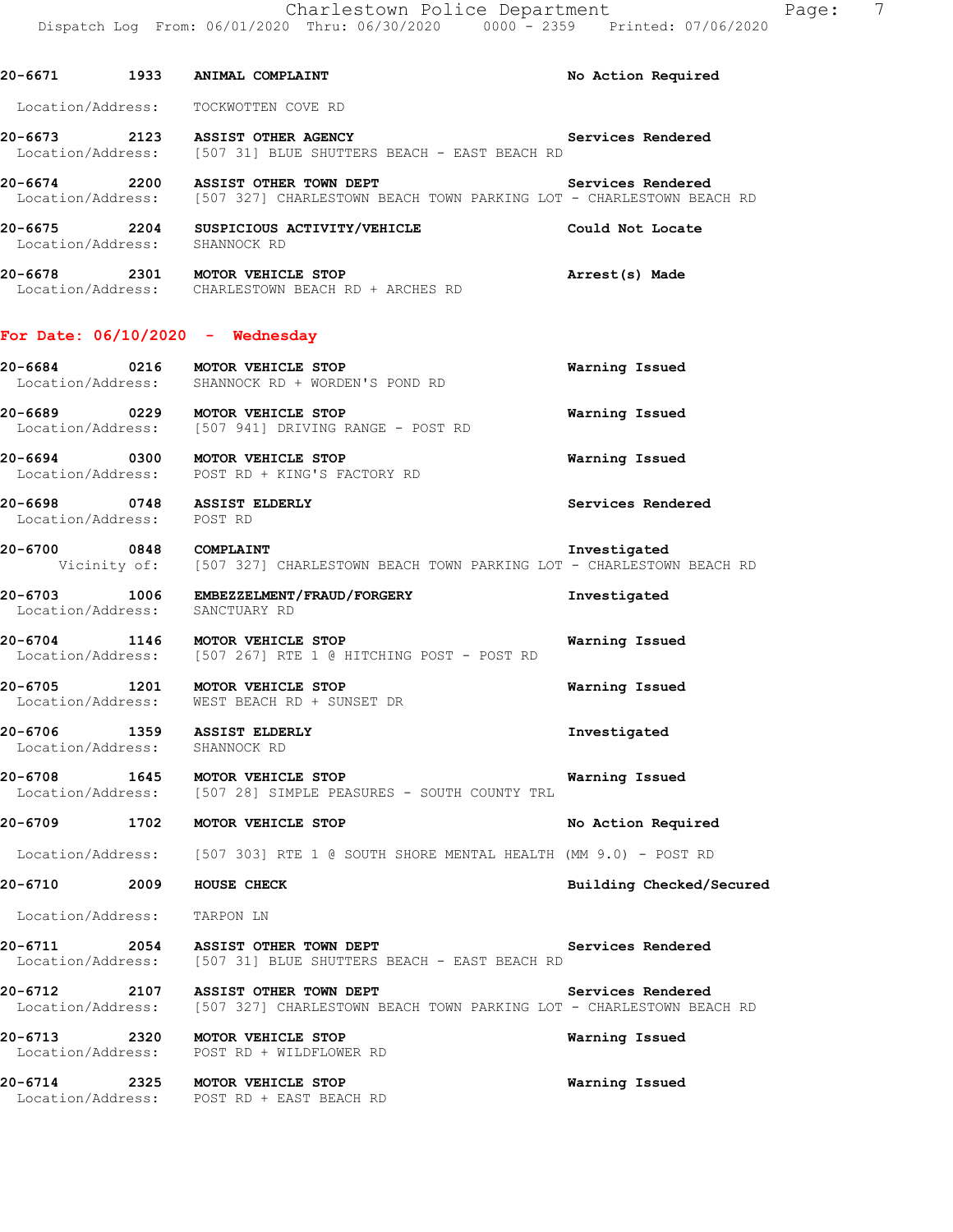**20-6671 1933 ANIMAL COMPLAINT No Action Required**  Location/Address: TOCKWOTTEN COVE RD **20-6673 2123 ASSIST OTHER AGENCY Services Rendered**  Location/Address: [507 31] BLUE SHUTTERS BEACH - EAST BEACH RD 20-6674 2200 ASSIST OTHER TOWN DEPT **Services Rendered**  Location/Address: [507 327] CHARLESTOWN BEACH TOWN PARKING LOT - CHARLESTOWN BEACH RD **20-6675 2204 SUSPICIOUS ACTIVITY/VEHICLE Could Not Locate**  Location/Address: SHANNOCK RD **20-6678 2301 MOTOR VEHICLE STOP Arrest(s) Made**  Location/Address: CHARLESTOWN BEACH RD + ARCHES RD

#### **For Date: 06/10/2020 - Wednesday**

- **20-6684 0216 MOTOR VEHICLE STOP Warning Issued**  Location/Address: SHANNOCK RD + WORDEN'S POND RD
- **20-6689 0229 MOTOR VEHICLE STOP Warning Issued**  Location/Address: [507 941] DRIVING RANGE - POST RD
- **20-6694 0300 MOTOR VEHICLE STOP Warning Issued**  Location/Address: POST RD + KING'S FACTORY RD

**20-6698 0748 ASSIST ELDERLY Services Rendered**  Location/Address: POST RD

- **20-6700 0848 COMPLAINT Investigated**  Vicinity of: [507 327] CHARLESTOWN BEACH TOWN PARKING LOT - CHARLESTOWN BEACH RD
- **20-6703 1006 EMBEZZELMENT/FRAUD/FORGERY Investigated**  Location/Address: SANCTUARY RD

**20-6704 1146 MOTOR VEHICLE STOP Warning Issued**  Location/Address: [507 267] RTE 1 @ HITCHING POST - POST RD

**20-6705 1201 MOTOR VEHICLE STOP Warning Issued**  Location/Address: WEST BEACH RD + SUNSET DR

**20-6706 1359 ASSIST ELDERLY Investigated**  Location/Address: SHANNOCK RD

**20-6708 1645 MOTOR VEHICLE STOP Warning Issued**  [507 28] SIMPLE PEASURES - SOUTH COUNTY TRL

**20-6709 1702 MOTOR VEHICLE STOP No Action Required** 

Location/Address: [507 303] RTE 1 @ SOUTH SHORE MENTAL HEALTH (MM 9.0) - POST RD

20-6710 2009 HOUSE CHECK **Building Checked/Secured** 

Location/Address: TARPON LN

20-6711 2054 ASSIST OTHER TOWN DEPT **120-6711** Services Rendered Location/Address: [507 31] BLUE SHUTTERS BEACH - EAST BEACH RD

20-6712 2107 ASSIST OTHER TOWN DEPT **1200 Services Rendered** Location/Address: [507 327] CHARLESTOWN BEACH TOWN PARKING LOT - CHARLESTOWN BEACH RD

**20-6713 2320 MOTOR VEHICLE STOP Warning Issued**  Location/Address: POST RD + WILDFLOWER RD

**20-6714 2325 MOTOR VEHICLE STOP Warning Issued**  Location/Address: POST RD + EAST BEACH RD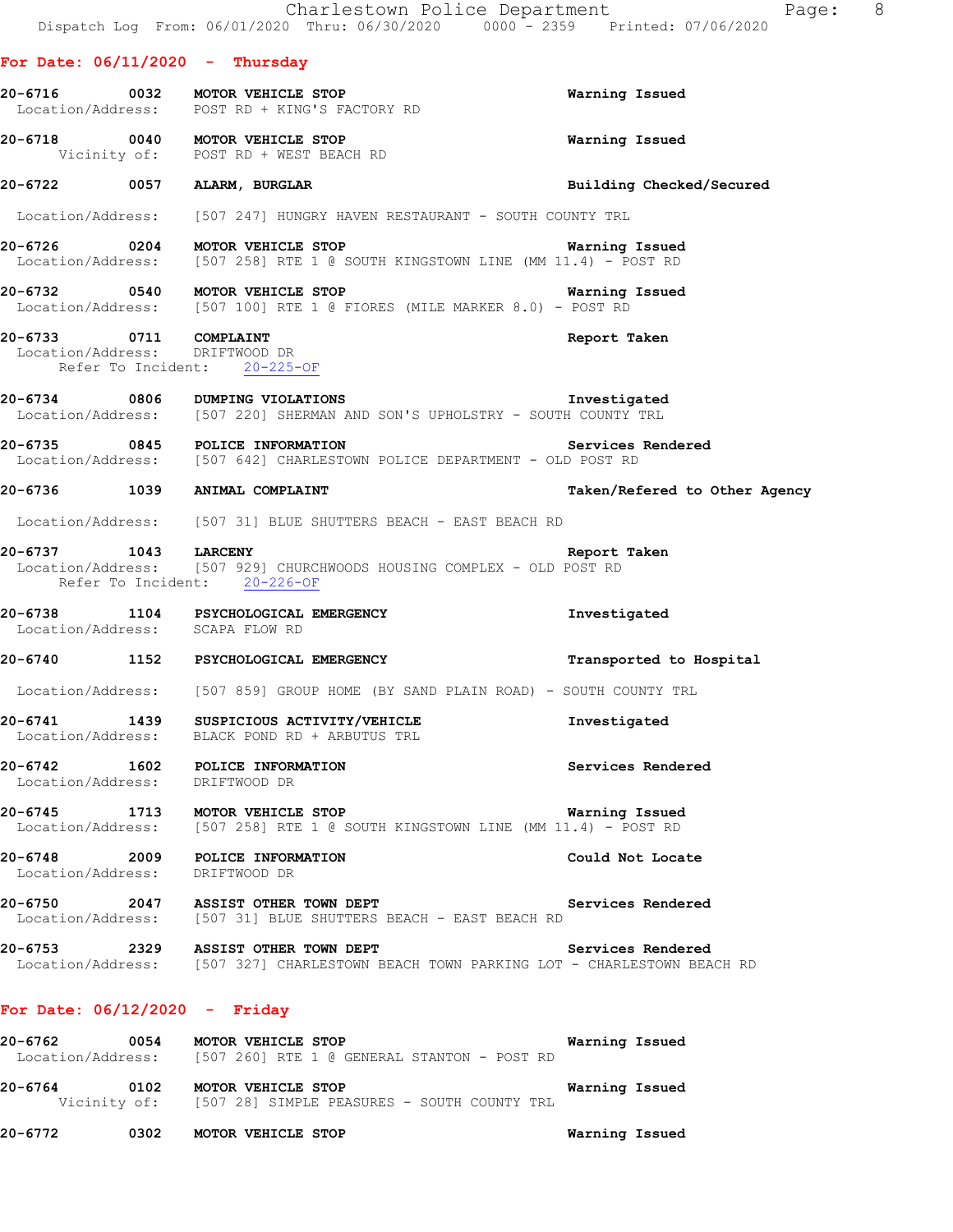|                                                                                          | Charlestown Police Department<br>Dispatch Log From: 06/01/2020 Thru: 06/30/2020 0000 <sup>-</sup> 2359 Printed: 07/06/2020                  | Page: 8                       |
|------------------------------------------------------------------------------------------|---------------------------------------------------------------------------------------------------------------------------------------------|-------------------------------|
| For Date: $06/11/2020 -$ Thursday                                                        |                                                                                                                                             |                               |
|                                                                                          | 20-6716 0032 MOTOR VEHICLE STOP<br>Location/Address: POST RD + KING'S FACTORY RD                                                            | Warning Issued                |
|                                                                                          | 20-6718 0040 MOTOR VEHICLE STOP<br>Vicinity of: POST RD + WEST BEACH RD                                                                     | Warning Issued                |
|                                                                                          | 20-6722 0057 ALARM, BURGLAR                                                                                                                 | Building Checked/Secured      |
|                                                                                          | Location/Address: [507 247] HUNGRY HAVEN RESTAURANT - SOUTH COUNTY TRL                                                                      |                               |
|                                                                                          | 20-6726 0204 MOTOR VEHICLE STOP<br>Location/Address: [507 258] RTE 1 @ SOUTH KINGSTOWN LINE (MM 11.4) - POST RD                             | Warning Issued                |
|                                                                                          | 20-6732 0540 MOTOR VEHICLE STOP NOTOR THE STOP NATING ISSUED<br>Location/Address: [507 100] RTE 1 @ FIORES (MILE MARKER 8.0) - POST RD      |                               |
| 20-6733 0711 COMPLAINT<br>Location/Address: DRIFTWOOD DR<br>Refer To Incident: 20-225-OF |                                                                                                                                             | Report Taken                  |
|                                                                                          | 20-6734 0806 DUMPING VIOLATIONS TREES TO PRESS TO DESCRIPTION<br>Location/Address: [507 220] SHERMAN AND SON'S UPHOLSTRY - SOUTH COUNTY TRL |                               |
|                                                                                          | 20-6735 0845 POLICE INFORMATION <b>Services</b> Rendered<br>Location/Address: [507 642] CHARLESTOWN POLICE DEPARTMENT - OLD POST RD         |                               |
| 20-6736 1039 ANIMAL COMPLAINT                                                            |                                                                                                                                             | Taken/Refered to Other Agency |
|                                                                                          | Location/Address: [507 31] BLUE SHUTTERS BEACH - EAST BEACH RD                                                                              |                               |
| Refer To Incident: 20-226-OF                                                             | 20-6737 1043 LARCENY<br>Location/Address: [507 929] CHURCHWOODS HOUSING COMPLEX - OLD POST RD                                               | Report Taken                  |
| Location/Address: SCAPA FLOW RD                                                          | 20-6738 1104 PSYCHOLOGICAL EMERGENCY                                                                                                        | Investigated                  |
|                                                                                          | 20-6740 1152 PSYCHOLOGICAL EMERGENCY                                                                                                        | Transported to Hospital       |
|                                                                                          | Location/Address: [507 859] GROUP HOME (BY SAND PLAIN ROAD) - SOUTH COUNTY TRL                                                              |                               |
| 20-6741 1439<br>Location/Address:                                                        | SUSPICIOUS ACTIVITY/VEHICLE<br>BLACK POND RD + ARBUTUS TRL                                                                                  | Investigated                  |
| 20-6742<br>1602<br>Location/Address:                                                     | POLICE INFORMATION<br>DRIFTWOOD DR                                                                                                          | Services Rendered             |
| 20-6745 1713<br>Location/Address:                                                        | MOTOR VEHICLE STOP<br>$[507 258]$ RTE 1 @ SOUTH KINGSTOWN LINE (MM 11.4) - POST RD                                                          | Warning Issued                |
| 20-6748<br>2009<br>Location/Address:                                                     | POLICE INFORMATION<br>DRIFTWOOD DR                                                                                                          | Could Not Locate              |

**20-6750 2047 ASSIST OTHER TOWN DEPT Services Rendered**  Location/Address: [507 31] BLUE SHUTTERS BEACH - EAST BEACH RD

**20-6753 2329 ASSIST OTHER TOWN DEPT Services Rendered**  Location/Address: [507 327] CHARLESTOWN BEACH TOWN PARKING LOT - CHARLESTOWN BEACH RD

### **For Date: 06/12/2020 - Friday**

| 20-6762           | 0054         | Warning Issued<br>MOTOR VEHICLE STOP        |  |
|-------------------|--------------|---------------------------------------------|--|
| Location/Address: |              | [507 260] RTE 1 @ GENERAL STANTON - POST RD |  |
| 20-6764           | 0102         | MOTOR VEHICLE STOP<br>Warning Issued        |  |
|                   | Vicinity of: | [507 28] SIMPLE PEASURES - SOUTH COUNTY TRL |  |

**20-6772 0302 MOTOR VEHICLE STOP Warning Issued**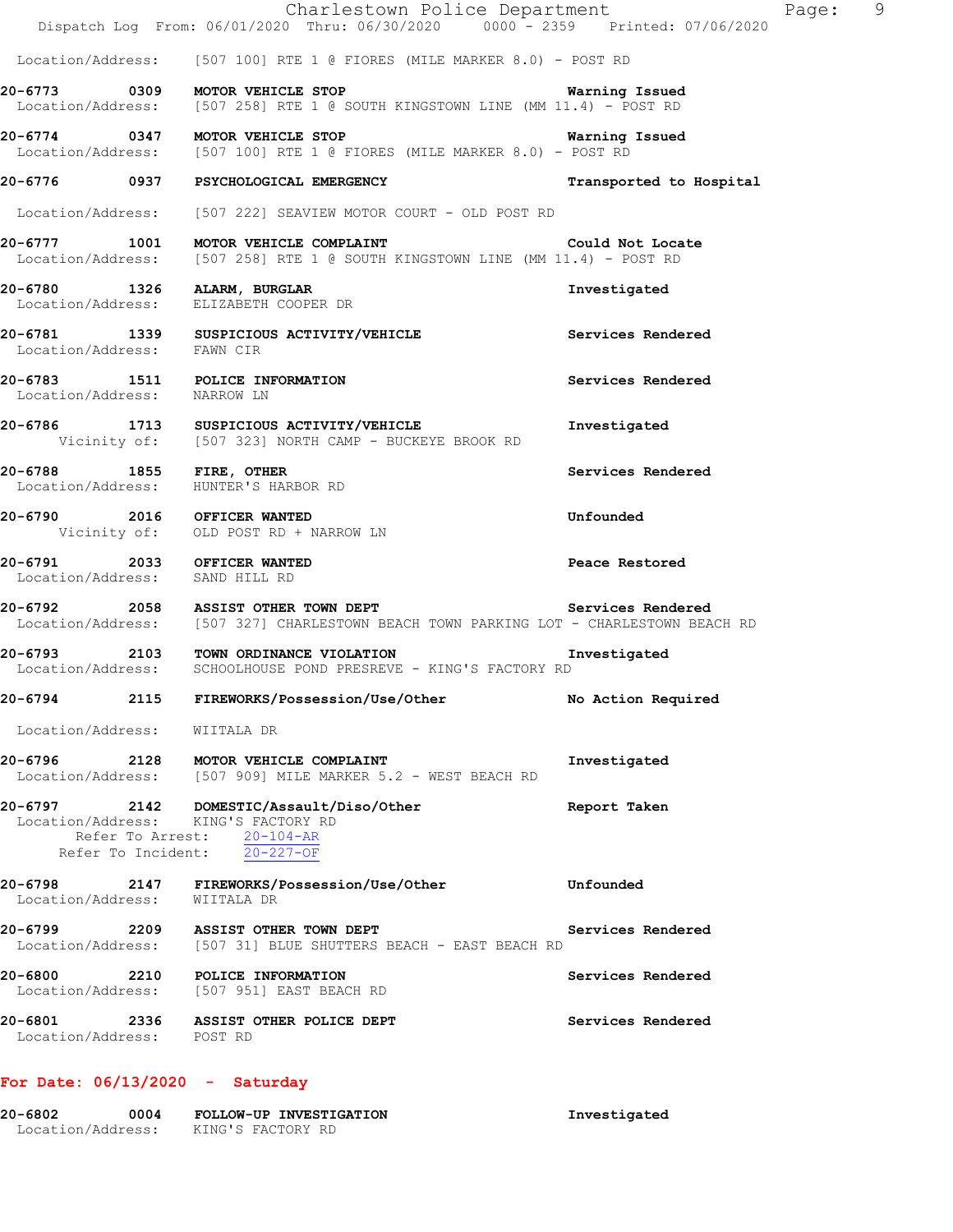|                                | Charlestown Police Department<br>Dispatch Log From: 06/01/2020 Thru: 06/30/2020 0000 - 2359 Printed: 07/06/2020                                                                  | - 9<br>Page:            |
|--------------------------------|----------------------------------------------------------------------------------------------------------------------------------------------------------------------------------|-------------------------|
|                                | Location/Address: [507 100] RTE 1 @ FIORES (MILE MARKER 8.0) - POST RD                                                                                                           |                         |
|                                | 20-6773 0309 MOTOR VEHICLE STOP<br>Location/Address: [507 258] RTE 1 @ SOUTH KINGSTOWN LINE (MM 11.4) - POST RD                                                                  | <b>Warning Issued</b>   |
|                                | 20-6774 0347 MOTOR VEHICLE STOP 1991 1991 Warning Issued<br>Location/Address: [507 100] RTE 1 @ FIORES (MILE MARKER 8.0) - POST RD                                               |                         |
|                                | 20-6776 0937 PSYCHOLOGICAL EMERGENCY                                                                                                                                             | Transported to Hospital |
|                                | Location/Address: [507 222] SEAVIEW MOTOR COURT - OLD POST RD                                                                                                                    |                         |
|                                | 20-6777 1001 MOTOR VEHICLE COMPLAINT<br>Location/Address: [507 258] RTE 1 @ SOUTH KINGSTOWN LINE (MM 11.4) - POST RD                                                             | Could Not Locate        |
|                                | 20-6780 1326 ALARM, BURGLAR<br>Location/Address: ELIZABETH COOPER DR                                                                                                             | Investigated            |
| Location/Address: FAWN CIR     | 20-6781 1339 SUSPICIOUS ACTIVITY/VEHICLE Services Rendered                                                                                                                       |                         |
| Location/Address: NARROW LN    | 20-6783 1511 POLICE INFORMATION                                                                                                                                                  | Services Rendered       |
|                                | 20-6786 1713 SUSPICIOUS ACTIVITY/VEHICLE<br>Vicinity of: [507 323] NORTH CAMP - BUCKEYE BROOK RD                                                                                 | Investigated            |
|                                | 20-6788 1855 FIRE, OTHER<br>Location/Address: HUNTER'S HARBOR RD                                                                                                                 | Services Rendered       |
|                                | 20-6790 2016 OFFICER WANTED<br>Vicinity of: OLD POST RD + NARROW LN                                                                                                              | Unfounded               |
| Location/Address: SAND HILL RD | 20-6791 2033 OFFICER WANTED                                                                                                                                                      | Peace Restored          |
|                                | 20-6792 2058 ASSIST OTHER TOWN DEPT<br>Location/Address: [507 327] CHARLESTOWN BEACH TOWN PARKING LOT - CHARLESTOWN BEACH RD                                                     | Services Rendered       |
|                                | 20-6793 2103 TOWN ORDINANCE VIOLATION TIME Surfaced Structure of the Second Structure of the Second Structure<br>Location/Address: SCHOOLHOUSE POND PRESREVE - KING'S FACTORY RD |                         |
|                                | 20-6794 2115 FIREWORKS/Possession/Use/Other No Action Required                                                                                                                   |                         |
| Location/Address: WIITALA DR   |                                                                                                                                                                                  |                         |
|                                | 20-6796 2128 MOTOR VEHICLE COMPLAINT<br>Location/Address: [507 909] MILE MARKER 5.2 - WEST BEACH RD                                                                              | Investigated            |
|                                | 20-6797 2142 DOMESTIC/Assault/Diso/Other<br>Location/Address: KING'S FACTORY RD<br>Refer To Arrest: 20-104-AR<br>Refer To Incident: $20-227-OF$                                  | Report Taken            |
| Location/Address: WIITALA DR   | 20-6798 2147 FIREWORKS/Possession/Use/Other 5798 Unfounded                                                                                                                       |                         |
|                                | 20-6799 2209 ASSIST OTHER TOWN DEPT<br>Location/Address: [507 31] BLUE SHUTTERS BEACH - EAST BEACH RD                                                                            | Services Rendered       |
|                                | 20-6800 2210 POLICE INFORMATION<br>Location/Address: [507 951] EAST BEACH RD                                                                                                     | Services Rendered       |
| Location/Address: POST RD      | 20-6801 2336 ASSIST OTHER POLICE DEPT                                                                                                                                            | Services Rendered       |
|                                |                                                                                                                                                                                  |                         |

# **For Date: 06/13/2020 - Saturday**

| 20-6802           | 0004 | FOLLOW-UP INVESTIGATION | Investigated |
|-------------------|------|-------------------------|--------------|
| Location/Address: |      | KING'S FACTORY RD       |              |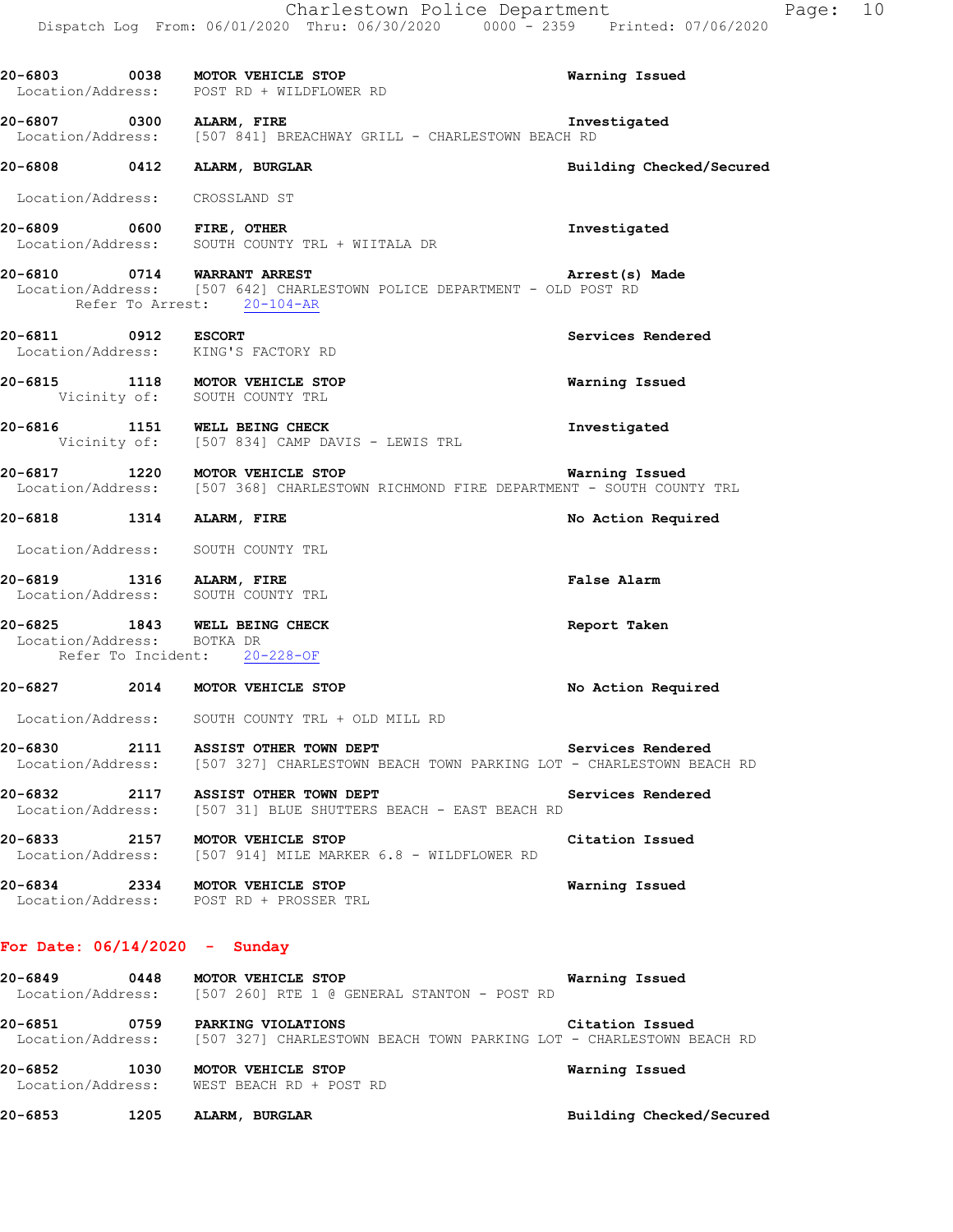|                                 | 20-6803 0038 MOTOR VEHICLE STOP<br>Location/Address: POST RD + WILDFLOWER RD                                                         | Warning Issued           |
|---------------------------------|--------------------------------------------------------------------------------------------------------------------------------------|--------------------------|
|                                 | 20-6807 0300 ALARM, FIRE<br>Location/Address: [507 841] BREACHWAY GRILL - CHARLESTOWN BEACH RD                                       | Investigated             |
|                                 | 20-6808 0412 ALARM, BURGLAR                                                                                                          | Building Checked/Secured |
| Location/Address: CROSSLAND ST  |                                                                                                                                      |                          |
| 20-6809 0600 FIRE, OTHER        | Location/Address: SOUTH COUNTY TRL + WIITALA DR                                                                                      | Investigated             |
|                                 | 20-6810 0714 WARRANT ARREST<br>Location/Address: [507 642] CHARLESTOWN POLICE DEPARTMENT - OLD POST RD<br>Refer To Arrest: 20-104-AR | Arrest(s) Made           |
|                                 | 20-6811 0912 ESCORT<br>Location/Address: KING'S FACTORY RD                                                                           | Services Rendered        |
|                                 | 20-6815 1118 MOTOR VEHICLE STOP<br>Vicinity of: SOUTH COUNTY TRL                                                                     | Warning Issued           |
|                                 | 20-6816 1151 WELL BEING CHECK<br>Vicinity of: [507 834] CAMP DAVIS - LEWIS TRL                                                       | Investigated             |
|                                 | 20-6817 1220 MOTOR VEHICLE STOP<br>Location/Address: [507 368] CHARLESTOWN RICHMOND FIRE DEPARTMENT - SOUTH COUNTY TRL               | Warning Issued           |
| 20-6818 1314 ALARM, FIRE        |                                                                                                                                      | No Action Required       |
|                                 | Location/Address: SOUTH COUNTY TRL                                                                                                   |                          |
|                                 | 20-6819 1316 ALARM, FIRE<br>Location/Address: SOUTH COUNTY TRL                                                                       | <b>False Alarm</b>       |
| Location/Address: BOTKA DR      | 20-6825 1843 WELL BEING CHECK<br>Refer To Incident: 20-228-OF                                                                        | Report Taken             |
|                                 | 20-6827 2014 MOTOR VEHICLE STOP                                                                                                      | No Action Required       |
|                                 | Location/Address: SOUTH COUNTY TRL + OLD MILL RD                                                                                     |                          |
| 20-6830                         | 2111 ASSIST OTHER TOWN DEPT<br>Location/Address: [507 327] CHARLESTOWN BEACH TOWN PARKING LOT - CHARLESTOWN BEACH RD                 | Services Rendered        |
| 20-6832                         | 2117 ASSIST OTHER TOWN DEPT<br>Location/Address: [507 31] BLUE SHUTTERS BEACH - EAST BEACH RD                                        | Services Rendered        |
|                                 | 20-6833 2157 MOTOR VEHICLE STOP<br>Location/Address: [507 914] MILE MARKER 6.8 - WILDFLOWER RD                                       | Citation Issued          |
|                                 | 20-6834 2334 MOTOR VEHICLE STOP<br>Location/Address: POST RD + PROSSER TRL                                                           | Warning Issued           |
| For Date: $06/14/2020 -$ Sunday |                                                                                                                                      |                          |

# **20-6849 0448 MOTOR VEHICLE STOP Warning Issued**  Location/Address: [507 260] RTE 1 @ GENERAL STANTON - POST RD **20-6851 0759 PARKING VIOLATIONS Citation Issued**

 Location/Address: [507 327] CHARLESTOWN BEACH TOWN PARKING LOT - CHARLESTOWN BEACH RD **20-6852 1030 MOTOR VEHICLE STOP Warning Issued** 

Location/Address: WEST BEACH RD + POST RD

**20-6853 1205 ALARM, BURGLAR Building Checked/Secured**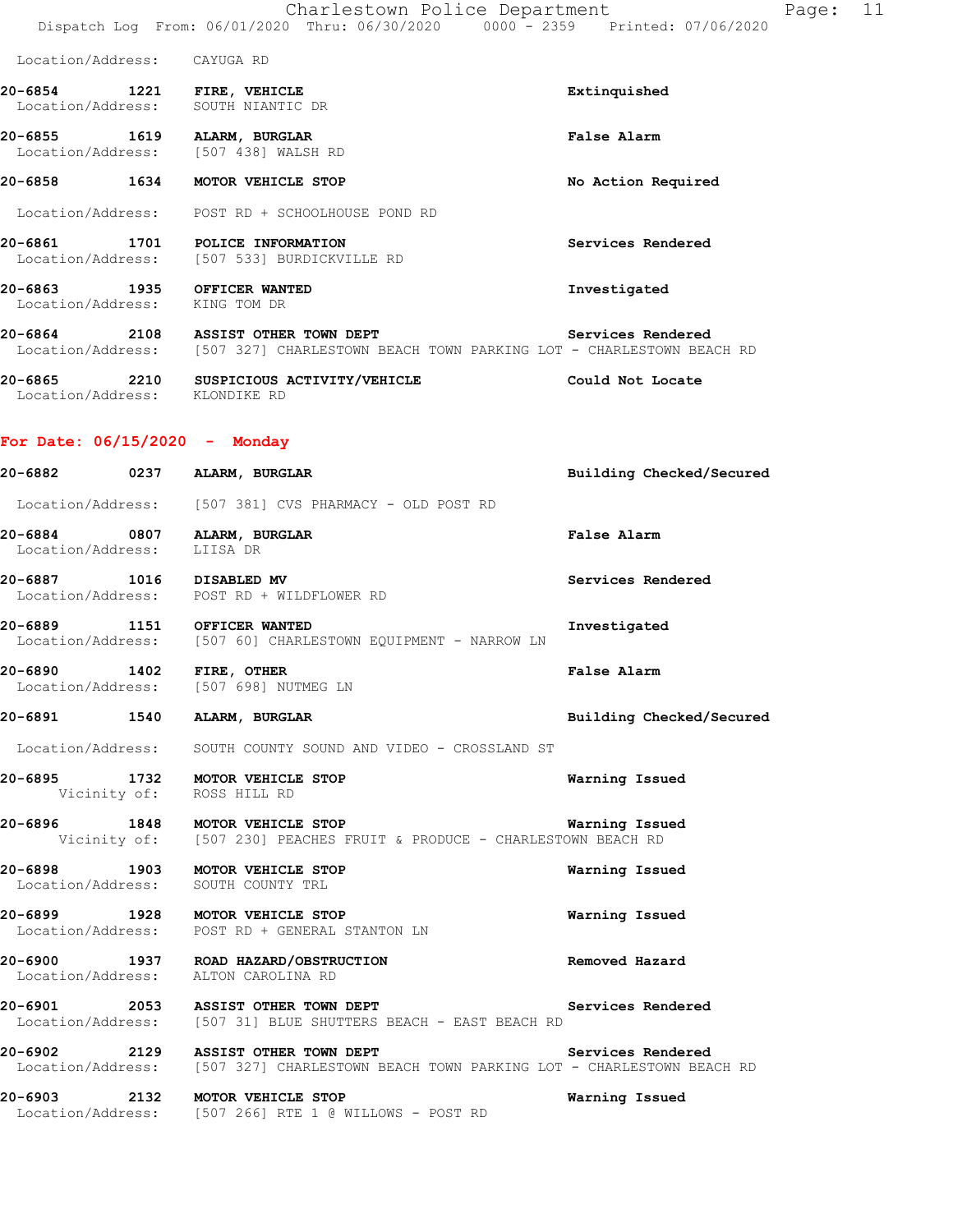| Location/Address: | CAYUGA RD |
|-------------------|-----------|
|                   |           |

- **20-6854 1221 FIRE, VEHICLE Extinquished**  Location/Address: SOUTH NIANTIC DR
- **20-6855 1619 ALARM, BURGLAR False Alarm**  Location/Address: [507 438] WALSH RD
- **20-6858 1634 MOTOR VEHICLE STOP No Action Required**
- Location/Address: POST RD + SCHOOLHOUSE POND RD
- **20-6861 1701 POLICE INFORMATION Services Rendered**  Location/Address: [507 533] BURDICKVILLE RD
- **20-6863 1935 OFFICER WANTED Investigated**  Location/Address: KING TOM DR
- **20-6864 2108 ASSIST OTHER TOWN DEPT Services Rendered**  Location/Address: [507 327] CHARLESTOWN BEACH TOWN PARKING LOT - CHARLESTOWN BEACH RD
- **20-6865 2210 SUSPICIOUS ACTIVITY/VEHICLE Could Not Locate**  Location/Address: KLONDIKE RD

#### **For Date: 06/15/2020 - Monday**

| 20-6882 0237 ALARM, BURGLAR                               |                                                                                                                                                | Building Checked/Secured |
|-----------------------------------------------------------|------------------------------------------------------------------------------------------------------------------------------------------------|--------------------------|
|                                                           | Location/Address: [507 381] CVS PHARMACY - OLD POST RD                                                                                         |                          |
| 20-6884 0807 ALARM, BURGLAR<br>Location/Address: LIISA DR |                                                                                                                                                | <b>False Alarm</b>       |
|                                                           | 20-6887 1016 DISABLED MV<br>Location/Address: POST RD + WILDFLOWER RD                                                                          | Services Rendered        |
| 20-6889 1151 OFFICER WANTED                               | Location/Address: [507 60] CHARLESTOWN EQUIPMENT - NARROW LN                                                                                   | Investigated             |
|                                                           | 20-6890 1402 FIRE, OTHER<br>Location/Address: [507 698] NUTMEG LN                                                                              | <b>False Alarm</b>       |
| 20-6891 1540 ALARM, BURGLAR                               |                                                                                                                                                | Building Checked/Secured |
|                                                           | Location/Address: SOUTH COUNTY SOUND AND VIDEO - CROSSLAND ST                                                                                  |                          |
|                                                           | 20-6895 1732 MOTOR VEHICLE STOP<br>Vicinity of: ROSS HILL RD                                                                                   | Warning Issued           |
|                                                           | 1848 MOTOR VEHICLE STOP Warning Issu<br>Vicinity of: [507 230] PEACHES FRUIT & PRODUCE - CHARLESTOWN BEACH RD                                  | Warning Issued           |
|                                                           | 20-6898 1903 MOTOR VEHICLE STOP<br>Location/Address: SOUTH COUNTY TRL                                                                          | Warning Issued           |
|                                                           | 20-6899 1928 MOTOR VEHICLE STOP<br>Location/Address: POST RD + GENERAL STANTON LN                                                              | Warning Issued           |
|                                                           | 20-6900 1937 ROAD HAZARD/OBSTRUCTION<br>Location/Address: ALTON CAROLINA RD                                                                    | Removed Hazard           |
|                                                           | 20-6901 2053 ASSIST OTHER TOWN DEPT<br>Location/Address: [507 31] BLUE SHUTTERS BEACH - EAST BEACH RD                                          | Services Rendered        |
|                                                           | 20-6902 2129 ASSIST OTHER TOWN DEPT Services Rendered<br>Location/Address: [507 327] CHARLESTOWN BEACH TOWN PARKING LOT - CHARLESTOWN BEACH RD |                          |
|                                                           | 20-6903 2132 MOTOR VEHICLE STOP<br>Location/Address: [507 266] RTE 1 @ WILLOWS - POST RD                                                       | Warning Issued           |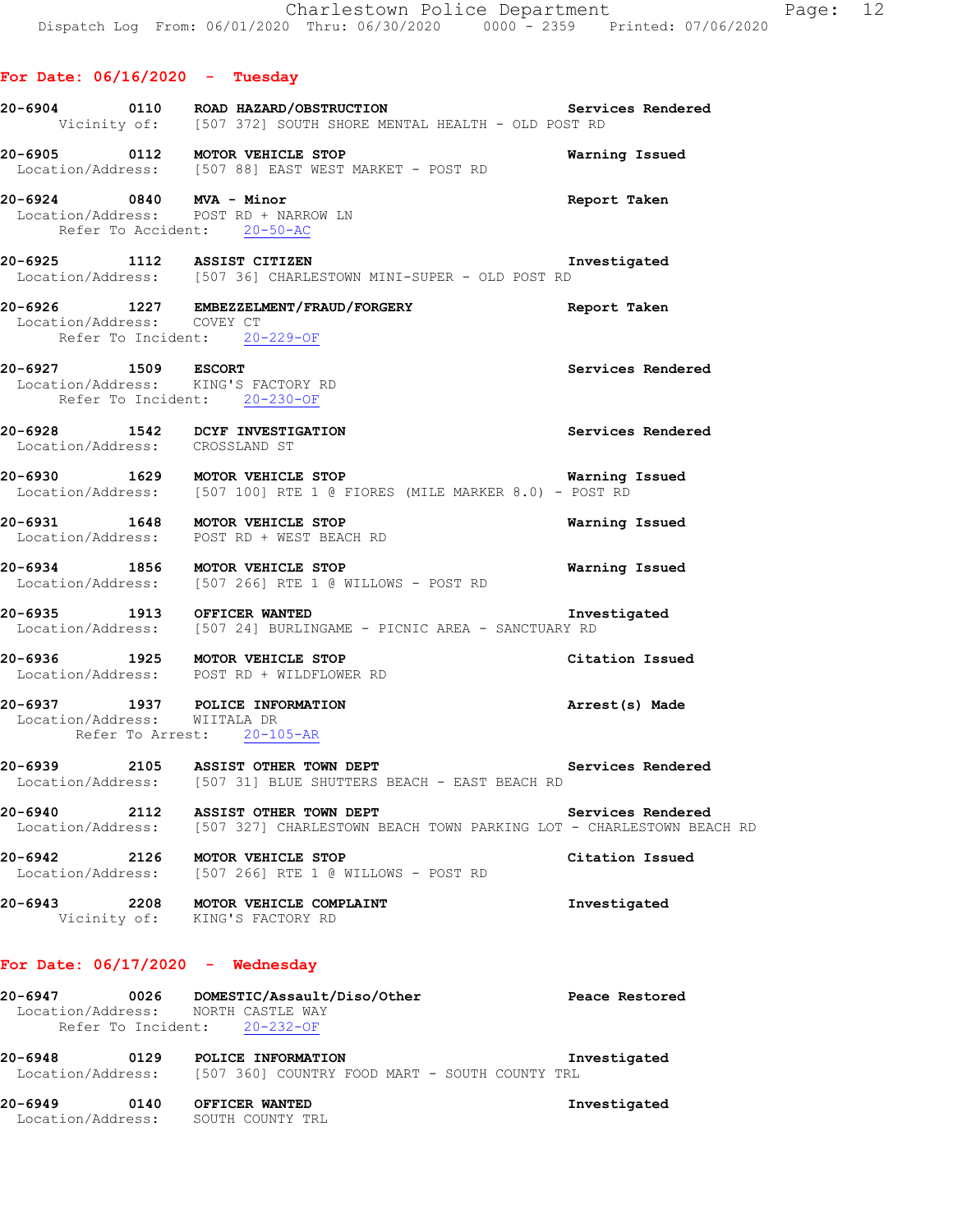# **For Date: 06/16/2020 - Tuesday 20-6904 0110 ROAD HAZARD/OBSTRUCTION Services Rendered**  Vicinity of: [507 372] SOUTH SHORE MENTAL HEALTH - OLD POST RD **20-6905 0112 MOTOR VEHICLE STOP Warning Issued**  Location/Address: [507 88] EAST WEST MARKET - POST RD **20-6924 0840 MVA - Minor Report Taken**  Location/Address: POST RD + NARROW LN Refer To Accident: 20-50-AC **20-6925 1112 ASSIST CITIZEN Investigated**  Location/Address: [507 36] CHARLESTOWN MINI-SUPER - OLD POST RD **20-6926 1227 EMBEZZELMENT/FRAUD/FORGERY Report Taken**  Location/Address: COVEY CT Refer To Incident: 20-229-OF **20-6927 1509 ESCORT Services Rendered**  Location/Address: KING'S FACTORY RD Refer To Incident: 20-230-OF **20-6928 1542 DCYF INVESTIGATION Services Rendered**  Location/Address: CROSSLAND ST **20-6930 1629 MOTOR VEHICLE STOP WARKER 8.0)** - **Warning Issued** Location/Address: [507 100] RTE 1 @ FIORES (MILE MARKER 8.0) - POST RD [507 100] RTE 1 @ FIORES (MILE MARKER 8.0) - POST RD **20-6931 1648 MOTOR VEHICLE STOP Warning Issued**  Location/Address: POST RD + WEST BEACH RD **20-6934 1856 MOTOR VEHICLE STOP Warning Issued**  Location/Address: [507 266] RTE 1 @ WILLOWS - POST RD **20-6935 1913 OFFICER WANTED Investigated Investigated** Location/Address: [507 24] BURLINGAME - PICNIC AREA - SANCTUARY RD [507 24] BURLINGAME - PICNIC AREA - SANCTUARY RD **20-6936 1925 MOTOR VEHICLE STOP Citation Issued**  Location/Address: POST RD + WILDFLOWER RD **20-6937 1937 POLICE INFORMATION Arrest(s) Made**  Location/Address: WIITALA DR Refer To Arrest: 20-105-AR **20-6939 2105 ASSIST OTHER TOWN DEPT Services Rendered**  Location/Address: [507 31] BLUE SHUTTERS BEACH - EAST BEACH RD **20-6940 2112 ASSIST OTHER TOWN DEPT Services Rendered**  Location/Address: [507 327] CHARLESTOWN BEACH TOWN PARKING LOT - CHARLESTOWN BEACH RD **20-6942 2126 MOTOR VEHICLE STOP Citation Issued**  Location/Address: [507 266] RTE 1 @ WILLOWS - POST RD **20-6943 2208 MOTOR VEHICLE COMPLAINT Investigated**  Vicinity of: KING'S FACTORY RD **For Date: 06/17/2020 - Wednesday 20-6947 0026 DOMESTIC/Assault/Diso/Other Peace Restored**  Location/Address: NORTH CASTLE WAY Refer To Incident: 20-232-OF

**20-6948 0129 POLICE INFORMATION Investigated**  Location/Address: [507 360] COUNTRY FOOD MART - SOUTH COUNTY TRL

**20-6949 0140 OFFICER WANTED Investigated**  Location/Address: SOUTH COUNTY TRL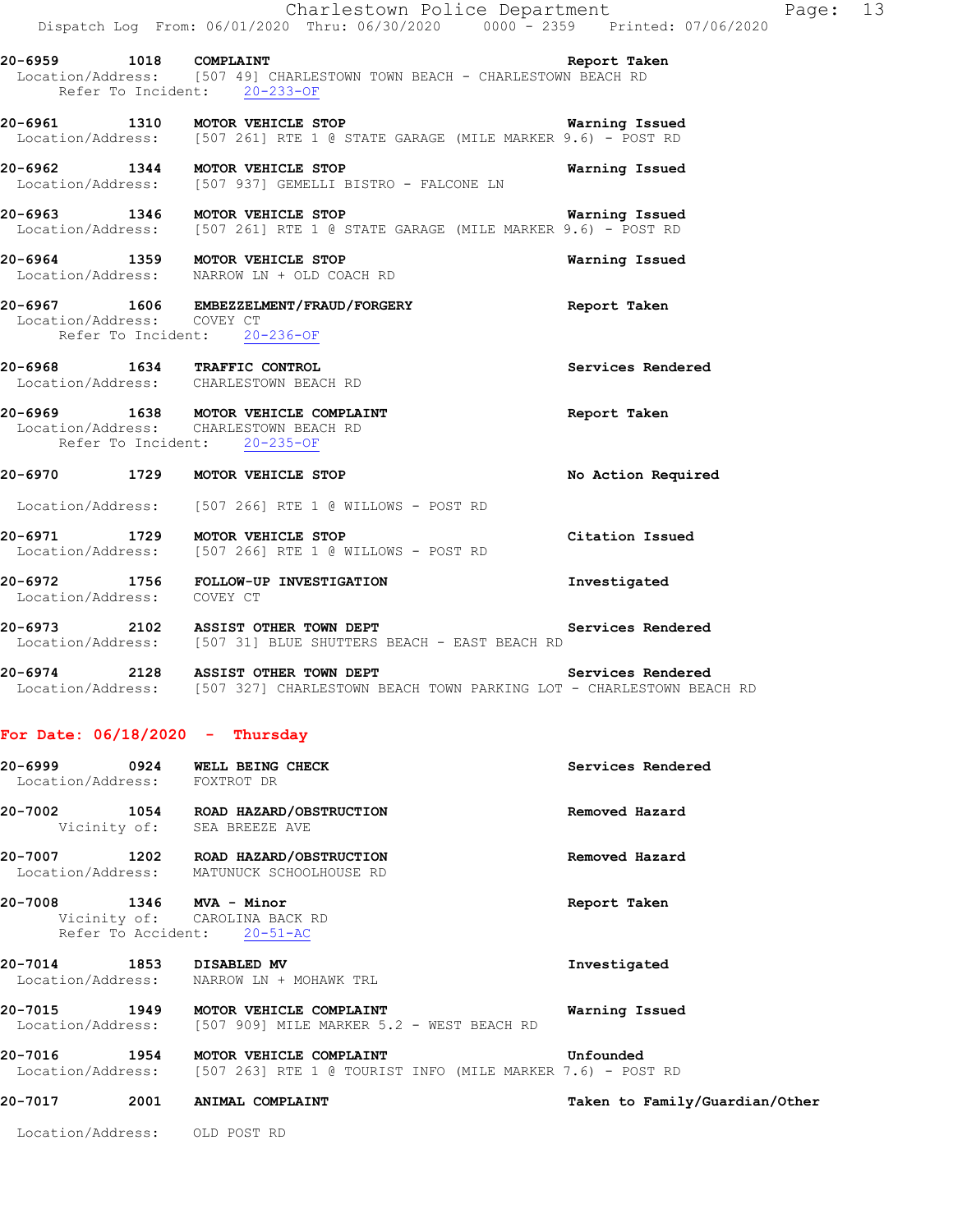| 20-7002                      | 1054 | ROAD HAZARD/OBSTRUCTION                                                                                                                        | Removed Hazard     |
|------------------------------|------|------------------------------------------------------------------------------------------------------------------------------------------------|--------------------|
| 20-6999<br>Location/Address: | 0924 | WELL BEING CHECK<br>FOXTROT DR                                                                                                                 | Services Rendered  |
|                              |      | For Date: $06/18/2020 -$ Thursday                                                                                                              |                    |
|                              |      | 20-6974 2128 ASSIST OTHER TOWN DEPT Services Rendered<br>Location/Address: [507 327] CHARLESTOWN BEACH TOWN PARKING LOT - CHARLESTOWN BEACH RD |                    |
|                              |      | 20-6973 2102 ASSIST OTHER TOWN DEPT<br>Location/Address: [507 31] BLUE SHUTTERS BEACH - EAST BEACH RD                                          | Services Rendered  |
|                              |      | 20-6972 1756 FOLLOW-UP INVESTIGATION<br>Location/Address: COVEY CT                                                                             | Investigated       |
|                              |      | 20-6971 1729 MOTOR VEHICLE STOP<br>Location/Address: [507 266] RTE 1 @ WILLOWS - POST RD                                                       | Citation Issued    |
|                              |      | Location/Address: [507 266] RTE 1 @ WILLOWS - POST RD                                                                                          |                    |
|                              |      | 20-6970 1729 MOTOR VEHICLE STOP                                                                                                                | No Action Required |
|                              |      | 20-6969 1638 MOTOR VEHICLE COMPLAINT<br>Location/Address: CHARLESTOWN BEACH RD<br>Refer To Incident: 20-235-OF                                 | Report Taken       |
|                              |      | 20-6968 1634 TRAFFIC CONTROL<br>Location/Address: CHARLESTOWN BEACH RD                                                                         | Services Rendered  |
| Location/Address: COVEY CT   |      | 20-6967 1606 EMBEZZELMENT/FRAUD/FORGERY Seport Taken<br>Refer To Incident: 20-236-OF                                                           |                    |
|                              |      | 20-6964 1359 MOTOR VEHICLE STOP<br>Location/Address: NARROW LN + OLD COACH RD                                                                  | Warning Issued     |
|                              |      | 20-6963 1346 MOTOR VEHICLE STOP<br><b>Warning Issued</b><br>Location/Address: [507 261] RTE 1 @ STATE GARAGE (MILE MARKER 9.6) - POST RD       |                    |
|                              |      | 20-6962 1344 MOTOR VEHICLE STOP<br>Location/Address: [507 937] GEMELLI BISTRO - FALCONE LN                                                     | Warning Issued     |
|                              |      | 20-6961 1310 MOTOR VEHICLE STOP 120 Warning Issued<br>Location/Address: [507 261] RTE 1 @ STATE GARAGE (MILE MARKER 9.6) - POST RD             |                    |
|                              |      | 20-6959 1018 COMPLAINT<br>Location/Address: [507 49] CHARLESTOWN TOWN BEACH - CHARLESTOWN BEACH RD<br>Refer To Incident: 20-233-OF             | Report Taken       |
|                              |      | Dispatch Log From: 06/01/2020 Thru: 06/30/2020 0000 - 2359 Printed: 07/06/2020                                                                 |                    |
|                              |      | Charlestown Police Department                                                                                                                  |                    |

 Vicinity of: SEA BREEZE AVE **20-7007 1202 ROAD HAZARD/OBSTRUCTION Removed Hazard** 

Location/Address: MATUNUCK SCHOOLHOUSE RD

**20-7008 1346 MVA - Minor Report Taken**  Vicinity of: CAROLINA BACK RD Refer To Accident: 20-51-AC

**20-7014 1853 DISABLED MV Investigated**  Location/Address: NARROW LN + MOHAWK TRL

**20-7015 1949 MOTOR VEHICLE COMPLAINT Warning Issued**  Location/Address: [507 909] MILE MARKER 5.2 - WEST BEACH RD

**20-7016 1954 MOTOR VEHICLE COMPLAINT Unfounded**  Location/Address: [507 263] RTE 1 @ TOURIST INFO (MILE MARKER 7.6) - POST RD

**20-7017 2001 ANIMAL COMPLAINT Taken to Family/Guardian/Other**

Location/Address: OLD POST RD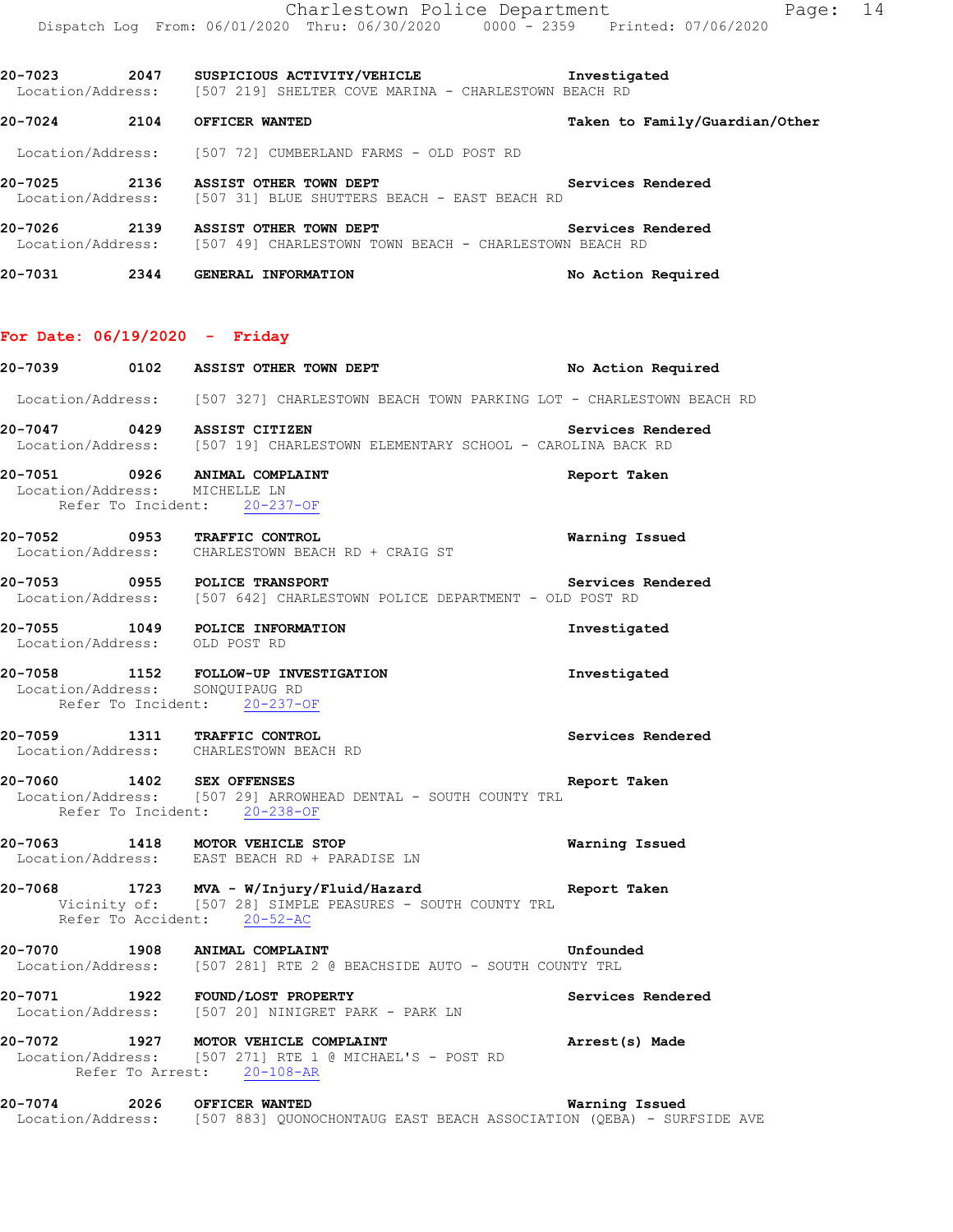Location/Address: [507 219] SHELTER COVE MARINA - CHARLESTOWN BEACH RD **20-7024 2104 OFFICER WANTED Taken to Family/Guardian/Other** Location/Address: [507 72] CUMBERLAND FARMS - OLD POST RD 20-7025 2136 ASSIST OTHER TOWN DEPT **1200 Services Rendered**  Location/Address: [507 31] BLUE SHUTTERS BEACH - EAST BEACH RD **20-7026 2139 ASSIST OTHER TOWN DEPT Services Rendered**  Location/Address: [507 49] CHARLESTOWN TOWN BEACH - CHARLESTOWN BEACH RD

**20-7031 2344 GENERAL INFORMATION No Action Required** 

#### **For Date: 06/19/2020 - Friday**

**20-7039 0102 ASSIST OTHER TOWN DEPT No Action Required**  Location/Address: [507 327] CHARLESTOWN BEACH TOWN PARKING LOT - CHARLESTOWN BEACH RD **20-7047 0429 ASSIST CITIZEN Services Rendered**  Location/Address: [507 19] CHARLESTOWN ELEMENTARY SCHOOL - CAROLINA BACK RD **20-7051 0926 ANIMAL COMPLAINT Report Taken**  Location/Address: MICHELLE LN Refer To Incident: 20-237-OF **20-7052 0953 TRAFFIC CONTROL Warning Issued**  Location/Address: CHARLESTOWN BEACH RD + CRAIG ST **20-7053 0955 POLICE TRANSPORT Services Rendered**  Location/Address: [507 642] CHARLESTOWN POLICE DEPARTMENT - OLD POST RD **20-7055 1049 POLICE INFORMATION Investigated**  Location/Address: OLD POST RD **20-7058 1152 FOLLOW-UP INVESTIGATION Investigated**  Location/Address: SONQUIPAUG RD Refer To Incident: 20-237-OF **20-7059 1311 TRAFFIC CONTROL Services Rendered**  Location/Address: CHARLESTOWN BEACH RD **20-7060 1402 SEX OFFENSES Report Taken**  Location/Address: [507 29] ARROWHEAD DENTAL - SOUTH COUNTY TRL Refer To Incident: 20-238-OF **20-7063 1418 MOTOR VEHICLE STOP Warning Issued**  Location/Address: EAST BEACH RD + PARADISE LN **20-7068 1723 MVA - W/Injury/Fluid/Hazard Report Taken**  Vicinity of: [507 28] SIMPLE PEASURES - SOUTH COUNTY TRL Refer To Accident: 20-52-AC **20-7070 1908 ANIMAL COMPLAINT**<br>Location/Address: [507 281] RTE 2 @ BEACHSIDE AUTO - SOUTH COUNTY TRL [507 281] RTE 2 @ BEACHSIDE AUTO - SOUTH COUNTY TRL **20-7071 1922 FOUND/LOST PROPERTY Services Rendered**  Location/Address: [507 20] NINIGRET PARK - PARK LN **20-7072 1927 MOTOR VEHICLE COMPLAINT Arrest(s) Made**  Location/Address: [507 271] RTE 1 @ MICHAEL'S - POST RD Refer To Arrest: 20-108-AR **20-7074 2026 OFFICER WANTED Warning Issued**  Location/Address: [507 883] QUONOCHONTAUG EAST BEACH ASSOCIATION (QEBA) - SURFSIDE AVE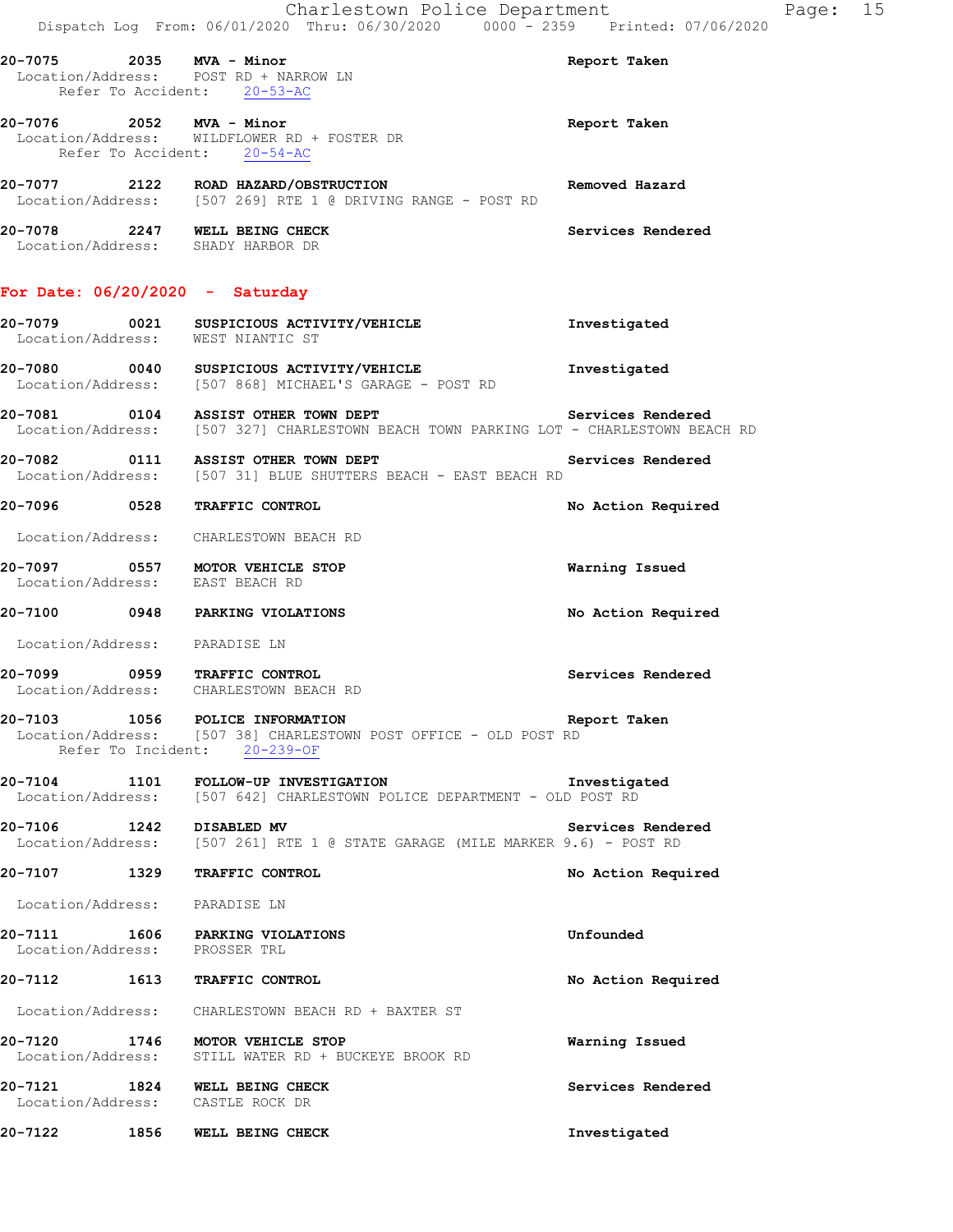Location/Address: POST RD + NARROW LN Refer To Accident: 20-53-AC

**20-7076 2052 MVA - Minor Report Taken**  Location/Address: WILDFLOWER RD + FOSTER DR Refer To Accident: 20-54-AC

**20-7077 2122 ROAD HAZARD/OBSTRUCTION Removed Hazard**  Location/Address: [507 269] RTE 1 @ DRIVING RANGE - POST RD

**20-7078 2247 WELL BEING CHECK Services Rendered**  Location/Address: SHADY HARBOR DR

### **For Date: 06/20/2020 - Saturday**

### **20-7079 0021 SUSPICIOUS ACTIVITY/VEHICLE Investigated**  Location/Address: WEST NIANTIC ST

**20-7080 0040 SUSPICIOUS ACTIVITY/VEHICLE Investigated**  Location/Address: [507 868] MICHAEL'S GARAGE - POST RD

**20-7081 0104 ASSIST OTHER TOWN DEPT Services Rendered**<br>Location/Address: [507 327] CHARLESTOWN BEACH TOWN PARKING LOT - CHARLESTOWN BEA [507 327] CHARLESTOWN BEACH TOWN PARKING LOT - CHARLESTOWN BEACH RD

**20-7082 0111 ASSIST OTHER TOWN DEPT Services Rendered**  Location/Address: [507 31] BLUE SHUTTERS BEACH - EAST BEACH RD

**20-7096 0528 TRAFFIC CONTROL No Action Required** 

Location/Address: CHARLESTOWN BEACH RD

**20-7097 0557 MOTOR VEHICLE STOP Warning Issued**  Location/Address:

**20-7100 0948 PARKING VIOLATIONS No Action Required** 

Location/Address: PARADISE LN

**20-7099 0959 TRAFFIC CONTROL Services Rendered**  Location/Address: CHARLESTOWN BEACH RD

**20-7103 1056 POLICE INFORMATION Report Taken**  Location/Address: [507 38] CHARLESTOWN POST OFFICE - OLD POST RD Refer To Incident: 20-239-OF

**20-7104 1101 FOLLOW-UP INVESTIGATION Investigated**  Location/Address: [507 642] CHARLESTOWN POLICE DEPARTMENT - OLD POST RD

**20-7106 1242 DISABLED MV Services Rendered 1242** DISABLED MV **Services Rendered Location/Address:** [507 261] RTE 1 @ STATE GARAGE (MILE MARKER 9.6) - POST RD [507 261] RTE 1 @ STATE GARAGE (MILE MARKER 9.6) - POST RD

**20-7107 1329 TRAFFIC CONTROL No Action Required** 

Location/Address: PARADISE LN

**20-7111 1606 PARKING VIOLATIONS Unfounded**  Location/Address: PROSSER TRL

# **20-7112 1613 TRAFFIC CONTROL No Action Required**

Location/Address: CHARLESTOWN BEACH RD + BAXTER ST

**20-7120 1746 MOTOR VEHICLE STOP Warning Issued**  Location/Address: STILL WATER RD + BUCKEYE BROOK RD

**20-7121 1824 WELL BEING CHECK Services Rendered**  Location/Address: CASTLE ROCK DR

**20-7122 1856 WELL BEING CHECK Investigated**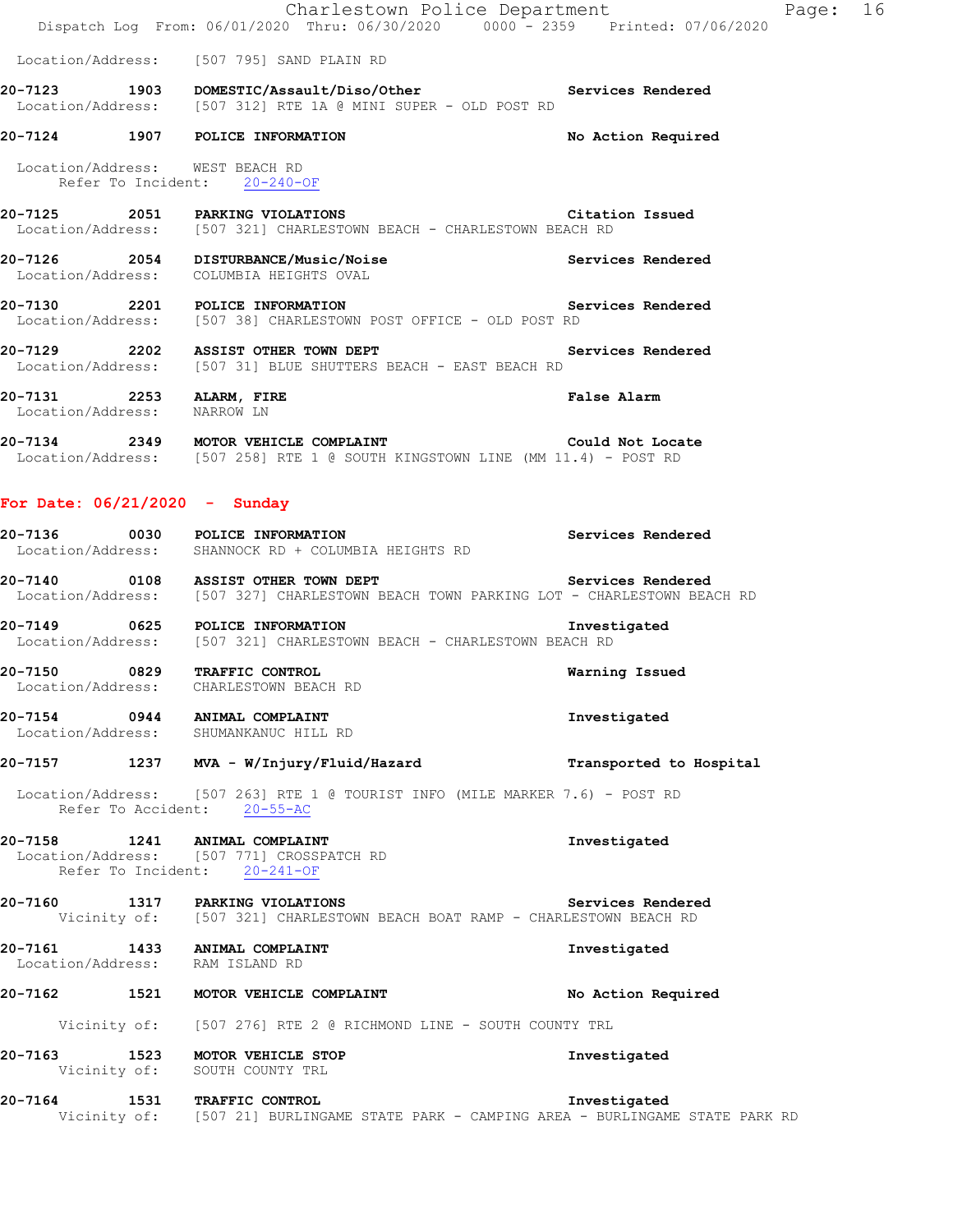|                                                         | Charlestown Police Department<br>Dispatch Log From: 06/01/2020 Thru: 06/30/2020 0000 - 2359 Printed: 07/06/2020              |                         | Page: 16 |  |
|---------------------------------------------------------|------------------------------------------------------------------------------------------------------------------------------|-------------------------|----------|--|
|                                                         | Location/Address: [507 795] SAND PLAIN RD                                                                                    |                         |          |  |
|                                                         | 20-7123 1903 DOMESTIC/Assault/Diso/Other Services Rendered<br>Location/Address: [507 312] RTE 1A @ MINI SUPER - OLD POST RD  |                         |          |  |
|                                                         | 20-7124 1907 POLICE INFORMATION                                                                                              | No Action Required      |          |  |
|                                                         | Location/Address: WEST BEACH RD<br>Refer To Incident: 20-240-OF                                                              |                         |          |  |
|                                                         | 20-7125 2051 PARKING VIOLATIONS Citation Issued<br>Location/Address: [507 321] CHARLESTOWN BEACH - CHARLESTOWN BEACH RD      |                         |          |  |
|                                                         | 20-7126 2054 DISTURBANCE/Music/Noise<br>Location/Address: COLUMBIA HEIGHTS OVAL                                              | Services Rendered       |          |  |
|                                                         | 20-7130 2201 POLICE INFORMATION<br>Location/Address: [507 38] CHARLESTOWN POST OFFICE - OLD POST RD                          | Services Rendered       |          |  |
|                                                         | 20-7129 2202 ASSIST OTHER TOWN DEPT Services Rendered<br>Location/Address: [507 31] BLUE SHUTTERS BEACH - EAST BEACH RD      |                         |          |  |
| 20-7131 2253 ALARM, FIRE<br>Location/Address: NARROW LN |                                                                                                                              | <b>False Alarm</b>      |          |  |
|                                                         | 20-7134 2349 MOTOR VEHICLE COMPLAINT COULD NOT LOCATION Address: [507 258] RTE 1 @ SOUTH KINGSTOWN LINE (MM 11.4) - POST RD  | Could Not Locate        |          |  |
| For Date: $06/21/2020 -$ Sunday                         |                                                                                                                              |                         |          |  |
|                                                         | 20-7136 0030 POLICE INFORMATION<br>Location/Address: SHANNOCK RD + COLUMBIA HEIGHTS RD                                       | Services Rendered       |          |  |
|                                                         | 20-7140 0108 ASSIST OTHER TOWN DEPT<br>Location/Address: [507 327] CHARLESTOWN BEACH TOWN PARKING LOT - CHARLESTOWN BEACH RD | Services Rendered       |          |  |
|                                                         | 20-7149 0625 POLICE INFORMATION<br>Location/Address: [507 321] CHARLESTOWN BEACH - CHARLESTOWN BEACH RD                      | Investigated            |          |  |
|                                                         | 20-7150 0829 TRAFFIC CONTROL<br>Location/Address: CHARLESTOWN BEACH RD                                                       | Warning Issued          |          |  |
|                                                         | 20-7154 0944 ANIMAL COMPLAINT<br>Location/Address: SHUMANKANUC HILL RD                                                       | Investigated            |          |  |
|                                                         | 20-7157 1237 MVA - W/Injury/Fluid/Hazard                                                                                     | Transported to Hospital |          |  |
|                                                         | Location/Address: [507 263] RTE 1 @ TOURIST INFO (MILE MARKER 7.6) - POST RD<br>Refer To Accident: 20-55-AC                  |                         |          |  |
|                                                         | 20-7158 1241 ANIMAL COMPLAINT<br>Location/Address: [507 771] CROSSPATCH RD<br>Refer To Incident: 20-241-OF                   | Investigated            |          |  |
|                                                         | 20-7160 1317 PARKING VIOLATIONS<br>Vicinity of: [507 321] CHARLESTOWN BEACH BOAT RAMP - CHARLESTOWN BEACH RD                 | Services Rendered       |          |  |
|                                                         | 20-7161 1433 ANIMAL COMPLAINT<br>Location/Address: RAM ISLAND RD                                                             | Investigated            |          |  |
|                                                         | 20-7162 1521 MOTOR VEHICLE COMPLAINT                                                                                         | No Action Required      |          |  |
|                                                         | Vicinity of: [507 276] RTE 2 @ RICHMOND LINE - SOUTH COUNTY TRL                                                              |                         |          |  |
|                                                         | 20-7163 1523 MOTOR VEHICLE STOP<br>Vicinity of: SOUTH COUNTY TRL                                                             | Investigated            |          |  |
|                                                         | 20-7164 1531 TRAFFIC CONTROL<br>Vicinity of: [507 21] BURLINGAME STATE PARK - CAMPING AREA - BURLINGAME STATE PARK RD        | Investigated            |          |  |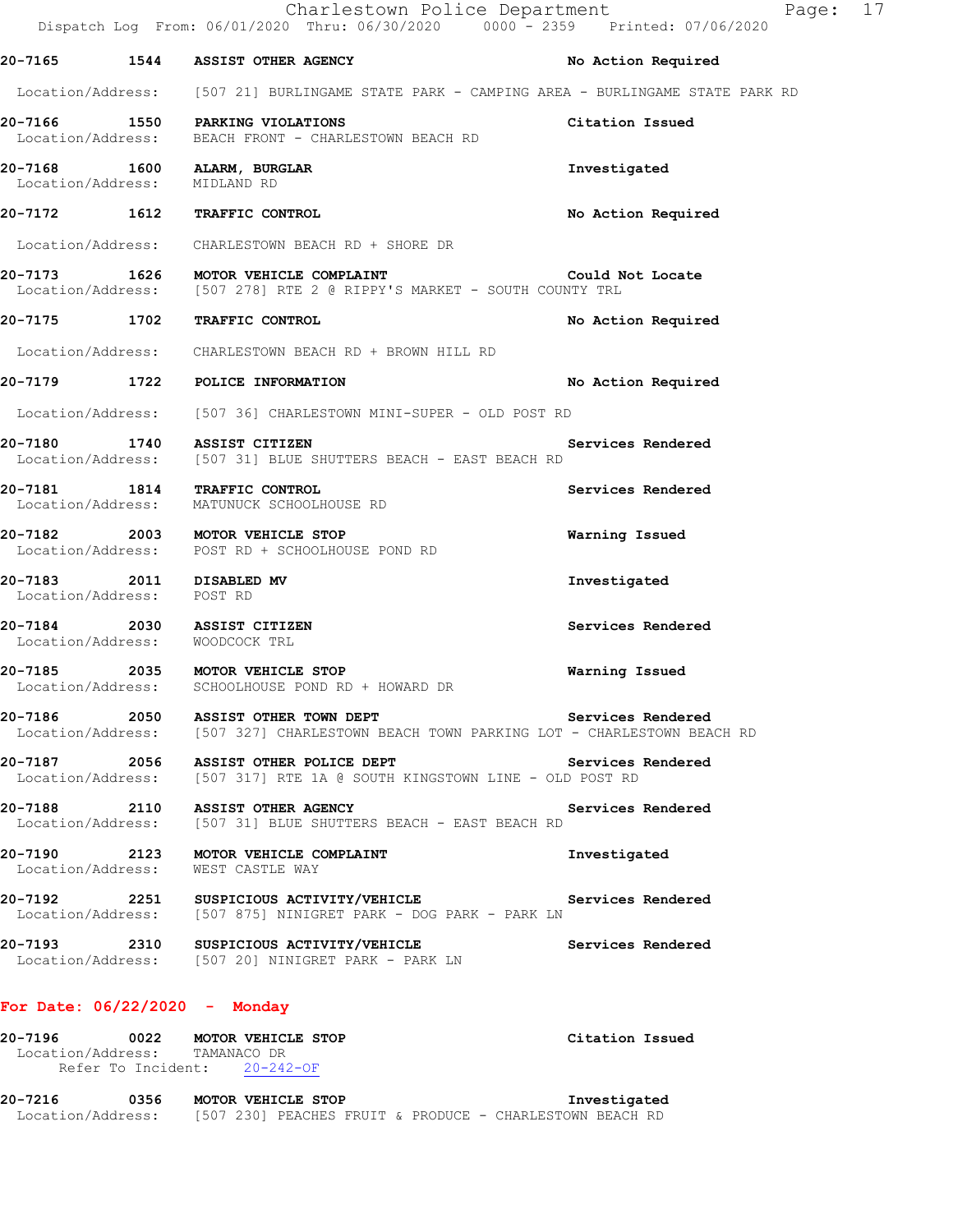|                                                       | Charlestown Police Department<br>Dispatch Log From: 06/01/2020 Thru: 06/30/2020 0000 - 2359 Printed: 07/06/2020              | P.                 |
|-------------------------------------------------------|------------------------------------------------------------------------------------------------------------------------------|--------------------|
|                                                       | 20-7165 1544 ASSIST OTHER AGENCY                                                                                             | No Action Required |
|                                                       | Location/Address: [507 21] BURLINGAME STATE PARK - CAMPING AREA - BURLINGAME STATE PARK RD                                   |                    |
|                                                       | 20-7166 1550 PARKING VIOLATIONS<br>Location/Address: BEACH FRONT - CHARLESTOWN BEACH RD                                      | Citation Issued    |
| Location/Address: MIDLAND RD                          | 20-7168 1600 ALARM, BURGLAR                                                                                                  | Investigated       |
|                                                       | 20-7172 1612 TRAFFIC CONTROL                                                                                                 | No Action Required |
|                                                       | Location/Address: CHARLESTOWN BEACH RD + SHORE DR                                                                            |                    |
|                                                       | 20-7173 1626 MOTOR VEHICLE COMPLAINT<br>Location/Address: [507 278] RTE 2 @ RIPPY'S MARKET - SOUTH COUNTY TRL                | Could Not Locate   |
|                                                       | 20-7175 1702 TRAFFIC CONTROL                                                                                                 | No Action Required |
|                                                       | Location/Address: CHARLESTOWN BEACH RD + BROWN HILL RD                                                                       |                    |
|                                                       | 20-7179 1722 POLICE INFORMATION                                                                                              | No Action Required |
|                                                       | Location/Address: [507 36] CHARLESTOWN MINI-SUPER - OLD POST RD                                                              |                    |
|                                                       | 20-7180 1740 ASSIST CITIZEN<br>Location/Address: [507 31] BLUE SHUTTERS BEACH - EAST BEACH RD                                | Services Rendered  |
|                                                       | 20-7181 1814 TRAFFIC CONTROL<br>Location/Address: MATUNUCK SCHOOLHOUSE RD                                                    | Services Rendered  |
|                                                       | 20-7182 2003 MOTOR VEHICLE STOP<br>Location/Address: POST RD + SCHOOLHOUSE POND RD                                           | Warning Issued     |
| 20-7183 2011 DISABLED MV<br>Location/Address: POST RD |                                                                                                                              | Investigated       |
| Location/Address: WOODCOCK TRL                        | 20-7184 2030 ASSIST CITIZEN                                                                                                  | Services Rendered  |
|                                                       | 20-7185 2035 MOTOR VEHICLE STOP<br>Location/Address: SCHOOLHOUSE POND RD + HOWARD DR                                         | Warning Issued     |
|                                                       | 20-7186 2050 ASSIST OTHER TOWN DEPT<br>Location/Address: [507 327] CHARLESTOWN BEACH TOWN PARKING LOT - CHARLESTOWN BEACH RD | Services Rendered  |
|                                                       | 20-7187 2056 ASSIST OTHER POLICE DEPT<br>Location/Address: [507 317] RTE 1A @ SOUTH KINGSTOWN LINE - OLD POST RD             | Services Rendered  |
|                                                       | 20-7188 2110 ASSIST OTHER AGENCY<br>Location/Address: [507 31] BLUE SHUTTERS BEACH - EAST BEACH RD                           | Services Rendered  |
|                                                       | 20-7190 2123 MOTOR VEHICLE COMPLAINT<br>Location/Address: WEST CASTLE WAY                                                    | Investigated       |
|                                                       | 20-7192 2251 SUSPICIOUS ACTIVITY/VEHICLE Services Rendered<br>Location/Address: [507 875] NINIGRET PARK - DOG PARK - PARK LN |                    |
|                                                       | 20-7193 2310 SUSPICIOUS ACTIVITY/VEHICLE Services Rendered<br>Location/Address: [507 20] NINIGRET PARK - PARK LN             |                    |
| For Date: $06/22/2020 -$ Monday                       |                                                                                                                              |                    |
| 20-7196 2014                                          | 0022 MOTOR VEHICLE STOP                                                                                                      | Citation Issued    |

**20-7216 0356 MOTOR VEHICLE STOP Investigated**  Location/Address: [507 230] PEACHES FRUIT & PRODUCE - CHARLESTOWN BEACH RD

 Location/Address: TAMANACO DR Refer To Incident: 20-242-OF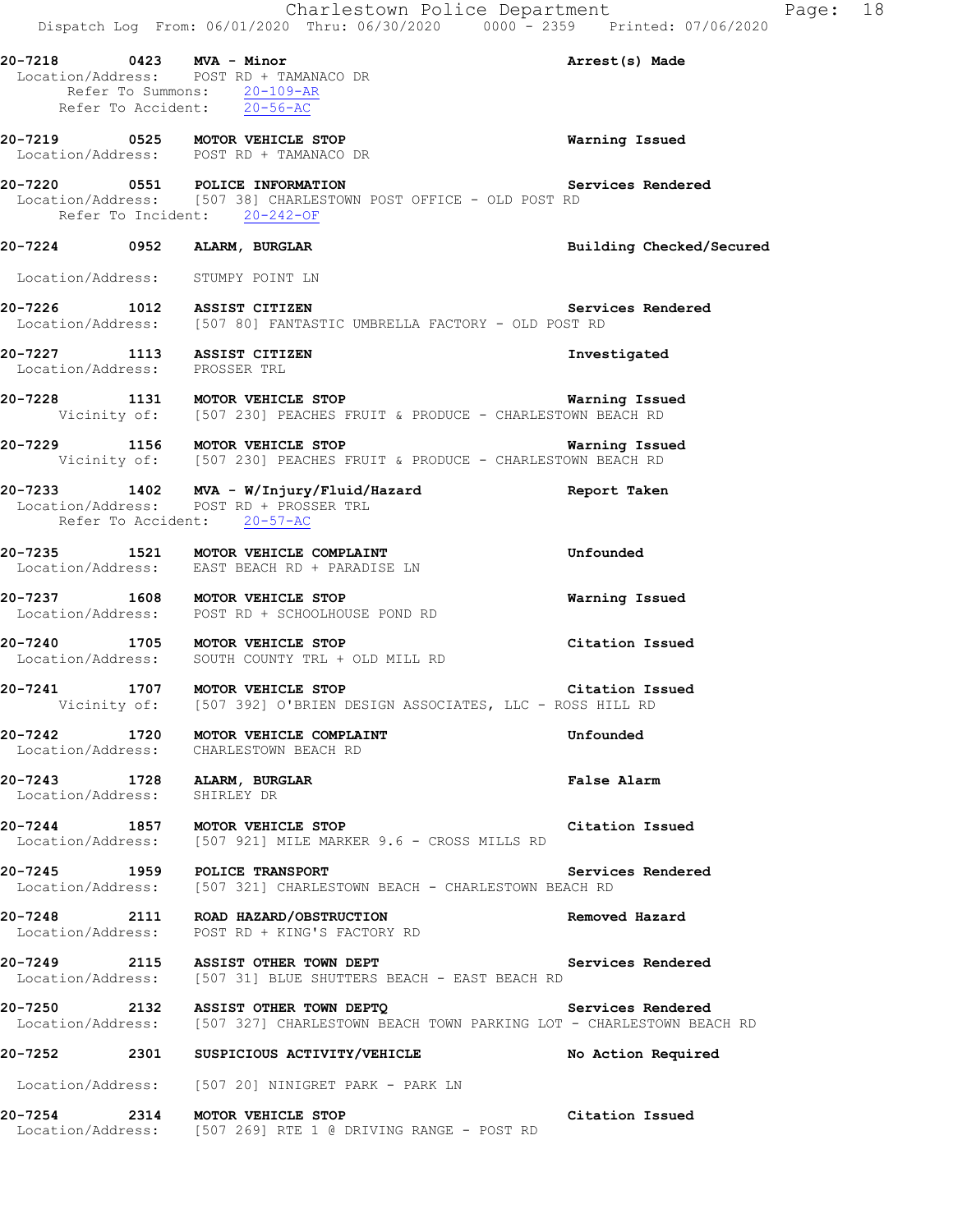|                                                              | Charlestown Police Department<br>Dispatch Log From: 06/01/2020 Thru: 06/30/2020 0000 - 2359 Printed: 07/06/2020                                              |                          |
|--------------------------------------------------------------|--------------------------------------------------------------------------------------------------------------------------------------------------------------|--------------------------|
| 20-7218 0423 MVA - Minor                                     | Location/Address: POST RD + TAMANACO DR<br>Refer To Summons: 20-109-AR<br>Refer To Accident: 20-56-AC                                                        | Arrest(s) Made           |
|                                                              | 20-7219 0525 MOTOR VEHICLE STOP<br>Location/Address: POST RD + TAMANACO DR                                                                                   | Warning Issued           |
|                                                              | 20-7220 0551 POLICE INFORMATION Se<br>Location/Address: [507 38] CHARLESTOWN POST OFFICE - OLD POST RD<br>Refer To Incident: 20-242-OF                       | Services Rendered        |
|                                                              | 20-7224 0952 ALARM, BURGLAR                                                                                                                                  | Building Checked/Secured |
| Location/Address: STUMPY POINT LN                            |                                                                                                                                                              |                          |
|                                                              | 20-7226 1012 ASSIST CITIZEN Servi<br>Location/Address: [507 80] FANTASTIC UMBRELLA FACTORY - OLD POST RD                                                     | Services Rendered        |
| 20-7227 1113 ASSIST CITIZEN<br>Location/Address: PROSSER TRL |                                                                                                                                                              | Investigated             |
|                                                              | <b>20-7228 1131 MOTOR VEHICLE STOP MATRIC MATRIC PRODUCE - CHARLESTOWN BEACH RD</b><br>Vicinity of: [507 230] PEACHES FRUIT & PRODUCE - CHARLESTOWN BEACH RD | Warning Issued           |
|                                                              | 20-7229 1156 MOTOR VEHICLE STOP 120 120 Marning Issued<br>Vicinity of: [507 230] PEACHES FRUIT & PRODUCE - CHARLESTOWN BEACH RD                              |                          |
| Refer To Accident: 20-57-AC                                  | 20-7233 1402 MVA - W/Injury/Fluid/Hazard <b>1888 Report Taken</b><br>Location/Address: POST RD + PROSSER TRL                                                 |                          |
|                                                              | 20-7235 1521 MOTOR VEHICLE COMPLAINT<br>Location/Address: EAST BEACH RD + PARADISE LN                                                                        | Unfounded                |
|                                                              | 20-7237 1608 MOTOR VEHICLE STOP<br>Location/Address: POST RD + SCHOOLHOUSE POND RD                                                                           | Warning Issued           |
|                                                              | 20-7240 1705 MOTOR VEHICLE STOP<br>Location/Address: SOUTH COUNTY TRL + OLD MILL RD                                                                          | Citation Issued          |
| 20-7241                                                      | 1707 MOTOR VEHICLE STOP<br>Vicinity of: [507 392] O'BRIEN DESIGN ASSOCIATES, LLC - ROSS HILL RD                                                              | Citation Issued          |
|                                                              | 20-7242 1720 MOTOR VEHICLE COMPLAINT<br>Location/Address: CHARLESTOWN BEACH RD                                                                               | Unfounded                |
| 20-7243 1728 ALARM, BURGLAR<br>Location/Address: SHIRLEY DR  |                                                                                                                                                              | False Alarm              |
|                                                              | 20-7244 1857 MOTOR VEHICLE STOP<br>Location/Address: [507 921] MILE MARKER 9.6 - CROSS MILLS RD                                                              | Citation Issued          |
|                                                              | 20-7245 1959 POLICE TRANSPORT<br>Location/Address: [507 321] CHARLESTOWN BEACH - CHARLESTOWN BEACH RD                                                        | Services Rendered        |
|                                                              | 20-7248 2111 ROAD HAZARD/OBSTRUCTION<br>Location/Address: POST RD + KING'S FACTORY RD                                                                        | Removed Hazard           |
|                                                              | 20-7249 2115 ASSIST OTHER TOWN DEPT<br>Location/Address: [507 31] BLUE SHUTTERS BEACH - EAST BEACH RD                                                        | Services Rendered        |
|                                                              | 20-7250 2132 ASSIST OTHER TOWN DEPTQ<br>Location/Address: [507 327] CHARLESTOWN BEACH TOWN PARKING LOT - CHARLESTOWN BEACH RD                                | Services Rendered        |
|                                                              | 20-7252 2301 SUSPICIOUS ACTIVITY/VEHICLE                                                                                                                     | No Action Required       |
|                                                              | Location/Address: [507 20] NINIGRET PARK - PARK LN                                                                                                           |                          |
|                                                              | 20-7254 2314 MOTOR VEHICLE STOP<br>Location/Address: [507 269] RTE 1 @ DRIVING RANGE - POST RD                                                               | Citation Issued          |

Page: 18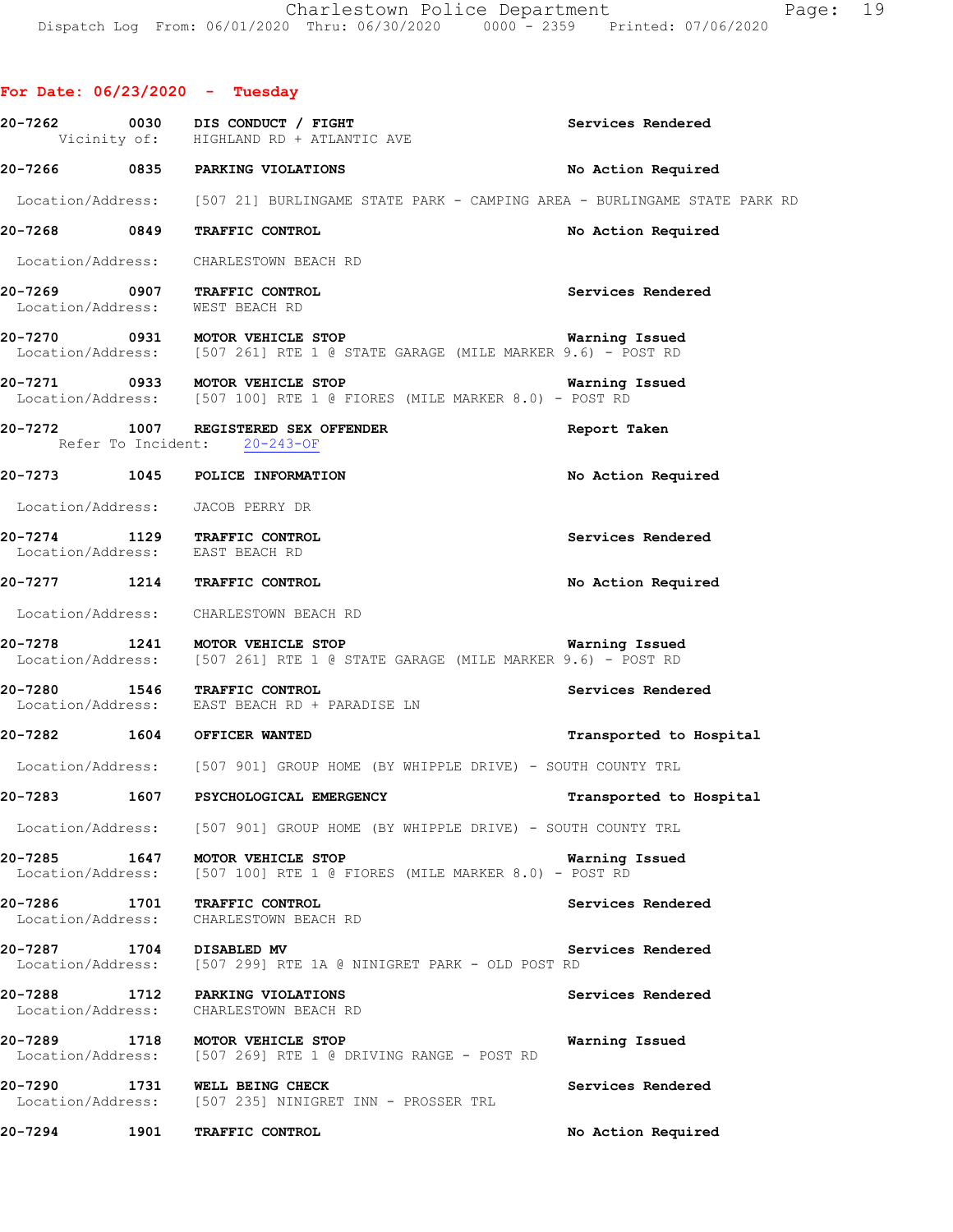### **For Date: 06/23/2020 - Tuesday**

|                          |      | 20-7262 0030 DIS CONDUCT / FIGHT<br>Vicinity of: HIGHLAND RD + ATLANTIC AVE                                                                     | Services Rendered       |
|--------------------------|------|-------------------------------------------------------------------------------------------------------------------------------------------------|-------------------------|
|                          |      | 20-7266 0835 PARKING VIOLATIONS                                                                                                                 | No Action Required      |
|                          |      | Location/Address: [507 21] BURLINGAME STATE PARK - CAMPING AREA - BURLINGAME STATE PARK RD                                                      |                         |
|                          |      | 20-7268 0849 TRAFFIC CONTROL                                                                                                                    | No Action Required      |
|                          |      | Location/Address: CHARLESTOWN BEACH RD                                                                                                          |                         |
|                          |      | 20-7269 0907 TRAFFIC CONTROL<br>Location/Address: WEST BEACH RD                                                                                 | Services Rendered       |
|                          |      | <b>20-7270 0931 MOTOR VEHICLE STOP WERE STOP WATNING ISSUED</b><br>Location/Address: [507 261] RTE 1 @ STATE GARAGE (MILE MARKER 9.6) - POST RD | Warning Issued          |
|                          |      | 20-7271 0933 MOTOR VEHICLE STOP<br>Location/Address: [507 100] RTE 1 @ FIORES (MILE MARKER 8.0) - POST RD                                       | Warning Issued          |
|                          |      | 20-7272 1007 REGISTERED SEX OFFENDER<br>Refer To Incident: 20-243-OF                                                                            | Report Taken            |
|                          |      | 20-7273 1045 POLICE INFORMATION                                                                                                                 | No Action Required      |
|                          |      | Location/Address: JACOB PERRY DR                                                                                                                |                         |
|                          |      | 20-7274 1129 TRAFFIC CONTROL<br>Location/Address: EAST BEACH RD                                                                                 | Services Rendered       |
|                          |      | 20-7277 1214 TRAFFIC CONTROL                                                                                                                    | No Action Required      |
|                          |      | Location/Address: CHARLESTOWN BEACH RD                                                                                                          |                         |
|                          |      | 20-7278 1241 MOTOR VEHICLE STOP<br>Location/Address: [507 261] RTE 1 @ STATE GARAGE (MILE MARKER 9.6) - POST RD                                 | Warning Issued          |
|                          |      | 20-7280 1546 TRAFFIC CONTROL<br>Location/Address: EAST BEACH RD + PARADISE LN                                                                   | Services Rendered       |
|                          |      | 20-7282 1604 OFFICER WANTED                                                                                                                     | Transported to Hospital |
|                          |      | Location/Address: [507 901] GROUP HOME (BY WHIPPLE DRIVE) - SOUTH COUNTY TRL                                                                    |                         |
| 20-7283                  |      | 1607 PSYCHOLOGICAL EMERGENCY                                                                                                                    | Transported to Hospital |
|                          |      | Location/Address: [507 901] GROUP HOME (BY WHIPPLE DRIVE) - SOUTH COUNTY TRL                                                                    |                         |
|                          |      | 20-7285 1647 MOTOR VEHICLE STOP<br>Location/Address: [507 100] RTE 1 @ FIORES (MILE MARKER 8.0) - POST RD                                       | Warning Issued          |
|                          |      | 20-7286 1701 TRAFFIC CONTROL<br>Location/Address: CHARLESTOWN BEACH RD                                                                          | Services Rendered       |
| 20-7287 1704 DISABLED MV |      | Location/Address: [507 299] RTE 1A @ NINIGRET PARK - OLD POST RD                                                                                | Services Rendered       |
|                          |      | 20-7288 1712 PARKING VIOLATIONS<br>Location/Address: CHARLESTOWN BEACH RD                                                                       | Services Rendered       |
|                          |      | 20-7289 1718 MOTOR VEHICLE STOP<br>Location/Address: [507 269] RTE 1 @ DRIVING RANGE - POST RD                                                  | Warning Issued          |
| 20-7290                  |      | 1731 WELL BEING CHECK<br>Location/Address: [507 235] NINIGRET INN - PROSSER TRL                                                                 | Services Rendered       |
| 20-7294                  | 1901 | TRAFFIC CONTROL                                                                                                                                 | No Action Required      |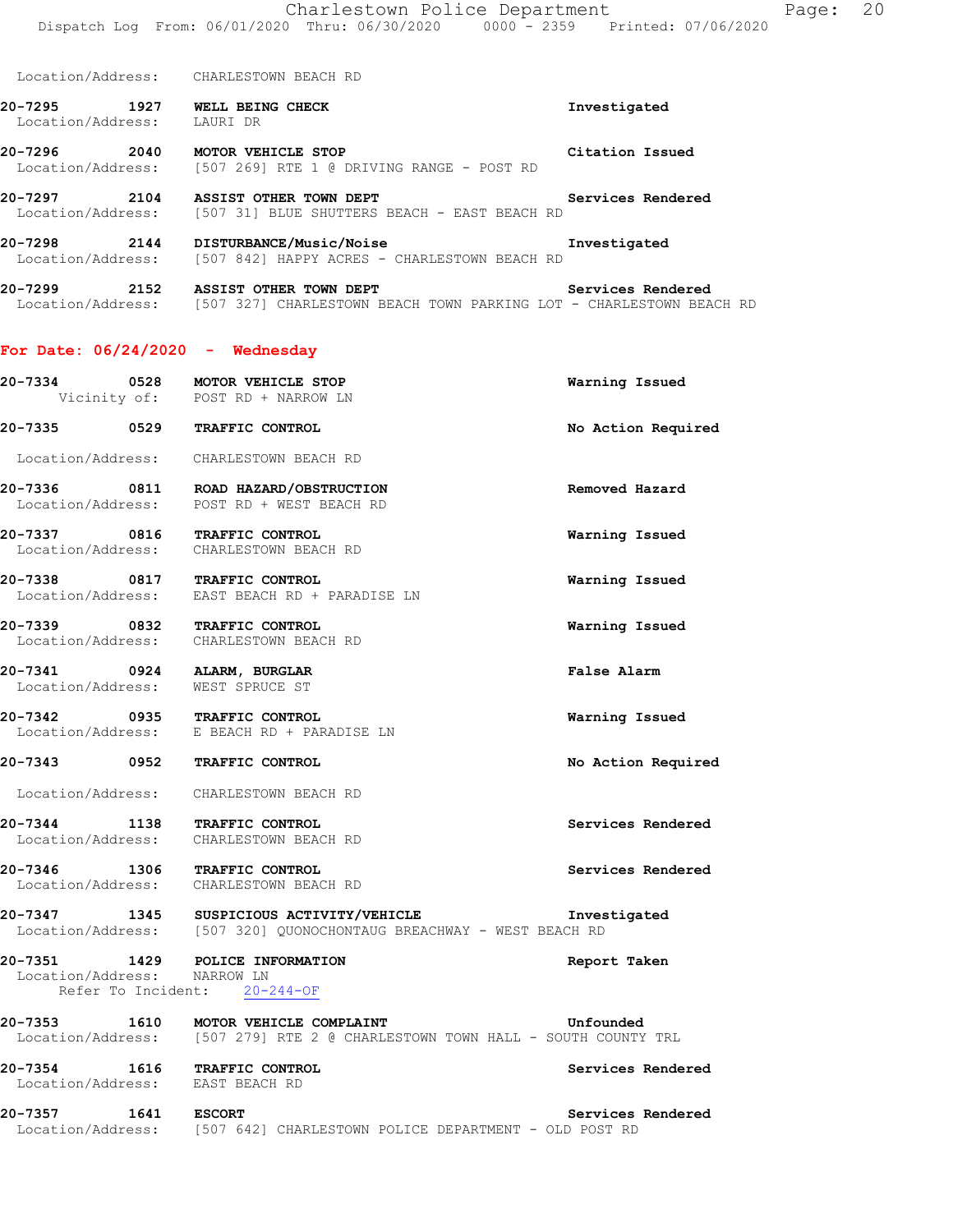Location/Address: CHARLESTOWN BEACH RD

**20-7295 1927 WELL BEING CHECK Investigated**  Location/Address: LAURI DR

**20-7296 2040 MOTOR VEHICLE STOP Citation Issued**  Location/Address: [507 269] RTE 1 @ DRIVING RANGE - POST RD

**20-7297 2104 ASSIST OTHER TOWN DEPT Services Rendered**  Location/Address: [507 31] BLUE SHUTTERS BEACH - EAST BEACH RD

**20-7298 2144 DISTURBANCE/Music/Noise Investigated**  Location/Address: [507 842] HAPPY ACRES - CHARLESTOWN BEACH RD

**20-7299 2152 ASSIST OTHER TOWN DEPT Services Rendered**  Location/Address: [507 327] CHARLESTOWN BEACH TOWN PARKING LOT - CHARLESTOWN BEACH RD

#### **For Date: 06/24/2020 - Wednesday**

| 20-7334      | 0528 | MOTOR VEHICLE STOP  | Warning Issued |
|--------------|------|---------------------|----------------|
| Vicinity of: |      | POST RD + NARROW LN |                |

**20-7335 0529 TRAFFIC CONTROL No Action Required** 

Location/Address: CHARLESTOWN BEACH RD

**20-7336 0811 ROAD HAZARD/OBSTRUCTION Removed Hazard**  Location/Address: POST RD + WEST BEACH RD

**20-7337 0816 TRAFFIC CONTROL Warning Issued**  Location/Address: CHARLESTOWN BEACH RD

**20-7338 0817 TRAFFIC CONTROL Warning Issued**  Location/Address: EAST BEACH RD + PARADISE LN

**20-7339 0832 TRAFFIC CONTROL Warning Issued**  Location/Address: CHARLESTOWN BEACH RD

**20-7341 0924 ALARM, BURGLAR False Alarm**  Location/Address: WEST SPRUCE ST

**20-7342 0935 TRAFFIC CONTROL Warning Issued**  Location/Address: E BEACH RD + PARADISE LN

#### **20-7343 0952 TRAFFIC CONTROL No Action Required**

Location/Address: CHARLESTOWN BEACH RD

**20-7344 1138 TRAFFIC CONTROL Services Rendered**  Location/Address: CHARLESTOWN BEACH RD

**20-7346 1306 TRAFFIC CONTROL Services Rendered**  Location/Address: CHARLESTOWN BEACH RD

**20-7347 1345 SUSPICIOUS ACTIVITY/VEHICLE Investigated**  Location/Address: [507 320] QUONOCHONTAUG BREACHWAY - WEST BEACH RD

**20-7351 1429 POLICE INFORMATION Report Taken**  Location/Address: NARROW LN Refer To Incident: 20-244-OF

**20-7353 1610 MOTOR VEHICLE COMPLAINT Unfounded**  Location/Address: [507 279] RTE 2 @ CHARLESTOWN TOWN HALL - SOUTH COUNTY TRL

**20-7354 1616 TRAFFIC CONTROL Services Rendered**  Location/Address: EAST BEACH RD

**20-7357 1641 ESCORT Services Rendered**  Location/Address: [507 642] CHARLESTOWN POLICE DEPARTMENT - OLD POST RD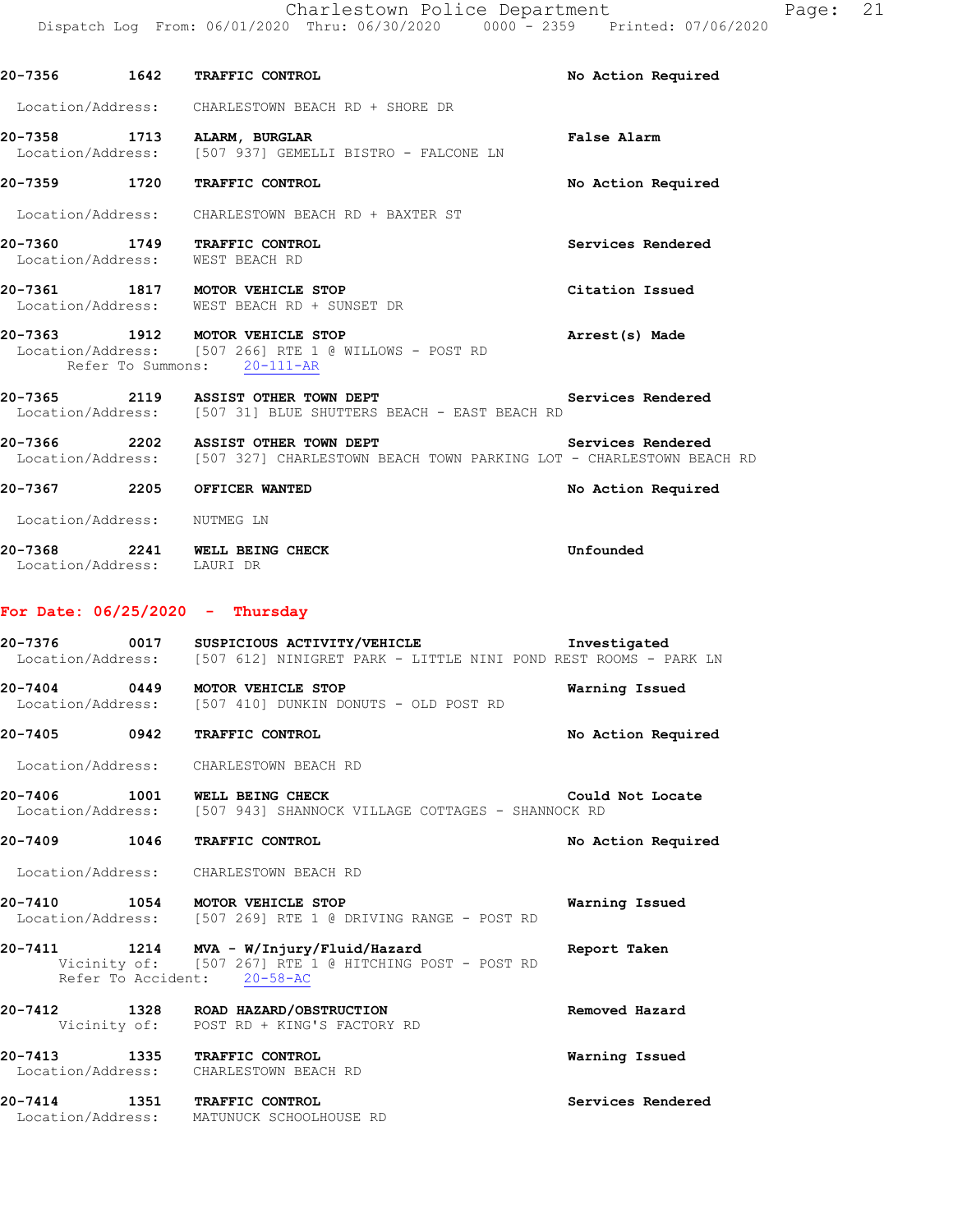Charlestown Police Department Fage: 21 Dispatch Log From: 06/01/2020 Thru: 06/30/2020 0000 - 2359 Printed: 07/06/2020

|                             | 20-7356 1642 TRAFFIC CONTROL                                                                                                               | No Action Required |
|-----------------------------|--------------------------------------------------------------------------------------------------------------------------------------------|--------------------|
|                             | Location/Address: CHARLESTOWN BEACH RD + SHORE DR                                                                                          |                    |
|                             | 20-7358 1713 ALARM, BURGLAR<br>Location/Address: [507 937] GEMELLI BISTRO - FALCONE LN                                                     | <b>False Alarm</b> |
|                             | 20-7359 1720 TRAFFIC CONTROL                                                                                                               | No Action Required |
|                             | Location/Address: CHARLESTOWN BEACH RD + BAXTER ST                                                                                         |                    |
|                             | 20-7360 1749 TRAFFIC CONTROL<br>Location/Address: WEST BEACH RD                                                                            | Services Rendered  |
|                             | $20-7361$ 1817 MOTOR VEHICLE STOP<br>Location/Address: WEST BEACH RD + SUNSET DR                                                           | Citation Issued    |
|                             | 20-7363 1912 MOTOR VEHICLE STOP<br>Location/Address: [507 266] RTE 1 @ WILLOWS - POST RD<br>Refer To Summons: 20-111-AR                    | Arrest(s) Made     |
|                             | 20-7365 2119 ASSIST OTHER TOWN DEPT<br>Location/Address: [507 31] BLUE SHUTTERS BEACH - EAST BEACH RD                                      | Services Rendered  |
|                             | 20-7366 2202 ASSIST OTHER TOWN DEPT<br>Location/Address: [507 327] CHARLESTOWN BEACH TOWN PARKING LOT - CHARLESTOWN BEACH RD               | Services Rendered  |
|                             | 20-7367 2205 OFFICER WANTED                                                                                                                | No Action Required |
| Location/Address: NUTMEG LN |                                                                                                                                            |                    |
|                             | 20-7368 2241 WELL BEING CHECK<br>Location/Address: LAURI DR                                                                                | Unfounded          |
|                             | For Date: $06/25/2020 -$ Thursday                                                                                                          |                    |
|                             | 20-7376 0017 SUSPICIOUS ACTIVITY/VEHICLE Investigated<br>Location/Address: [507 612] NINIGRET PARK - LITTLE NINI POND REST ROOMS - PARK LN |                    |
|                             | 20-7404 0449 MOTOR VEHICLE STOP<br>Location/Address: [507 410] DUNKIN DONUTS - OLD POST RD                                                 | Warning Issued     |
|                             | 20-7405 0942 TRAFFIC CONTROL                                                                                                               | No Action Required |
|                             | Location/Address: CHARLESTOWN BEACH RD                                                                                                     |                    |
|                             | 20-7406 1001 WELL BEING CHECK<br>Location/Address: [507 943] SHANNOCK VILLAGE COTTAGES - SHANNOCK RD                                       | Could Not Locate   |
|                             | 20-7409 1046 TRAFFIC CONTROL                                                                                                               | No Action Required |
|                             | Location/Address: CHARLESTOWN BEACH RD                                                                                                     |                    |
|                             | 20-7410 1054 MOTOR VEHICLE STOP<br>Location/Address: [507 269] RTE 1 @ DRIVING RANGE - POST RD                                             | Warning Issued     |
|                             | 20-7411 1214 MVA - W/Injury/Fluid/Hazard<br>Vicinity of: [507 267] RTE 1 @ HITCHING POST - POST RD<br>Refer To Accident: 20-58-AC          | Report Taken       |
|                             | 20-7412 1328 ROAD HAZARD/OBSTRUCTION<br>Vicinity of: POST RD + KING'S FACTORY RD                                                           | Removed Hazard     |
|                             | 20-7413 1335 TRAFFIC CONTROL<br>Location/Address: CHARLESTOWN BEACH RD                                                                     | Warning Issued     |
|                             | 20-7414 1351 TRAFFIC CONTROL<br>Location/Address: MATUNUCK SCHOOLHOUSE RD                                                                  | Services Rendered  |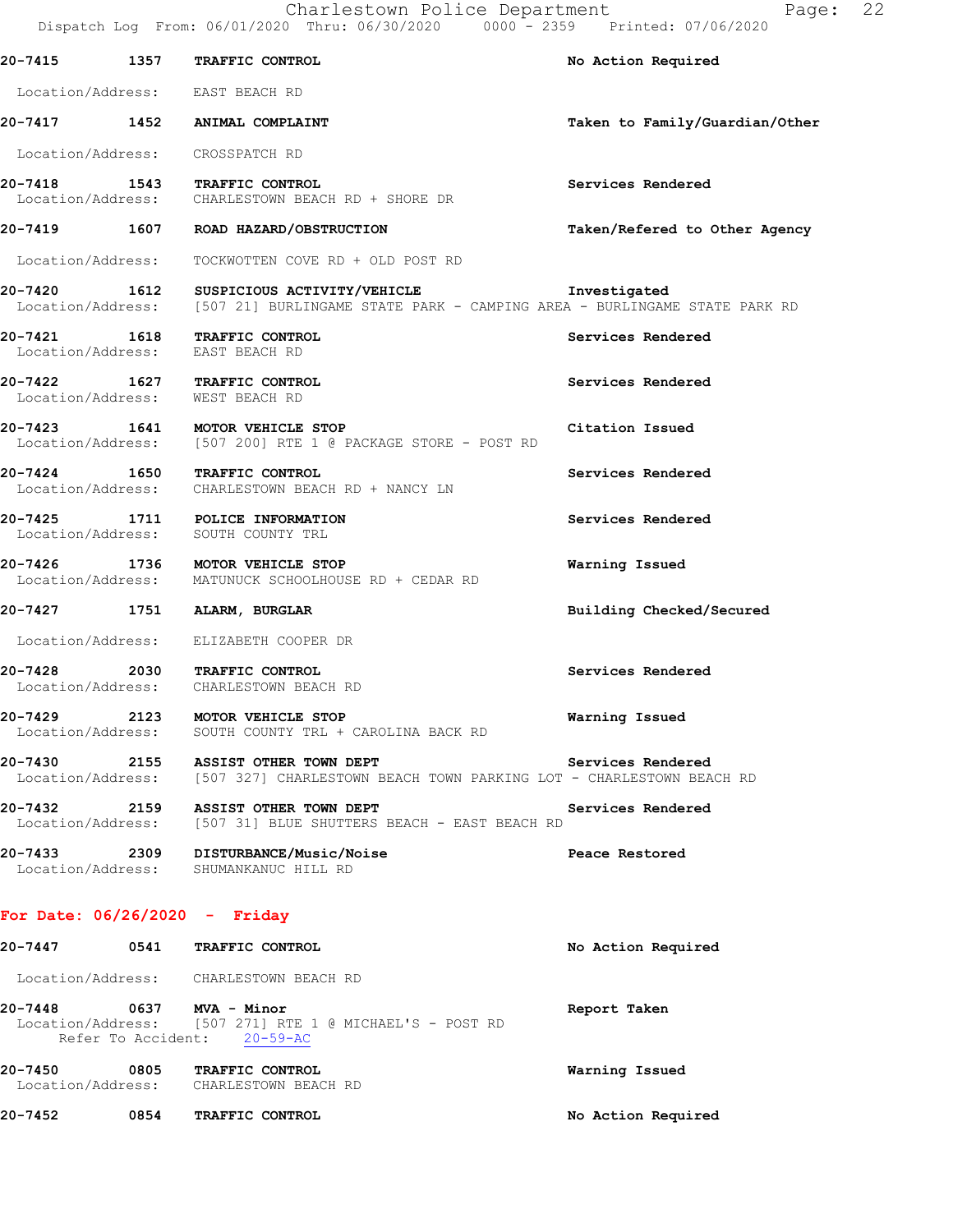|              | 20-7415 1357 TRAFFIC CONTROL                                                                                                                        | No Action Required             |
|--------------|-----------------------------------------------------------------------------------------------------------------------------------------------------|--------------------------------|
|              | Location/Address: EAST BEACH RD                                                                                                                     |                                |
|              | 20-7417 1452 ANIMAL COMPLAINT                                                                                                                       | Taken to Family/Guardian/Other |
|              | Location/Address: CROSSPATCH RD                                                                                                                     |                                |
|              | 20-7418 1543 TRAFFIC CONTROL<br>Location/Address: CHARLESTOWN BEACH RD + SHORE DR                                                                   | Services Rendered              |
|              | 20-7419 1607 ROAD HAZARD/OBSTRUCTION                                                                                                                | Taken/Refered to Other Agency  |
|              | Location/Address: TOCKWOTTEN COVE RD + OLD POST RD                                                                                                  |                                |
|              | 20-7420 1612 SUSPICIOUS ACTIVITY/VEHICLE Threstigated<br>Location/Address: [507 21] BURLINGAME STATE PARK - CAMPING AREA - BURLINGAME STATE PARK RD |                                |
|              | 20-7421 1618 TRAFFIC CONTROL<br>Location/Address: EAST BEACH RD                                                                                     | Services Rendered              |
|              | 20-7422 1627 TRAFFIC CONTROL<br>Location/Address: WEST BEACH RD                                                                                     | Services Rendered              |
|              | 20-7423 1641 MOTOR VEHICLE STOP<br>Location/Address: [507 200] RTE 1 @ PACKAGE STORE - POST RD                                                      | Citation Issued                |
|              | 20-7424 1650 TRAFFIC CONTROL<br>Location/Address: CHARLESTOWN BEACH RD + NANCY LN                                                                   | Services Rendered              |
|              | 20-7425 1711 POLICE INFORMATION<br>Location/Address: SOUTH COUNTY TRL                                                                               | Services Rendered              |
|              | 20-7426 1736 MOTOR VEHICLE STOP<br>Location/Address: MATUNUCK SCHOOLHOUSE RD + CEDAR RD                                                             | Warning Issued                 |
|              | 20-7427 1751 ALARM, BURGLAR                                                                                                                         | Building Checked/Secured       |
|              | Location/Address: ELIZABETH COOPER DR                                                                                                               |                                |
|              | 20-7428 2030 TRAFFIC CONTROL<br>Location/Address: CHARLESTOWN BEACH RD                                                                              | Services Rendered              |
| 20–7429 2123 | MOTOR VEHICLE STOP<br>Location/Address: SOUTH COUNTY TRL + CAROLINA BACK RD                                                                         | Warning Issued                 |
|              | 20-7430 2155 ASSIST OTHER TOWN DEPT<br>Location/Address: [507 327] CHARLESTOWN BEACH TOWN PARKING LOT - CHARLESTOWN BEACH RD                        | Services Rendered              |
|              | 20-7432 2159 ASSIST OTHER TOWN DEPT<br>Location/Address: [507 31] BLUE SHUTTERS BEACH - EAST BEACH RD                                               | Services Rendered              |
|              | 20-7433 2309 DISTURBANCE/Music/Noise<br>Location/Address: SHUMANKANUC HILL RD                                                                       | <b>Peace Restored</b>          |
|              | For Date: $06/26/2020 -$ Friday                                                                                                                     |                                |
|              | 20-7447 0541 TRAFFIC CONTROL                                                                                                                        | No Action Required             |
|              | Location/Address: CHARLESTOWN BEACH RD                                                                                                              |                                |
|              | 20-7448 0637 MVA - Minor<br>Location/Address: [507 271] RTE 1 @ MICHAEL'S - POST RD<br>Refer To Accident: 20-59-AC                                  | Report Taken                   |
|              | 20-7450 0805 TRAFFIC CONTROL<br>Location/Address: CHARLESTOWN BEACH RD                                                                              | Warning Issued                 |
|              | 20-7452 0854 TRAFFIC CONTROL                                                                                                                        | No Action Required             |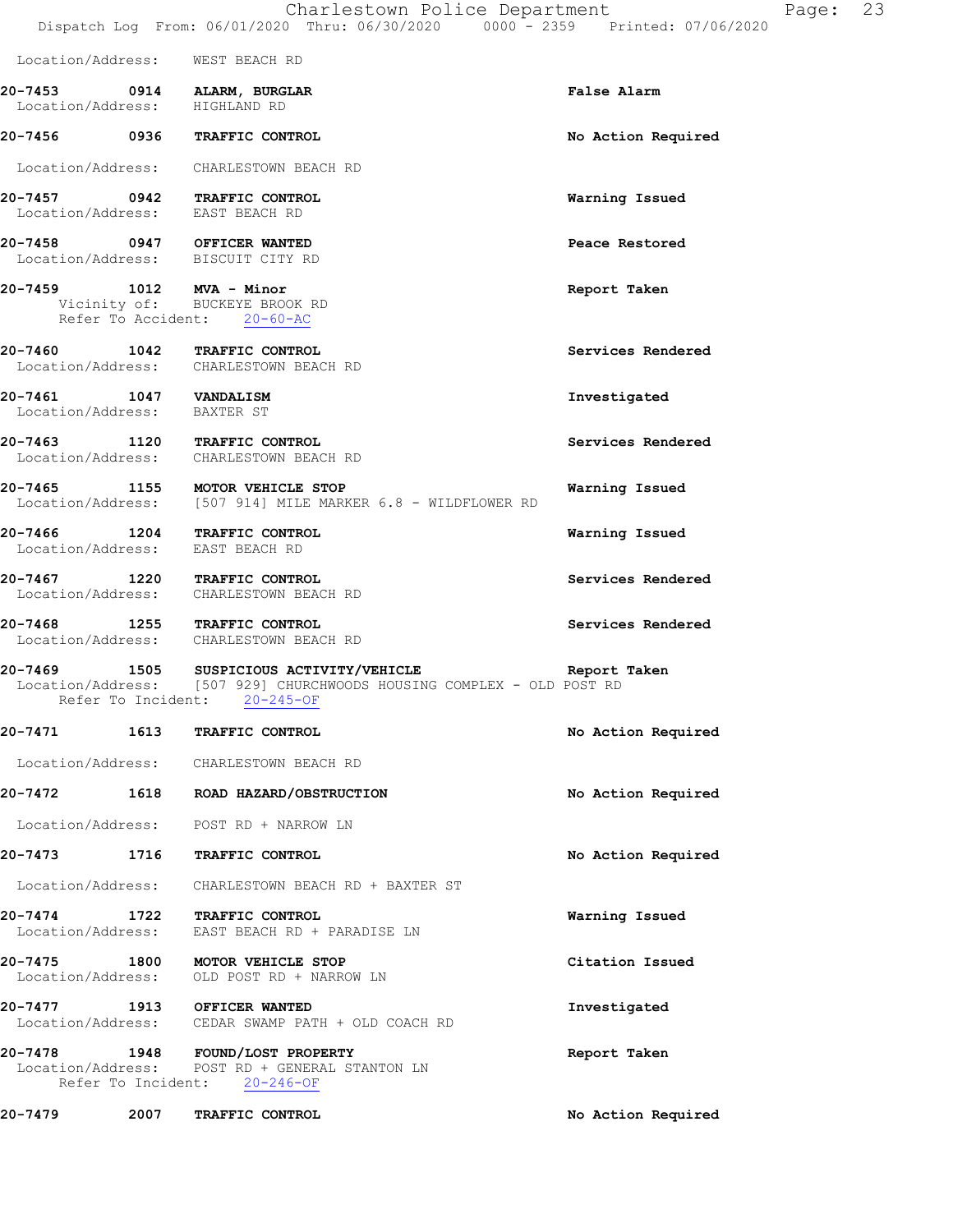| Location/Address: WEST BEACH RD                              |                                                                                                                                                                |                    |
|--------------------------------------------------------------|----------------------------------------------------------------------------------------------------------------------------------------------------------------|--------------------|
| 20-7453 0914 ALARM, BURGLAR<br>Location/Address: HIGHLAND RD |                                                                                                                                                                | False Alarm        |
|                                                              | 20-7456 0936 TRAFFIC CONTROL                                                                                                                                   | No Action Required |
|                                                              | Location/Address: CHARLESTOWN BEACH RD                                                                                                                         |                    |
| Location/Address: EAST BEACH RD                              | 20-7457 0942 TRAFFIC CONTROL                                                                                                                                   | Warning Issued     |
|                                                              | 20-7458 0947 OFFICER WANTED<br>Location/Address: BISCUIT CITY RD                                                                                               | Peace Restored     |
|                                                              | 20-7459 1012 MVA - Minor<br>Vicinity of: BUCKEYE BROOK RD<br>Refer To Accident: 20-60-AC                                                                       | Report Taken       |
|                                                              | 20-7460 1042 TRAFFIC CONTROL<br>Location/Address: CHARLESTOWN BEACH RD                                                                                         | Services Rendered  |
| 20-7461 1047 VANDALISM<br>Location/Address: BAXTER ST        |                                                                                                                                                                | Investigated       |
|                                                              | 20-7463 1120 TRAFFIC CONTROL<br>Location/Address: CHARLESTOWN BEACH RD                                                                                         | Services Rendered  |
|                                                              | 20-7465 1155 MOTOR VEHICLE STOP<br>Location/Address: [507 914] MILE MARKER 6.8 - WILDFLOWER RD                                                                 | Warning Issued     |
| Location/Address: EAST BEACH RD                              | 20-7466 1204 TRAFFIC CONTROL                                                                                                                                   | Warning Issued     |
|                                                              | 20-7467 1220 TRAFFIC CONTROL<br>Location/Address: CHARLESTOWN BEACH RD                                                                                         | Services Rendered  |
|                                                              | 20-7468 1255 TRAFFIC CONTROL<br>Location/Address: CHARLESTOWN BEACH RD                                                                                         | Services Rendered  |
|                                                              | 20-7469 1505 SUSPICIOUS ACTIVITY/VEHICLE Report Taken<br>Location/Address: [507 929] CHURCHWOODS HOUSING COMPLEX - OLD POST RD<br>Refer To Incident: 20-245-OF |                    |
|                                                              | 20-7471 1613 TRAFFIC CONTROL                                                                                                                                   | No Action Required |
|                                                              | Location/Address: CHARLESTOWN BEACH RD                                                                                                                         |                    |
|                                                              | 20-7472 1618 ROAD HAZARD/OBSTRUCTION                                                                                                                           | No Action Required |
|                                                              | Location/Address: POST RD + NARROW LN                                                                                                                          |                    |
|                                                              | 20-7473 1716 TRAFFIC CONTROL                                                                                                                                   | No Action Required |
|                                                              | Location/Address: CHARLESTOWN BEACH RD + BAXTER ST                                                                                                             |                    |
|                                                              | 20-7474 1722 TRAFFIC CONTROL<br>Location/Address: EAST BEACH RD + PARADISE LN                                                                                  | Warning Issued     |
|                                                              | 20-7475 1800 MOTOR VEHICLE STOP<br>Location/Address: OLD POST RD + NARROW LN                                                                                   | Citation Issued    |
| 20-7477 1913 OFFICER WANTED                                  | Location/Address: CEDAR SWAMP PATH + OLD COACH RD                                                                                                              | Investigated       |
|                                                              | 20-7478 1948 FOUND/LOST PROPERTY<br>Location/Address: POST RD + GENERAL STANTON LN<br>Refer To Incident: 20-246-OF                                             | Report Taken       |
|                                                              | 20-7479 2007 TRAFFIC CONTROL                                                                                                                                   | No Action Required |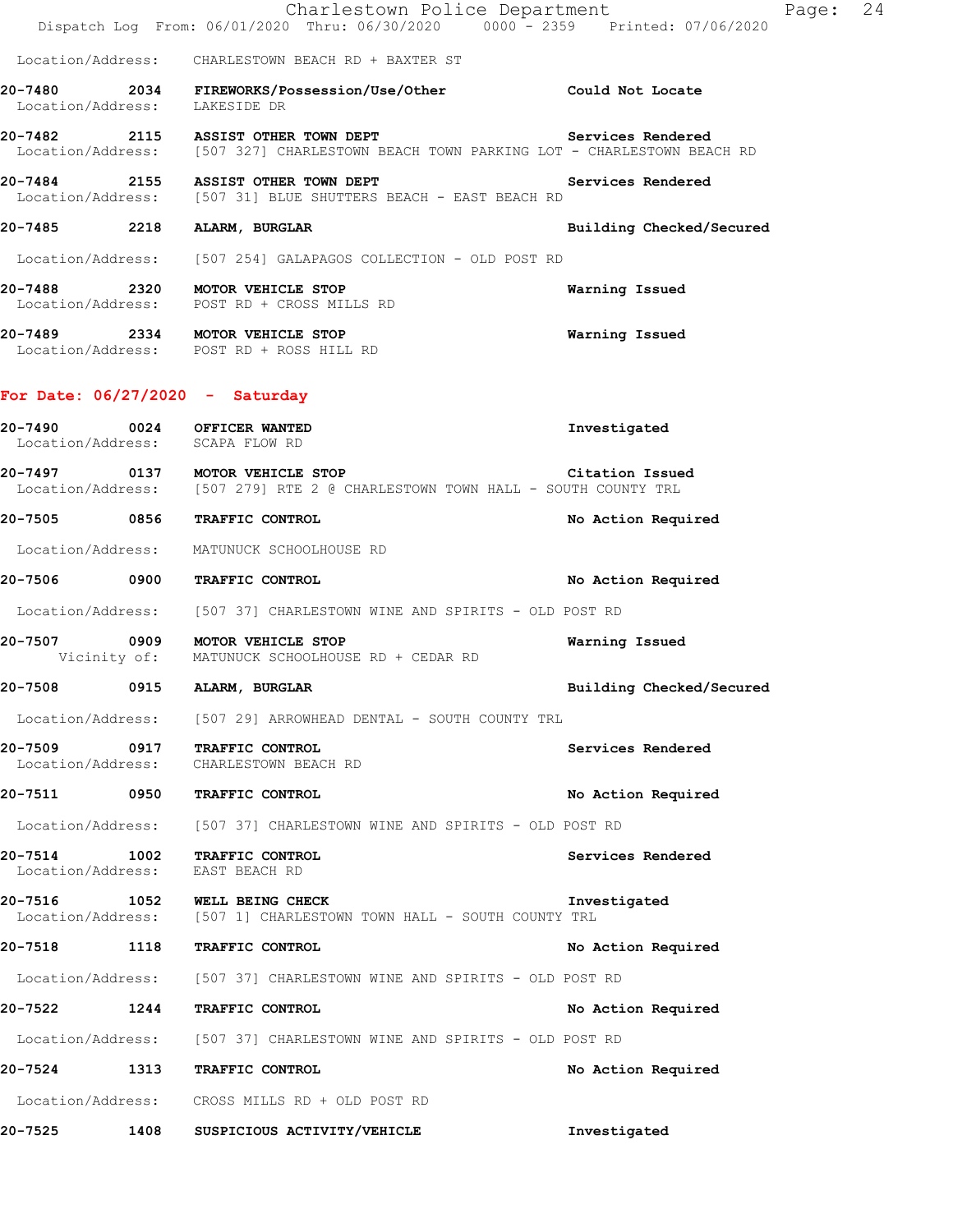|                                                                |      |                                                                                                                                                   | Dispatch Log From: 06/01/2020 Thru: 06/30/2020 0000 - 2359 Printed: 07/06/2020 |
|----------------------------------------------------------------|------|---------------------------------------------------------------------------------------------------------------------------------------------------|--------------------------------------------------------------------------------|
|                                                                |      | Location/Address: CHARLESTOWN BEACH RD + BAXTER ST                                                                                                |                                                                                |
| Location/Address: LAKESIDE DR                                  |      | 20-7480 2034 FIREWORKS/Possession/Use/Other Could Not Locate                                                                                      |                                                                                |
|                                                                |      | 20-7482 2115 ASSIST OTHER TOWN DEPT<br>Services Rendered<br>Location/Address: [507 327] CHARLESTOWN BEACH TOWN PARKING LOT - CHARLESTOWN BEACH RD |                                                                                |
|                                                                |      | 20-7484 2155 ASSIST OTHER TOWN DEPT<br>Location/Address: [507 31] BLUE SHUTTERS BEACH - EAST BEACH RD                                             | Services Rendered                                                              |
| 20-7485 2218 ALARM, BURGLAR                                    |      |                                                                                                                                                   | Building Checked/Secured                                                       |
|                                                                |      | Location/Address: [507 254] GALAPAGOS COLLECTION - OLD POST RD                                                                                    |                                                                                |
|                                                                |      | 20-7488 2320 MOTOR VEHICLE STOP<br>Location/Address: POST RD + CROSS MILLS RD                                                                     | Warning Issued                                                                 |
|                                                                |      | 20-7489 2334 MOTOR VEHICLE STOP<br>Location/Address: POST RD + ROSS HILL RD                                                                       | Warning Issued                                                                 |
| For Date: $06/27/2020 -$ Saturday                              |      |                                                                                                                                                   |                                                                                |
| 20-7490 0024 OFFICER WANTED<br>Location/Address: SCAPA FLOW RD |      |                                                                                                                                                   | Investigated                                                                   |
|                                                                |      | 20-7497 0137 MOTOR VEHICLE STOP<br>Location/Address: [507 279] RTE 2 @ CHARLESTOWN TOWN HALL - SOUTH COUNTY TRL                                   | Citation Issued                                                                |
| 20-7505 0856 TRAFFIC CONTROL                                   |      |                                                                                                                                                   | No Action Required                                                             |
|                                                                |      | Location/Address: MATUNUCK SCHOOLHOUSE RD                                                                                                         |                                                                                |
| 20-7506 0900 TRAFFIC CONTROL                                   |      |                                                                                                                                                   | No Action Required                                                             |
|                                                                |      | Location/Address: [507 37] CHARLESTOWN WINE AND SPIRITS - OLD POST RD                                                                             |                                                                                |
|                                                                |      | 20-7507 0909 MOTOR VEHICLE STOP<br>Vicinity of: MATUNUCK SCHOOLHOUSE RD + CEDAR RD                                                                | Warning Issued                                                                 |
| 20-7508 0915 ALARM, BURGLAR                                    |      |                                                                                                                                                   | Building Checked/Secured                                                       |
|                                                                |      | Location/Address: [507 29] ARROWHEAD DENTAL - SOUTH COUNTY TRL                                                                                    |                                                                                |
| 20-7509 0917 TRAFFIC CONTROL                                   |      | Location/Address: CHARLESTOWN BEACH RD                                                                                                            | Services Rendered                                                              |
| 20-7511 0950 TRAFFIC CONTROL                                   |      |                                                                                                                                                   | No Action Required                                                             |
|                                                                |      | Location/Address: [507 37] CHARLESTOWN WINE AND SPIRITS - OLD POST RD                                                                             |                                                                                |
| 20-7514 1002<br>Location/Address: EAST BEACH RD                |      | TRAFFIC CONTROL                                                                                                                                   | Services Rendered                                                              |
| 20-7516 1052 WELL BEING CHECK                                  |      | Location/Address: [507 1] CHARLESTOWN TOWN HALL - SOUTH COUNTY TRL                                                                                | Investigated                                                                   |
| 20-7518                                                        | 1118 | TRAFFIC CONTROL                                                                                                                                   | No Action Required                                                             |
|                                                                |      | Location/Address: [507 37] CHARLESTOWN WINE AND SPIRITS - OLD POST RD                                                                             |                                                                                |
| 20-7522 1244 TRAFFIC CONTROL                                   |      |                                                                                                                                                   | No Action Required                                                             |
|                                                                |      | Location/Address: [507 37] CHARLESTOWN WINE AND SPIRITS - OLD POST RD                                                                             |                                                                                |
| 20-7524 1313 TRAFFIC CONTROL                                   |      |                                                                                                                                                   | No Action Required                                                             |
|                                                                |      | Location/Address: CROSS MILLS RD + OLD POST RD                                                                                                    |                                                                                |
| 20-7525                                                        | 1408 | SUSPICIOUS ACTIVITY/VEHICLE                                                                                                                       | Investigated                                                                   |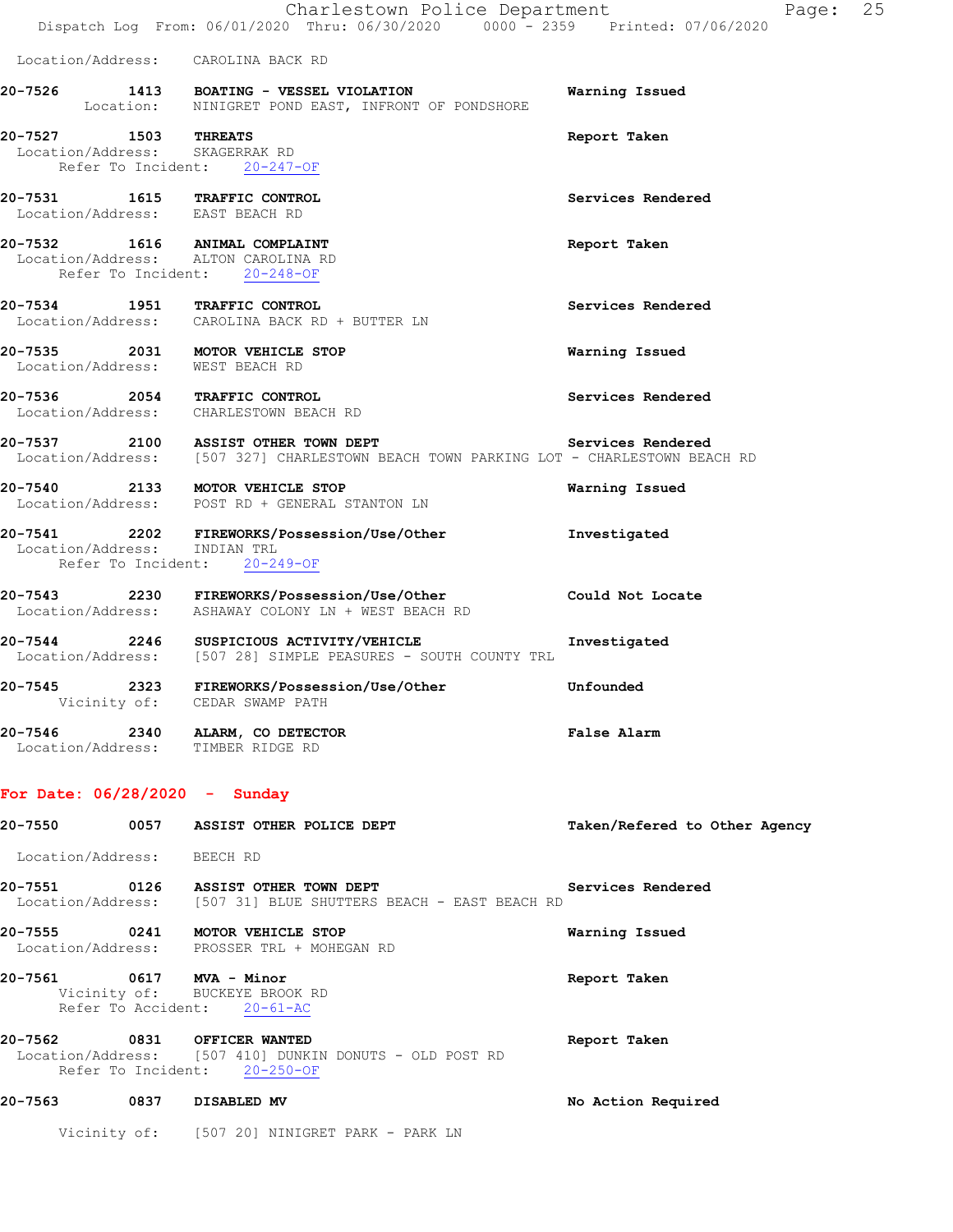| 20-7527 | 1503              | THREATS                                                                       | Report Taken   |
|---------|-------------------|-------------------------------------------------------------------------------|----------------|
| 20-7526 | 1413<br>Location: | <b>BOATING - VESSEL VIOLATION</b><br>NINIGRET POND EAST, INFRONT OF PONDSHORE | Warning Issued |

 Location/Address: SKAGERRAK RD Refer To Incident: 20-247-OF

- **20-7531 1615 TRAFFIC CONTROL Services Rendered**  Location/Address: EAST BEACH RD
- **20-7532 1616 ANIMAL COMPLAINT Report Taken**  Location/Address: ALTON CAROLINA RD Refer To Incident: 20-248-OF
- **20-7534 1951 TRAFFIC CONTROL Services Rendered**  Location/Address: CAROLINA BACK RD + BUTTER LN
- **20-7535 2031 MOTOR VEHICLE STOP Warning Issued**  Location/Address: WEST BEACH RD
- **20-7536 2054 TRAFFIC CONTROL Services Rendered**  Location/Address: CHARLESTOWN BEACH RD
- **20-7537 2100 ASSIST OTHER TOWN DEPT Services Rendered**  Location/Address: [507 327] CHARLESTOWN BEACH TOWN PARKING LOT - CHARLESTOWN BEACH RD
- **20-7540 2133 MOTOR VEHICLE STOP Warning Issued**  Location/Address: POST RD + GENERAL STANTON LN
- **20-7541 2202 FIREWORKS/Possession/Use/Other Investigated**  Location/Address: INDIAN TRL Refer To Incident: 20-249-OF
- **20-7543 2230 FIREWORKS/Possession/Use/Other Could Not Locate**  Location/Address: ASHAWAY COLONY LN + WEST BEACH RD
- **20-7544 2246 SUSPICIOUS ACTIVITY/VEHICLE Investigated**  Location/Address: [507 28] SIMPLE PEASURES - SOUTH COUNTY TRL
- **20-7545 2323 FIREWORKS/Possession/Use/Other Unfounded**  Vicinity of: CEDAR SWAMP PATH
- **20-7546 2340 ALARM, CO DETECTOR False Alarm**  Location/Address: TIMBER RIDGE RD

#### **For Date: 06/28/2020 - Sunday**

| 20-7550<br>0057                       | ASSIST OTHER POLICE DEPT                                                                          | Taken/Refered to Other Agency |
|---------------------------------------|---------------------------------------------------------------------------------------------------|-------------------------------|
| Location/Address:                     | BEECH RD                                                                                          |                               |
| 0126<br>20-7551                       | ASSIST OTHER TOWN DEPT<br>Location/Address: [507 31] BLUE SHUTTERS BEACH - EAST BEACH RD          | Services Rendered             |
| 0241<br>20-7555                       | <b>MOTOR VEHICLE STOP</b><br>Location/Address: PROSSER TRL + MOHEGAN RD                           | Warning Issued                |
| 20-7561<br>0617<br>Refer To Accident: | MVA - Minor<br>Vicinity of: BUCKEYE BROOK RD<br>$20 - 61 - AC$                                    | Report Taken                  |
| 20-7562<br>Refer To Incident:         | 0831 OFFICER WANTED<br>Location/Address: [507 410] DUNKIN DONUTS - OLD POST RD<br>$20 - 250 - 0F$ | Report Taken                  |
| 20-7563<br>0837                       | DISABLED MV                                                                                       | No Action Required            |

Vicinity of: [507 20] NINIGRET PARK - PARK LN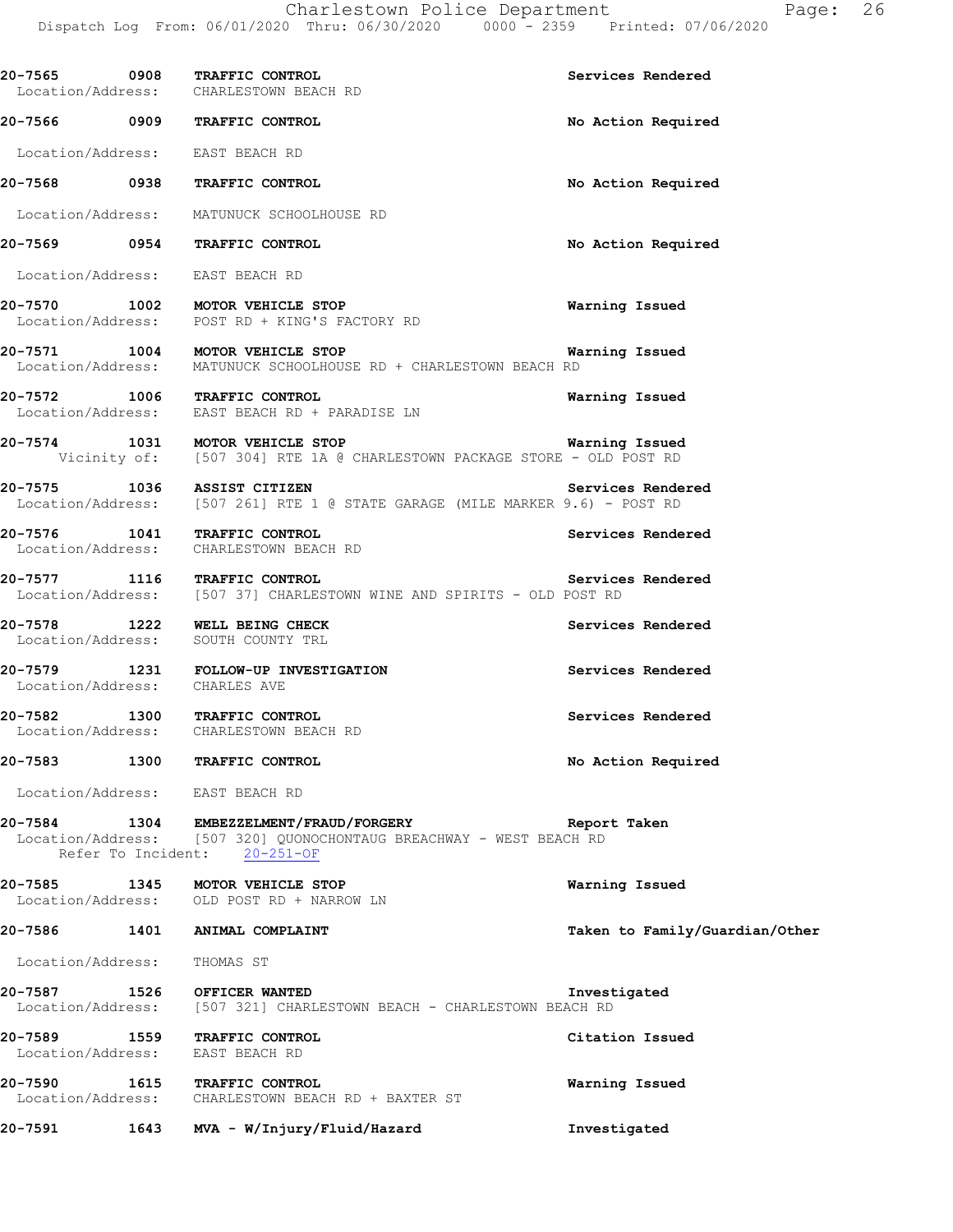|                               | 20-7565 0908 TRAFFIC CONTROL<br>Location/Address: CHARLESTOWN BEACH RD                                                                                      | Services Rendered              |
|-------------------------------|-------------------------------------------------------------------------------------------------------------------------------------------------------------|--------------------------------|
|                               | 20-7566 0909 TRAFFIC CONTROL                                                                                                                                | No Action Required             |
|                               | Location/Address: EAST BEACH RD                                                                                                                             |                                |
|                               | 20-7568 0938 TRAFFIC CONTROL                                                                                                                                | No Action Required             |
|                               | Location/Address: MATUNUCK SCHOOLHOUSE RD                                                                                                                   |                                |
|                               | 20-7569 0954 TRAFFIC CONTROL                                                                                                                                | No Action Required             |
|                               | Location/Address: EAST BEACH RD                                                                                                                             |                                |
|                               | 20-7570 1002 MOTOR VEHICLE STOP<br>Location/Address: POST RD + KING'S FACTORY RD                                                                            | Warning Issued                 |
|                               | 20-7571 1004 MOTOR VEHICLE STOP<br>Location/Address: MATUNUCK SCHOOLHOUSE RD + CHARLESTOWN BEACH RD                                                         | Warning Issued                 |
|                               | 20-7572 1006 TRAFFIC CONTROL<br>Location/Address: EAST BEACH RD + PARADISE LN                                                                               | Warning Issued                 |
|                               | 20-7574 1031 MOTOR VEHICLE STOP<br>Vicinity of: [507 304] RTE 1A @ CHARLESTOWN PACKAGE STORE - OLD POST RD                                                  | Warning Issued                 |
|                               | 20-7575 1036 ASSIST CITIZEN<br>Location/Address: [507 261] RTE 1 @ STATE GARAGE (MILE MARKER 9.6) - POST RD                                                 | Services Rendered              |
|                               | 20-7576 1041 TRAFFIC CONTROL<br>Location/Address: CHARLESTOWN BEACH RD                                                                                      | Services Rendered              |
|                               | 20-7577 1116 TRAFFIC CONTROL Service<br>Location/Address: [507 37] CHARLESTOWN WINE AND SPIRITS - OLD POST RD                                               | Services Rendered              |
|                               | 20-7578 1222 WELL BEING CHECK<br>Location/Address: SOUTH COUNTY TRL                                                                                         | Services Rendered              |
| Location/Address: CHARLES AVE | 20-7579 1231 FOLLOW-UP INVESTIGATION                                                                                                                        | Services Rendered              |
|                               | 20-7582 1300 TRAFFIC CONTROL<br>Location/Address: CHARLESTOWN BEACH RD                                                                                      | Services Rendered              |
|                               | 20-7583 1300 TRAFFIC CONTROL                                                                                                                                | No Action Required             |
|                               | Location/Address: EAST BEACH RD                                                                                                                             |                                |
|                               | 20-7584 1304 EMBEZZELMENT/FRAUD/FORGERY Neport Taken<br>Location/Address: [507 320] QUONOCHONTAUG BREACHWAY - WEST BEACH RD<br>Refer To Incident: 20-251-OF |                                |
|                               | 20-7585 1345 MOTOR VEHICLE STOP<br>Location/Address: OLD POST RD + NARROW LN                                                                                | Warning Issued                 |
|                               | 20-7586 1401 ANIMAL COMPLAINT                                                                                                                               | Taken to Family/Guardian/Other |
| Location/Address: THOMAS ST   |                                                                                                                                                             |                                |
|                               | 20-7587 1526 OFFICER WANTED<br>Location/Address: [507 321] CHARLESTOWN BEACH - CHARLESTOWN BEACH RD                                                         | Investigated                   |
|                               | 20-7589 1559 TRAFFIC CONTROL<br>Location/Address: EAST BEACH RD                                                                                             | Citation Issued                |
|                               | 20-7590 1615 TRAFFIC CONTROL<br>Location/Address: CHARLESTOWN BEACH RD + BAXTER ST                                                                          | Warning Issued                 |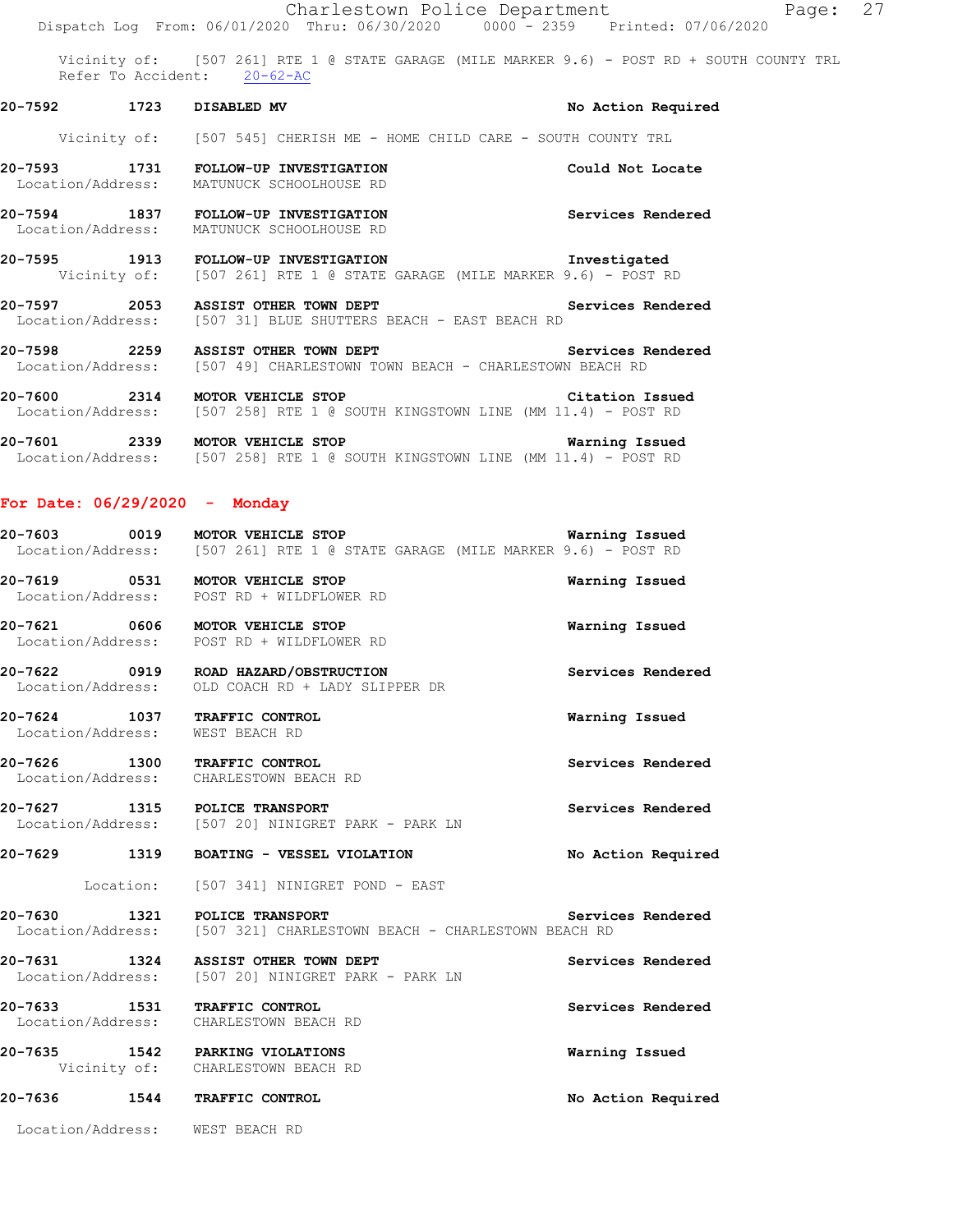|              |                                                                                                                 | Page: 27<br>Charlestown Police Department                                                  |
|--------------|-----------------------------------------------------------------------------------------------------------------|--------------------------------------------------------------------------------------------|
|              |                                                                                                                 | Dispatch Log From: 06/01/2020 Thru: 06/30/2020 0000 - 2359 Printed: 07/06/2020             |
|              | Refer To Accident: 20-62-AC                                                                                     | Vicinity of: [507 261] RTE 1 @ STATE GARAGE (MILE MARKER 9.6) - POST RD + SOUTH COUNTY TRL |
| 20-7592 1723 | DISABLED MV                                                                                                     | No Action Required                                                                         |
|              |                                                                                                                 | Vicinity of: [507 545] CHERISH ME - HOME CHILD CARE - SOUTH COUNTY TRL                     |
|              | 20-7593 1731 FOLLOW-UP INVESTIGATION<br>Location/Address: MATUNUCK SCHOOLHOUSE RD                               | Could Not Locate                                                                           |
|              | 20-7594 1837 FOLLOW-UP INVESTIGATION<br>Location/Address: MATUNUCK SCHOOLHOUSE RD                               | Services Rendered                                                                          |
|              | 20-7595 1913 FOLLOW-UP INVESTIGATION                                                                            | Investigated<br>Vicinity of: [507 261] RTE 1 @ STATE GARAGE (MILE MARKER 9.6) - POST RD    |
|              | 20-7597 2053 ASSIST OTHER TOWN DEPT<br>Location/Address: [507 31] BLUE SHUTTERS BEACH - EAST BEACH RD           | Services Rendered                                                                          |
|              | 20-7598 2259 ASSIST OTHER TOWN DEPT<br>Location/Address: [507 49] CHARLESTOWN TOWN BEACH - CHARLESTOWN BEACH RD | Services Rendered                                                                          |
| 20-7600      | 2314 MOTOR VEHICLE STOP                                                                                         | Citation Issued                                                                            |

- Location/Address: [507 258] RTE 1 @ SOUTH KINGSTOWN LINE (MM 11.4) POST RD **20-7601 2339 MOTOR VEHICLE STOP Warning Issued**
- Location/Address: [507 258] RTE 1 @ SOUTH KINGSTOWN LINE (MM 11.4) POST RD

#### **For Date: 06/29/2020 - Monday**

| 20-7603           | 0019 | MOTOR VEHICLE STOP |  |  |                                                            |  |  | Warning Issued |  |
|-------------------|------|--------------------|--|--|------------------------------------------------------------|--|--|----------------|--|
| Location/Address: |      |                    |  |  | [507 261] RTE 1 @ STATE GARAGE (MILE MARKER 9.6) - POST RD |  |  |                |  |

**20-7619 0531 MOTOR VEHICLE STOP Warning Issued**  Location/Address: POST RD + WILDFLOWER RD

**20-7621 0606 MOTOR VEHICLE STOP Warning Issued**  Location/Address: POST RD + WILDFLOWER RD

- **20-7622 0919 ROAD HAZARD/OBSTRUCTION Services Rendered**  Location/Address: OLD COACH RD + LADY SLIPPER DR
- **20-7624 1037 TRAFFIC CONTROL Warning Issued**  Location/Address: WEST BEACH RD

**20-7626 1300 TRAFFIC CONTROL Services Rendered**  Location/Address: CHARLESTOWN BEACH RD

**20-7627 1315 POLICE TRANSPORT SERVICES Rendered Services Rendered Services Rendered Services Rendered** [507 20] NINIGRET PARK - PARK LN

**20-7629 1319 BOATING - VESSEL VIOLATION No Action Required** 

Location: [507 341] NINIGRET POND - EAST

**20-7630 1321 POLICE TRANSPORT Services Rendered**  Location/Address: [507 321] CHARLESTOWN BEACH - CHARLESTOWN BEACH RD

20-7631 1324 ASSIST OTHER TOWN DEPT Services Rendered Location/Address: [507 20] NINIGRET PARK - PARK LN

**20-7633 1531 TRAFFIC CONTROL Services Rendered**  Location/Address: CHARLESTOWN BEACH RD

**20-7635 1542 PARKING VIOLATIONS Warning Issued**  Vicinity of: CHARLESTOWN BEACH RD

**20-7636 1544 TRAFFIC CONTROL No Action Required** 

Location/Address: WEST BEACH RD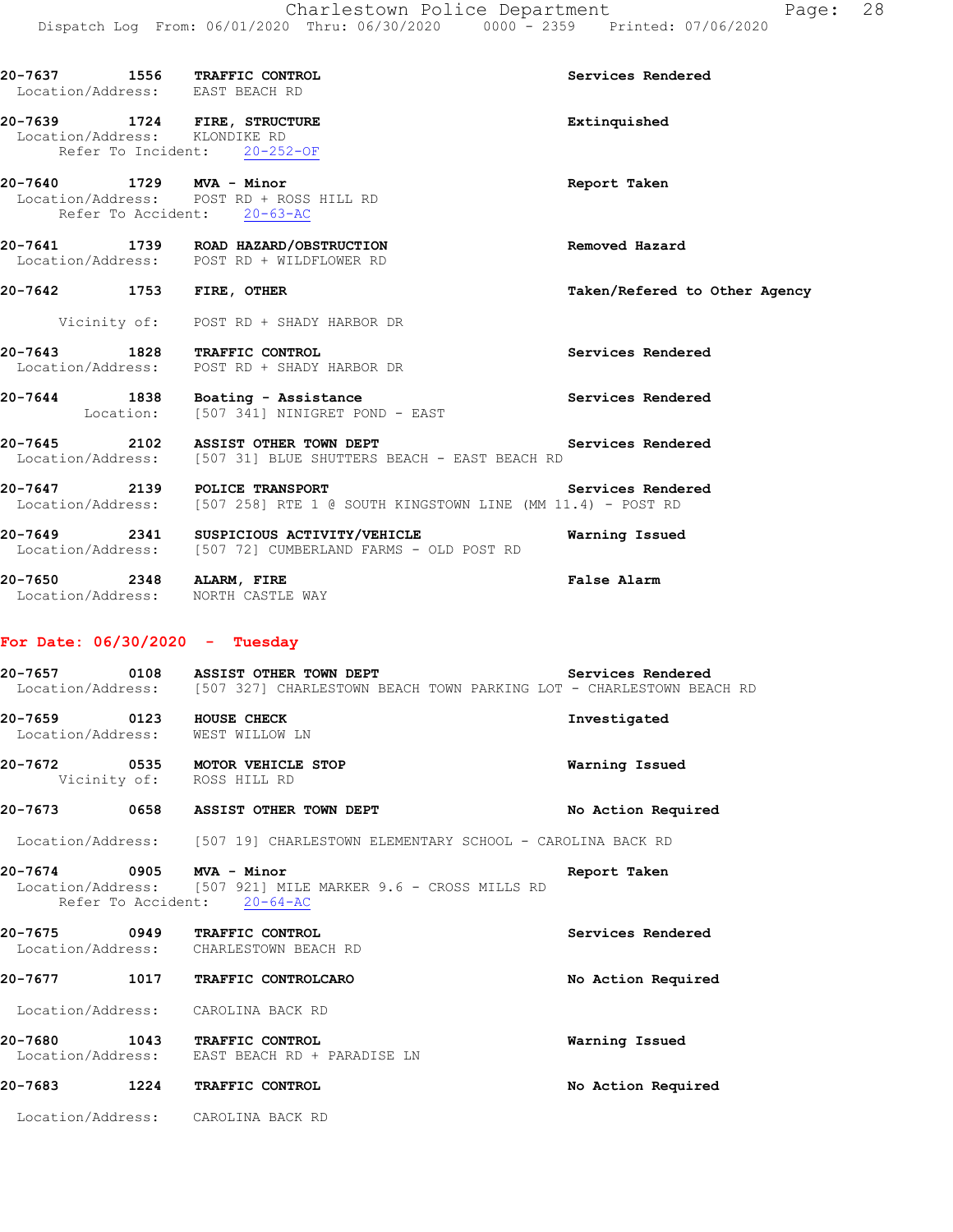|                   |      | 20-7637 1556 TRAFFIC CONTROL<br>Location/Address: EAST BEACH RD                                                                                | Services Rendered             |
|-------------------|------|------------------------------------------------------------------------------------------------------------------------------------------------|-------------------------------|
|                   |      | 20-7639 1724 FIRE, STRUCTURE<br>Location/Address: KLONDIKE RD<br>Refer To Incident: 20-252-OF                                                  | Extinquished                  |
|                   |      | 20-7640 1729 MVA - Minor<br>Location/Address: POST RD + ROSS HILL RD<br>Refer To Accident: 20-63-AC                                            | Report Taken                  |
|                   |      | 20-7641 1739 ROAD HAZARD/OBSTRUCTION<br>Location/Address: POST RD + WILDFLOWER RD                                                              | Removed Hazard                |
|                   |      | 20-7642 1753 FIRE, OTHER                                                                                                                       | Taken/Refered to Other Agency |
|                   |      | Vicinity of: POST RD + SHADY HARBOR DR                                                                                                         |                               |
|                   |      | 20-7643 1828 TRAFFIC CONTROL<br>Location/Address: POST RD + SHADY HARBOR DR                                                                    | Services Rendered             |
|                   |      | 20-7644 1838 Boating - Assistance<br>Location: [507 341] NINIGRET POND - EAST                                                                  | Services Rendered             |
|                   |      | 20-7645 2102 ASSIST OTHER TOWN DEPT Services Rendered Location/Address: [507 31] BLUE SHUTTERS BEACH - EAST BEACH RD                           |                               |
|                   |      | 20-7647 2139 POLICE TRANSPORT<br>Location/Address: [507 258] RTE 1 @ SOUTH KINGSTOWN LINE (MM 11.4) - POST RD                                  | Services Rendered             |
|                   |      | 20-7649 2341 SUSPICIOUS ACTIVITY/VEHICLE<br>Location/Address: [507 72] CUMBERLAND FARMS - OLD POST RD                                          | Warning Issued                |
|                   |      | 20-7650 2348 ALARM, FIRE<br>Location/Address: NORTH CASTLE WAY                                                                                 | False Alarm                   |
|                   |      | For Date: $06/30/2020 - Tuesday$                                                                                                               |                               |
|                   |      | 20-7657 0108 ASSIST OTHER TOWN DEPT Services Rendered<br>Location/Address: [507 327] CHARLESTOWN BEACH TOWN PARKING LOT - CHARLESTOWN BEACH RD |                               |
|                   |      | 20-7659 0123 HOUSE CHECK<br>Location/Address: WEST WILLOW LN                                                                                   | Investigated                  |
|                   |      | 20-7672 0535 MOTOR VEHICLE STOP<br>Vicinity of: ROSS HILL RD                                                                                   | Warning Issued                |
|                   |      | 20-7673 0658 ASSIST OTHER TOWN DEPT                                                                                                            | No Action Required            |
|                   |      | Location/Address: [507 19] CHARLESTOWN ELEMENTARY SCHOOL - CAROLINA BACK RD                                                                    |                               |
|                   |      | 20-7674 0905 MVA - Minor<br>Location/Address: [507 921] MILE MARKER 9.6 - CROSS MILLS RD<br>Refer To Accident: 20-64-AC                        | Report Taken                  |
|                   |      | 20-7675 0949 TRAFFIC CONTROL<br>Location/Address: CHARLESTOWN BEACH RD                                                                         | Services Rendered             |
|                   |      | 20-7677 1017 TRAFFIC CONTROLCARO                                                                                                               | No Action Required            |
|                   |      | Location/Address: CAROLINA BACK RD                                                                                                             |                               |
| Location/Address: |      | 20-7680 1043 TRAFFIC CONTROL<br>EAST BEACH RD + PARADISE LN                                                                                    | Warning Issued                |
| 20-7683           | 1224 | TRAFFIC CONTROL                                                                                                                                | No Action Required            |

Location/Address: CAROLINA BACK RD